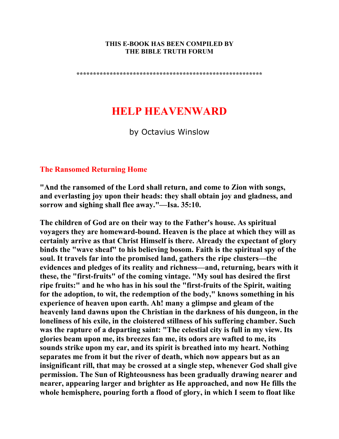#### **THIS E-BOOK HAS BEEN COMPILED BY THE BIBLE TRUTH FORUM**

**\*\*\*\*\*\*\*\*\*\*\*\*\*\*\*\*\*\*\*\*\*\*\*\*\*\*\*\*\*\*\*\*\*\*\*\*\*\*\*\*\*\*\*\*\*\*\*\*\*\*\*\*\*\*\*\*** 

# **HELP HEAVENWARD**

by Octavius Winslow

## **The Ransomed Returning Home**

**"And the ransomed of the Lord shall return, and come to Zion with songs, and everlasting joy upon their heads: they shall obtain joy and gladness, and sorrow and sighing shall flee away."—Isa. 35:10.** 

**The children of God are on their way to the Father's house. As spiritual voyagers they are homeward-bound. Heaven is the place at which they will as certainly arrive as that Christ Himself is there. Already the expectant of glory binds the "wave sheaf" to his believing bosom. Faith is the spiritual spy of the soul. It travels far into the promised land, gathers the ripe clusters—the evidences and pledges of its reality and richness—and, returning, bears with it these, the "first-fruits" of the coming vintage. "My soul has desired the first ripe fruits:" and he who has in his soul the "first-fruits of the Spirit, waiting for the adoption, to wit, the redemption of the body," knows something in his experience of heaven upon earth. Ah! many a glimpse and gleam of the heavenly land dawns upon the Christian in the darkness of his dungeon, in the loneliness of his exile, in the cloistered stillness of his suffering chamber. Such was the rapture of a departing saint: "The celestial city is full in my view. Its glories beam upon me, its breezes fan me, its odors are wafted to me, its sounds strike upon my ear, and its spirit is breathed into my heart. Nothing separates me from it but the river of death, which now appears but as an insignificant rill, that may be crossed at a single step, whenever God shall give permission. The Sun of Righteousness has been gradually drawing nearer and nearer, appearing larger and brighter as He approached, and now He fills the whole hemisphere, pouring forth a flood of glory, in which I seem to float like**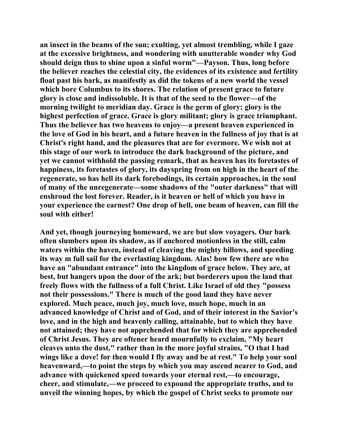**an insect in the beams of the sun; exulting, yet almost trembling, while I gaze at the excessive brightness, and wondering with unutterable wonder why God should deign thus to shine upon a sinful worm"—Payson. Thus, long before the believer reaches the celestial city, the evidences of its existence and fertility float past his bark, as manifestly as did the tokens of a new world the vessel which bore Columbus to its shores. The relation of present grace to future glory is close and indissoluble. It is that of the seed to the flower—of the morning twilight to meridian day. Grace is the germ of glory; glory is the highest perfection of grace. Grace is glory militant; glory is grace triumphant. Thus the believer has two heavens to enjoy—a present heaven experienced in the love of God in his heart, and a future heaven in the fullness of joy that is at Christ's right hand, and the pleasures that are for evermore. We wish not at this stage of our work to introduce the dark background of the picture, and yet we cannot withhold the passing remark, that as heaven has its foretastes of happiness, its foretastes of glory, its dayspring from on high in the heart of the regenerate, so has hell its dark forebodings, its certain approaches, in the soul of many of the unregenerate—some shadows of the "outer darkness" that will enshroud the lost forever. Reader, is it heaven or hell of which you have in your experience the earnest? One drop of hell, one beam of heaven, can fill the soul with either!** 

**And yet, though journeying homeward, we are but slow voyagers. Our bark often slumbers upon its shadow, as if anchored motionless in the still, calm waters within the haven, instead of cleaving the mighty billows, and speeding its way m full sail for the everlasting kingdom. Alas! how few there are who have an "abundant entrance" into the kingdom of grace below. They are, at best, but hangers upon the door of the ark; but borderers upon the land that freely flows with the fullness of a full Christ. Like Israel of old they "possess not their possessions." There is much of the good land they have never explored. Much peace, much joy, much love, much hope, much in an advanced knowledge of Christ and of God, and of their interest in the Savior's love, and in the high and heavenly calling, attainable, but to which they have not attained; they have not apprehended that for which they are apprehended of Christ Jesus. They are oftener heard mournfully to exclaim, "My heart cleaves unto the dust," rather than in the more joyful strains, "O that I had wings like a dove! for then would I fly away and be at rest." To help your soul heavenward,—to point the steps by which you may ascend nearer to God, and advance with quickened speed towards your eternal rest,—to encourage, cheer, and stimulate,—we proceed to expound the appropriate truths, and to unveil the winning hopes, by which the gospel of Christ seeks to promote our**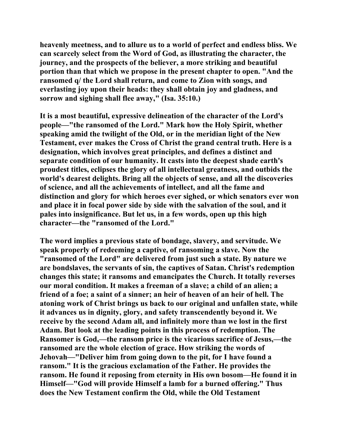**heavenly meetness, and to allure us to a world of perfect and endless bliss. We can scarcely select from the Word of God, as illustrating the character, the journey, and the prospects of the believer, a more striking and beautiful portion than that which we propose in the present chapter to open. "And the ransomed q/ the Lord shall return, and come to Zion with songs, and everlasting joy upon their heads: they shall obtain joy and gladness, and sorrow and sighing shall flee away," (Isa. 35:10.)** 

**It is a most beautiful, expressive delineation of the character of the Lord's people—"the ransomed of the Lord." Mark how the Holy Spirit, whether speaking amid the twilight of the Old, or in the meridian light of the New Testament, ever makes the Cross of Christ the grand central truth. Here is a designation, which involves great principles, and defines a distinct and separate condition of our humanity. It casts into the deepest shade earth's proudest titles, eclipses the glory of all intellectual greatness, and outbids the world's dearest delights. Bring all the objects of sense, and all the discoveries of science, and all the achievements of intellect, and all the fame and distinction and glory for which heroes ever sighed, or which senators ever won and place it in focal power side by side with the salvation of the soul, and it pales into insignificance. But let us, in a few words, open up this high character—the "ransomed of the Lord."** 

**The word implies a previous state of bondage, slavery, and servitude. We speak properly of redeeming a captive, of ransoming a slave. Now the "ransomed of the Lord" are delivered from just such a state. By nature we are bondslaves, the servants of sin, the captives of Satan. Christ's redemption changes this state; it ransoms and emancipates the Church. It totally reverses our moral condition. It makes a freeman of a slave; a child of an alien; a friend of a foe; a saint of a sinner; an heir of heaven of an heir of hell. The atoning work of Christ brings us back to our original and unfallen state, while it advances us in dignity, glory, and safety transcendently beyond it. We receive by the second Adam all, and infinitely more than we lost in the first Adam. But look at the leading points in this process of redemption. The Ransomer is God,—the ransom price is the vicarious sacrifice of Jesus,—the ransomed are the whole election of grace. How striking the words of Jehovah—"Deliver him from going down to the pit, for I have found a ransom." It is the gracious exclamation of the Father. He provides the ransom. He found it reposing from eternity in His own bosom—He found it in Himself—"God will provide Himself a lamb for a burned offering." Thus does the New Testament confirm the Old, while the Old Testament**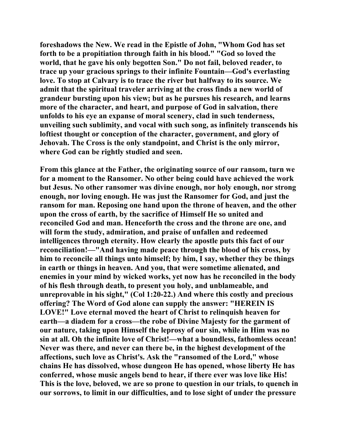**foreshadows the New. We read in the Epistle of John, "Whom God has set forth to be a propitiation through faith in his blood." "God so loved the world, that he gave his only begotten Son." Do not fail, beloved reader, to trace up your gracious springs to their infinite Fountain—God's everlasting love. To stop at Calvary is to trace the river but halfway to its source. We admit that the spiritual traveler arriving at the cross finds a new world of grandeur bursting upon his view; but as he pursues his research, and learns more of the character, and heart, and purpose of God in salvation, there unfolds to his eye an expanse of moral scenery, clad in such tenderness, unveiling such sublimity, and vocal with such song, as infinitely transcends his loftiest thought or conception of the character, government, and glory of Jehovah. The Cross is the only standpoint, and Christ is the only mirror, where God can be rightly studied and seen.** 

**From this glance at the Father, the originating source of our ransom, turn we for a moment to the Ransomer. No other being could have achieved the work but Jesus. No other ransomer was divine enough, nor holy enough, nor strong enough, nor loving enough. He was just the Ransomer for God, and just the ransom for man. Reposing one hand upon the throne of heaven, and the other upon the cross of earth, by the sacrifice of Himself He so united and reconciled God and man. Henceforth the cross and the throne are one, and will form the study, admiration, and praise of unfallen and redeemed intelligences through eternity. How clearly the apostle puts this fact of our reconciliation!—"And having made peace through the blood of his cross, by him to reconcile all things unto himself; by him, I say, whether they be things in earth or things in heaven. And you, that were sometime alienated, and enemies in your mind by wicked works, yet now has he reconciled in the body of his flesh through death, to present you holy, and unblameable, and unreprovable in his sight," (Col 1:20-22.) And where this costly and precious offering? The Word of God alone can supply the answer: "HEREIN IS LOVE!" Love eternal moved the heart of Christ to relinquish heaven for earth—a diadem for a cross—the robe of Divine Majesty for the garment of our nature, taking upon Himself the leprosy of our sin, while in Him was no sin at all. Oh the infinite love of Christ!—what a boundless, fathomless ocean! Never was there, and never can there be, in the highest development of the affections, such love as Christ's. Ask the "ransomed of the Lord," whose chains He has dissolved, whose dungeon He has opened, whose liberty He has conferred, whose music angels bend to hear, if there ever was love like His! This is the love, beloved, we are so prone to question in our trials, to quench in our sorrows, to limit in our difficulties, and to lose sight of under the pressure**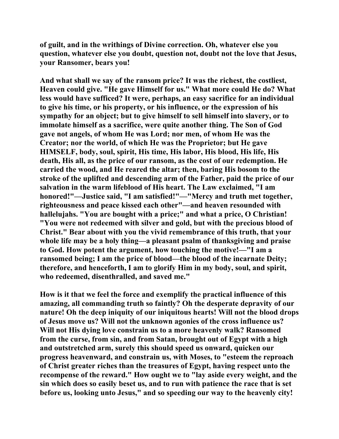**of guilt, and in the writhings of Divine correction. Oh, whatever else you question, whatever else you doubt, question not, doubt not the love that Jesus, your Ransomer, bears you!** 

**And what shall we say of the ransom price? It was the richest, the costliest, Heaven could give. "He gave Himself for us." What more could He do? What less would have sufficed? It were, perhaps, an easy sacrifice for an individual to give his time, or his property, or his influence, or the expression of his sympathy for an object; but to give himself to sell himself into slavery, or to immolate himself as a sacrifice, were quite another thing. The Son of God gave not angels, of whom He was Lord; nor men, of whom He was the Creator; nor the world, of which He was the Proprietor; but He gave HIMSELF, body, soul, spirit, His time, His labor, His blood, His life, His death, His all, as the price of our ransom, as the cost of our redemption. He carried the wood, and He reared the altar; then, baring His bosom to the stroke of the uplifted and descending arm of the Father, paid the price of our salvation in the warm lifeblood of His heart. The Law exclaimed, "I am honored!"—Justice said, "I am satisfied!"—"Mercy and truth met together, righteousness and peace kissed each other"—and heaven resounded with hallelujahs. "You are bought with a price;" and what a price, O Christian! "You were not redeemed with silver and gold, but with the precious blood of Christ." Bear about with you the vivid remembrance of this truth, that your whole life may be a holy thing—a pleasant psalm of thanksgiving and praise to God. How potent the argument, how touching the motive!—"I am a ransomed being; I am the price of blood—the blood of the incarnate Deity; therefore, and henceforth, I am to glorify Him in my body, soul, and spirit, who redeemed, disenthralled, and saved me."** 

**How is it that we feel the force and exemplify the practical influence of this amazing, all commanding truth so faintly? Oh the desperate depravity of our nature! Oh the deep iniquity of our iniquitous hearts! Will not the blood drops of Jesus move us? Will not the unknown agonies of the cross influence us? Will not His dying love constrain us to a more heavenly walk? Ransomed from the curse, from sin, and from Satan, brought out of Egypt with a high and outstretched arm, surely this should speed us onward, quicken our progress heavenward, and constrain us, with Moses, to "esteem the reproach of Christ greater riches than the treasures of Egypt, having respect unto the recompense of the reward." How ought we to "lay aside every weight, and the sin which does so easily beset us, and to run with patience the race that is set before us, looking unto Jesus," and so speeding our way to the heavenly city!**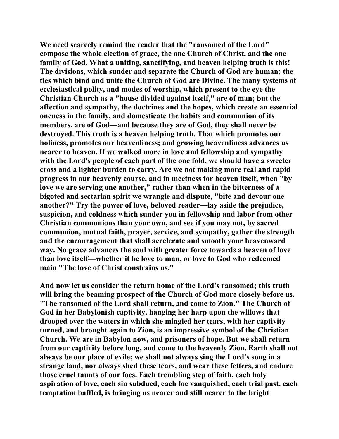**We need scarcely remind the reader that the "ransomed of the Lord" compose the whole election of grace, the one Church of Christ, and the one family of God. What a uniting, sanctifying, and heaven helping truth is this! The divisions, which sunder and separate the Church of God are human; the ties which bind and unite the Church of God are Divine. The many systems of ecclesiastical polity, and modes of worship, which present to the eye the Christian Church as a "house divided against itself," are of man; but the affection and sympathy, the doctrines and the hopes, which create an essential oneness in the family, and domesticate the habits and communion of its members, are of God—and because they are of God, they shall never be destroyed. This truth is a heaven helping truth. That which promotes our holiness, promotes our heavenliness; and growing heavenliness advances us nearer to heaven. If we walked more in love and fellowship and sympathy with the Lord's people of each part of the one fold, we should have a sweeter cross and a lighter burden to carry. Are we not making more real and rapid progress in our heavenly course, and in meetness for heaven itself, when "by love we are serving one another," rather than when in the bitterness of a bigoted and sectarian spirit we wrangle and dispute, "bite and devour one another?" Try the power of love, beloved reader—lay aside the prejudice, suspicion, and coldness which sunder you in fellowship and labor from other Christian communions than your own, and see if you may not, by sacred communion, mutual faith, prayer, service, and sympathy, gather the strength and the encouragement that shall accelerate and smooth your heavenward way. No grace advances the soul with greater force towards a heaven of love than love itself—whether it be love to man, or love to God who redeemed main "The love of Christ constrains us."** 

**And now let us consider the return home of the Lord's ransomed; this truth will bring the beaming prospect of the Church of God more closely before us. "The ransomed of the Lord shall return, and come to Zion." The Church of God in her Babylonish captivity, hanging her harp upon the willows that drooped over the waters in which she mingled her tears, with her captivity turned, and brought again to Zion, is an impressive symbol of the Christian Church. We are in Babylon now, and prisoners of hope. But we shall return from our captivity before long, and come to the heavenly Zion. Earth shall not always be our place of exile; we shall not always sing the Lord's song in a strange land, nor always shed these tears, and wear these fetters, and endure those cruel taunts of our foes. Each trembling step of faith, each holy aspiration of love, each sin subdued, each foe vanquished, each trial past, each temptation baffled, is bringing us nearer and still nearer to the bright**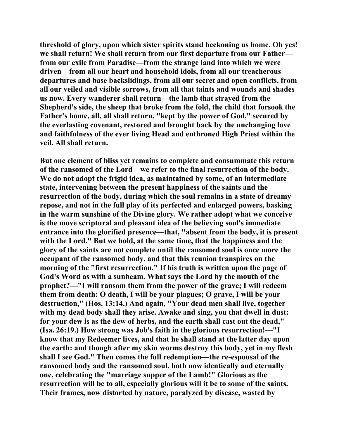**threshold of glory, upon which sister spirits stand beckoning us home. Oh yes! we shall return! We shall return from our first departure from our Father from our exile from Paradise—from the strange land into which we were driven—from all our heart and household idols, from all our treacherous departures and base backslidings, from all our secret and open conflicts, from all our veiled and visible sorrows, from all that taints and wounds and shades us now. Every wanderer shall return—the lamb that strayed from the Shepherd's side, the sheep that broke from the fold, the child that forsook the Father's home, all, all shall return, "kept by the power of God," secured by the everlasting covenant, restored and brought back by the unchanging love and faithfulness of the ever living Head and enthroned High Priest within the veil. All shall return.** 

**But one element of bliss yet remains to complete and consummate this return of the ransomed of the Lord—we refer to the final resurrection of the body. We do not adopt the frigid idea, as maintained by some, of an intermediate state, intervening between the present happiness of the saints and the resurrection of the body, during which the soul remains in a state of dreamy repose, and not in the full play of its perfected and enlarged powers, basking in the warm sunshine of the Divine glory. We rather adopt what we conceive is the move scriptural and pleasant idea of the believing soul's immediate entrance into the glorified presence—that, "absent from the body, it is present with the Lord." But we hold, at the same time, that the happiness and the glory of the saints are not complete until the ransomed soul is once more the occupant of the ransomed body, and that this reunion transpires on the morning of the "first resurrection." If his truth is written upon the page of God's Word as with a sunbeam. What says the Lord by the mouth of the prophet?—"I will ransom them from the power of the grave; I will redeem them from death: O death, I will be your plagues; O grave, I will be your destruction," (Hos. 13:14.) And again, "Your dead men shall live, together with my dead body shall they arise. Awake and sing, you that dwell in dust: for your dew is as the dew of herbs, and the earth shall cast out the dead," (Isa. 26:19.) How strong was Job's faith in the glorious resurrection!—"I know that my Redeemer lives, and that he shall stand at the latter day upon the earth: and though after my skin worms destroy this body, yet in my flesh shall I see God." Then comes the full redemption—the re-espousal of the ransomed body and the ransomed soul, both now identically and eternally one, celebrating the "marriage supper of the Lamb!" Glorious as the resurrection will be to all, especially glorious will it be to some of the saints. Their frames, now distorted by nature, paralyzed by disease, wasted by**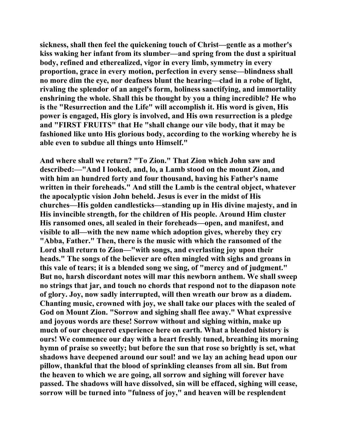**sickness, shall then feel the quickening touch of Christ—gentle as a mother's kiss waking her infant from its slumber—and spring from the dust a spiritual body, refined and etherealized, vigor in every limb, symmetry in every proportion, grace in every motion, perfection in every sense—blindness shall no more dim the eye, nor deafness blunt the hearing—clad in a robe of light, rivaling the splendor of an angel's form, holiness sanctifying, and immortality enshrining the whole. Shall this be thought by you a thing incredible? He who is the "Resurrection and the Life" will accomplish it. His word is given, His power is engaged, His glory is involved, and His own resurrection is a pledge and "FIRST FRUITS" that He "shall change our vile body, that it may be fashioned like unto His glorious body, according to the working whereby he is able even to subdue all things unto Himself."** 

**And where shall we return? "To Zion." That Zion which John saw and described:—"And I looked, and, lo, a Lamb stood on the mount Zion, and with him an hundred forty and four thousand, having his Father's name written in their foreheads." And still the Lamb is the central object, whatever the apocalyptic vision John beheld. Jesus is ever in the midst of His churches—His golden candlesticks—standing up in His divine majesty, and in His invincible strength, for the children of His people. Around Him cluster His ransomed ones, all sealed in their foreheads—open, and manifest, and visible to all—with the new name which adoption gives, whereby they cry "Abba, Father." Then, there is the music with which the ransomed of the Lord shall return to Zion—"with songs, and everlasting joy upon their heads." The songs of the believer are often mingled with sighs and groans in this vale of tears; it is a blended song we sing, of "mercy and of judgment." But no, harsh discordant notes will mar this newborn anthem. We shall sweep no strings that jar, and touch no chords that respond not to the diapason note of glory. Joy, now sadly interrupted, will then wreath our brow as a diadem. Chanting music, crowned with joy, we shall take our places with the sealed of God on Mount Zion. "Sorrow and sighing shall flee away." What expressive and joyous words are these! Sorrow without and sighing within, make up much of our chequered experience here on earth. What a blended history is ours! We commence our day with a heart freshly tuned, breathing its morning hymn of praise so sweetly; but before the sun that rose so brightly is set, what shadows have deepened around our soul! and we lay an aching head upon our pillow, thankful that the blood of sprinkling cleanses from all sin. But from the heaven to which we are going, all sorrow and sighing will forever have passed. The shadows will have dissolved, sin will be effaced, sighing will cease, sorrow will be turned into "fulness of joy," and heaven will be resplendent**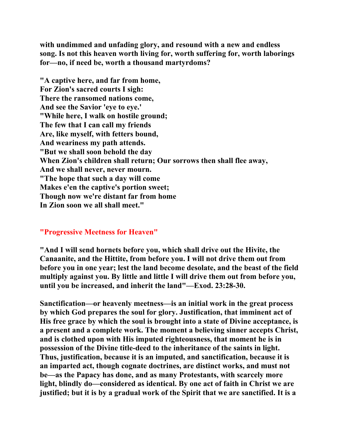**with undimmed and unfading glory, and resound with a new and endless song. Is not this heaven worth living for, worth suffering for, worth laborings for—no, if need be, worth a thousand martyrdoms?** 

**"A captive here, and far from home, For Zion's sacred courts I sigh: There the ransomed nations come, And see the Savior 'eye to eye.' "While here, I walk on hostile ground; The few that I can call my friends Are, like myself, with fetters bound, And weariness my path attends. "But we shall soon behold the day When Zion's children shall return; Our sorrows then shall flee away, And we shall never, never mourn. "The hope that such a day will come Makes e'en the captive's portion sweet; Though now we're distant far from home In Zion soon we all shall meet."** 

## **"Progressive Meetness for Heaven"**

**"And I will send hornets before you, which shall drive out the Hivite, the Canaanite, and the Hittite, from before you. I will not drive them out from before you in one year; lest the land become desolate, and the beast of the field multiply against you. By little and little I will drive them out from before you, until you be increased, and inherit the land"—Exod. 23:28-30.** 

**Sanctification—or heavenly meetness—is an initial work in the great process by which God prepares the soul for glory. Justification, that imminent act of His free grace by which the soul is brought into a state of Divine acceptance, is a present and a complete work. The moment a believing sinner accepts Christ, and is clothed upon with His imputed righteousness, that moment he is in possession of the Divine title-deed to the inheritance of the saints in light. Thus, justification, because it is an imputed, and sanctification, because it is an imparted act, though cognate doctrines, are distinct works, and must not be—as the Papacy has done, and as many Protestants, with scarcely more light, blindly do—considered as identical. By one act of faith in Christ we are justified; but it is by a gradual work of the Spirit that we are sanctified. It is a**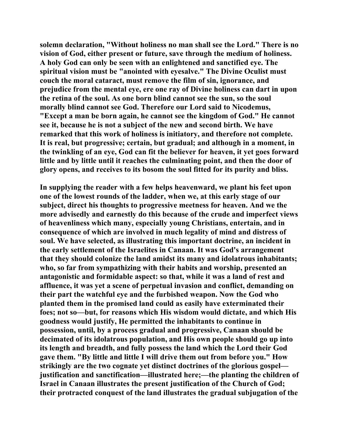**solemn declaration, "Without holiness no man shall see the Lord." There is no vision of God, either present or future, save through the medium of holiness. A holy God can only be seen with an enlightened and sanctified eye. The spiritual vision must be "anointed with eyesalve." The Divine Oculist must couch the moral cataract, must remove the film of sin, ignorance, and prejudice from the mental eye, ere one ray of Divine holiness can dart in upon the retina of the soul. As one born blind cannot see the sun, so the soul morally blind cannot see God. Therefore our Lord said to Nicodemus, "Except a man be born again, he cannot see the kingdom of God." He cannot see it, because he is not a subject of the new and second birth. We have remarked that this work of holiness is initiatory, and therefore not complete. It is real, but progressive; certain, but gradual; and although in a moment, in the twinkling of an eye, God can fit the believer for heaven, it yet goes forward little and by little until it reaches the culminating point, and then the door of glory opens, and receives to its bosom the soul fitted for its purity and bliss.** 

**In supplying the reader with a few helps heavenward, we plant his feet upon one of the lowest rounds of the ladder, when we, at this early stage of our subject, direct his thoughts to progressive meetness for heaven. And we the more advisedly and earnestly do this because of the crude and imperfect views of heavenliness which many, especially young Christians, entertain, and in consequence of which are involved in much legality of mind and distress of soul. We have selected, as illustrating this important doctrine, an incident in the early settlement of the Israelites in Canaan. It was God's arrangement that they should colonize the land amidst its many and idolatrous inhabitants; who, so far from sympathizing with their habits and worship, presented an antagonistic and formidable aspect: so that, while it was a land of rest and affluence, it was yet a scene of perpetual invasion and conflict, demanding on their part the watchful eye and the furbished weapon. Now the God who planted them in the promised land could as easily have exterminated their foes; not so—but, for reasons which His wisdom would dictate, and which His goodness would justify, He permitted the inhabitants to continue in possession, until, by a process gradual and progressive, Canaan should be decimated of its idolatrous population, and His own people should go up into its length and breadth, and fully possess the land which the Lord their God gave them. "By little and little I will drive them out from before you." How strikingly are the two cognate yet distinct doctrines of the glorious gospel justification and sanctification—illustrated here;—the planting the children of Israel in Canaan illustrates the present justification of the Church of God; their protracted conquest of the land illustrates the gradual subjugation of the**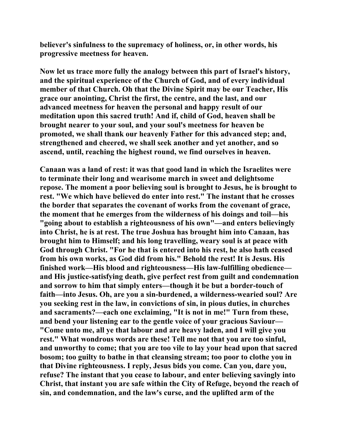**believer's sinfulness to the supremacy of holiness, or, in other words, his progressive meetness for heaven.** 

**Now let us trace more fully the analogy between this part of Israel's history, and the spiritual experience of the Church of God, and of every individual member of that Church. Oh that the Divine Spirit may be our Teacher, His grace our anointing, Christ the first, the centre, and the last, and our advanced meetness for heaven the personal and happy result of our meditation upon this sacred truth! And if, child of God, heaven shall be brought nearer to your soul, and your soul's meetness for heaven be promoted, we shall thank our heavenly Father for this advanced step; and, strengthened and cheered, we shall seek another and yet another, and so ascend, until, reaching the highest round, we find ourselves in heaven.** 

**Canaan was a land of rest: it was that good land in which the Israelites were to terminate their long and wearisome march in sweet and delightsome repose. The moment a poor believing soul is brought to Jesus, he is brought to rest. "We which have believed do enter into rest." The instant that he crosses the border that separates the covenant of works from the covenant of grace, the moment that he emerges from the wilderness of his doings and toil—his "going about to establish a righteousness of his own"—and enters believingly into Christ, he is at rest. The true Joshua has brought him into Canaan, has brought him to Himself; and his long travelling, weary soul is at peace with God through Christ. "For he that is entered into his rest, he also hath ceased from his own works, as God did from his." Behold the rest! It is Jesus. His finished work—His blood and righteousness—His law-fulfilling obedience and His justice-satisfying death, give perfect rest from guilt and condemnation and sorrow to him that simply enters—though it be but a border-touch of faith—into Jesus. Oh, are you a sin-burdened, a wilderness-wearied soul? Are you seeking rest in the law, in convictions of sin, in pious duties, in churches and sacraments?—each one exclaiming, "It is not in me!" Turn from these, and bend your listening ear to the gentle voice of your gracious Saviour— "Come unto me, all ye that labour and are heavy laden, and I will give you rest." What wondrous words are these! Tell me not that you are too sinful, and unworthy to come; that you are too vile to lay your head upon that sacred bosom; too guilty to bathe in that cleansing stream; too poor to clothe you in that Divine righteousness. I reply, Jesus bids you come. Can you, dare you, refuse? The instant that you cease to labour, and enter believing savingly into Christ, that instant you are safe within the City of Refuge, beyond the reach of sin, and condemnation, and the law's curse, and the uplifted arm of the**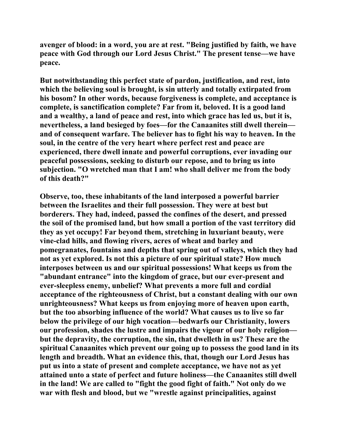**avenger of blood: in a word, you are at rest. "Being justified by faith, we have peace with God through our Lord Jesus Christ." The present tense—we have peace.** 

**But notwithstanding this perfect state of pardon, justification, and rest, into which the believing soul is brought, is sin utterly and totally extirpated from his bosom? In other words, because forgiveness is complete, and acceptance is complete, is sanctification complete? Far from it, beloved. It is a good land and a wealthy, a land of peace and rest, into which grace has led us, but it is, nevertheless, a land besieged by foes—for the Canaanites still dwell therein and of consequent warfare. The believer has to fight his way to heaven. In the soul, in the centre of the very heart where perfect rest and peace are experienced, there dwell innate and powerful corruptions, ever invading our peaceful possessions, seeking to disturb our repose, and to bring us into subjection. "O wretched man that I am! who shall deliver me from the body of this death?"** 

**Observe, too, these inhabitants of the land interposed a powerful barrier between the Israelites and their full possession. They were at best but borderers. They had, indeed, passed the confines of the desert, and pressed the soil of the promised land, but how small a portion of the vast territory did they as yet occupy! Far beyond them, stretching in luxuriant beauty, were vine-clad hills, and flowing rivers, acres of wheat and barley and pomegranates, fountains and depths that spring out of valleys, which they had not as yet explored. Is not this a picture of our spiritual state? How much interposes between us and our spiritual possessions! What keeps us from the "abundant entrance" into the kingdom of grace, but our ever-present and ever-sleepless enemy, unbelief? What prevents a more full and cordial acceptance of the righteousness of Christ, but a constant dealing with our own unrighteousness? What keeps us from enjoying more of heaven upon earth, but the too absorbing influence of the world? What causes us to live so far below the privilege of our high vocation—bedwarfs our Christianity, lowers our profession, shades the lustre and impairs the vigour of our holy religion but the depravity, the corruption, the sin, that dwelleth in us? These are the spiritual Canaanites which prevent our going up to possess the good land in its length and breadth. What an evidence this, that, though our Lord Jesus has put us into a state of present and complete acceptance, we have not as yet attained unto a state of perfect and future holiness—the Canaanites still dwell in the land! We are called to "fight the good fight of faith." Not only do we war with flesh and blood, but we "wrestle against principalities, against**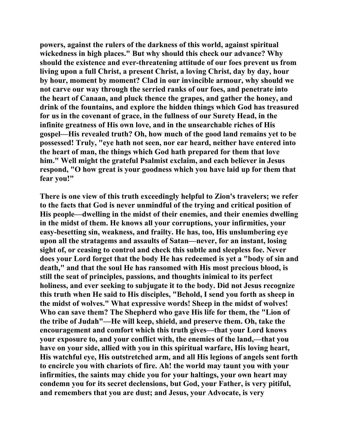**powers, against the rulers of the darkness of this world, against spiritual wickedness in high places." But why should this check our advance? Why should the existence and ever-threatening attitude of our foes prevent us from living upon a full Christ, a present Christ, a loving Christ, day by day, hour by hour, moment by moment? Clad in our invincible armour, why should we not carve our way through the serried ranks of our foes, and penetrate into the heart of Canaan, and pluck thence the grapes, and gather the honey, and drink of the fountains, and explore the hidden things which God has treasured for us in the covenant of grace, in the fullness of our Surety Head, in the infinite greatness of His own love, and in the unsearchable riches of His gospel—His revealed truth? Oh, how much of the good land remains yet to be possessed! Truly, "eye hath not seen, nor ear heard, neither have entered into the heart of man, the things which God hath prepared for them that love him." Well might the grateful Psalmist exclaim, and each believer in Jesus respond, "O how great is your goodness which you have laid up for them that fear you!"** 

**There is one view of this truth exceedingly helpful to Zion's travelers; we refer to the facts that God is never unmindful of the trying and critical position of His people—dwelling in the midst of their enemies, and their enemies dwelling in the midst of them. He knows all your corruptions, your infirmities, your easy-besetting sin, weakness, and frailty. He has, too, His unslumbering eye upon all the stratagems and assaults of Satan—never, for an instant, losing sight of, or ceasing to control and check this subtle and sleepless foe. Never does your Lord forget that the body He has redeemed is yet a "body of sin and death," and that the soul He has ransomed with His most precious blood, is still the seat of principles, passions, and thoughts inimical to its perfect holiness, and ever seeking to subjugate it to the body. Did not Jesus recognize this truth when He said to His disciples, "Behold, I send you forth as sheep in the midst of wolves." What expressive words! Sheep in the midst of wolves! Who can save them? The Shepherd who gave His life for them, the "Lion of the tribe of Judah"—He will keep, shield, and preserve them. Oh, take the encouragement and comfort which this truth gives—that your Lord knows your exposure to, and your conflict with, the enemies of the land,—that you have on your side, allied with you in this spiritual warfare, His loving heart, His watchful eye, His outstretched arm, and all His legions of angels sent forth to encircle you with chariots of fire. Ah! the world may taunt you with your infirmities, the saints may chide you for your haltings, your own heart may condemn you for its secret declensions, but God, your Father, is very pitiful, and remembers that you are dust; and Jesus, your Advocate, is very**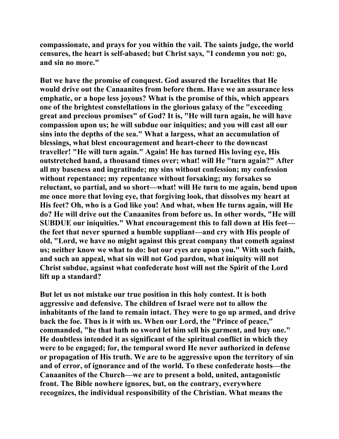**compassionate, and prays for you within the vail. The saints judge, the world censures, the heart is self-abased; but Christ says, "I condemn you not: go, and sin no more."** 

**But we have the promise of conquest. God assured the Israelites that He would drive out the Canaanites from before them. Have we an assurance less emphatic, or a hope less joyous? What is the promise of this, which appears one of the brightest constellations in the glorious galaxy of the "exceeding great and precious promises" of God? It is, "He will turn again, he will have compassion upon us; he will subdue our iniquities; and you will cast all our sins into the depths of the sea." What a largess, what an accumulation of blessings, what blest encouragement and heart-cheer to the downcast traveller! "He will turn again." Again! He has turned His loving eye, His outstretched hand, a thousand times over; what! will He "turn again?" After all my baseness and ingratitude; my sins without confession; my confession without repentance; my repentance without forsaking; my forsakes so reluctant, so partial, and so short—what! will He turn to me again, bend upon me once more that loving eye, that forgiving look, that dissolves my heart at His feet? Oh, who is a God like you! And what, when He turns again, will He do? He will drive out the Canaanites from before us. In other words, "He will SUBDUE our iniquities." What encouragement this to fall down at His feet the feet that never spurned a humble suppliant—and cry with His people of old, "Lord, we have no might against this great company that cometh against us; neither know we what to do: but our eyes are upon you." With such faith, and such an appeal, what sin will not God pardon, what iniquity will not Christ subdue, against what confederate host will not the Spirit of the Lord lift up a standard?** 

**But let us not mistake our true position in this holy contest. It is both aggressive and defensive. The children of Israel were not to allow the inhabitants of the land to remain intact. They were to go up armed, and drive back the foe. Thus is it with us. When our Lord, the "Prince of peace," commanded, "he that hath no sword let him sell his garment, and buy one." He doubtless intended it as significant of the spiritual conflict in which they were to be engaged; for, the temporal sword He never authorized in defense or propagation of His truth. We are to be aggressive upon the territory of sin and of error, of ignorance and of the world. To these confederate hosts—the Canaanites of the Church—we are to present a bold, united, antagonistic front. The Bible nowhere ignores, but, on the contrary, everywhere recognizes, the individual responsibility of the Christian. What means the**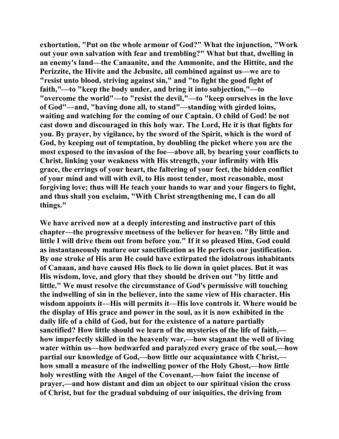**exhortation, "Put on the whole armour of God?" What the injunction, "Work out your own salvation with fear and trembling?" What but that, dwelling in an enemy's land—the Canaanite, and the Ammonite, and the Hittite, and the Perizzite, the Hivite and the Jebusite, all combined against us—we are to "resist unto blood, striving against sin," and "to fight the good fight of faith,"—to "keep the body under, and bring it into subjection,"—to "overcome the world"—to "resist the devil,"—to "keep ourselves in the love of God"—and, "having done all, to stand"—standing with girded loins, waiting and watching for the coming of our Captain. O child of God! be not cast down and discouraged in this holy war. The Lord, He it is that fights for you. By prayer, by vigilance, by the sword of the Spirit, which is the word of God, by keeping out of temptation, by doubling the picket where you are the most exposed to the invasion of the foe—above all, by bearing your conflicts to Christ, linking your weakness with His strength, your infirmity with His grace, the errings of your heart, the faltering of your feet, the hidden conflict of your mind and will with evil, to His most tender, most reasonable, most forgiving love; thus will He teach your hands to war and your fingers to fight, and thus shall you exclaim, "With Christ strengthening me, I can do all things."** 

**We have arrived now at a deeply interesting and instructive part of this chapter—the progressive meetness of the believer for heaven. "By little and little I will drive them out from before you." If it so pleased Him, God could as instantaneously mature our sanctification as He perfects our justification. By one stroke of His arm He could have extirpated the idolatrous inhabitants of Canaan, and have caused His flock to lie down in quiet places. But it was His wisdom, love, and glory that they should be driven out "by little and little." We must resolve the circumstance of God's permissive will touching the indwelling of sin in the believer, into the same view of His character. His wisdom appoints it—His will permits it—His love controls it. Where would be the display of His grace and power in the soul, as it is now exhibited in the daily life of a child of God, but for the existence of a nature partially sanctified? How little should we learn of the mysteries of the life of faith, how imperfectly skilled in the heavenly war,—how stagnant the well of living water within us—how bedwarfed and paralyzed every grace of the soul,—how partial our knowledge of God,—how little our acquaintance with Christ, how small a measure of the indwelling power of the Holy Ghost,—how little holy wrestling with the Angel of the Covenant,—how faint the incense of prayer,—and how distant and dim an object to our spiritual vision the cross of Christ, but for the gradual subduing of our iniquities, the driving from**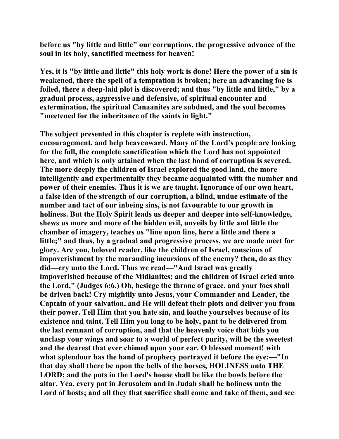**before us "by little and little" our corruptions, the progressive advance of the soul in its holy, sanctified meetness for heaven!** 

**Yes, it is "by little and little" this holy work is done! Here the power of a sin is weakened, there the spell of a temptation is broken; here an advancing foe is foiled, there a deep-laid plot is discovered; and thus "by little and little," by a gradual process, aggressive and defensive, of spiritual encounter and extermination, the spiritual Canaanites are subdued, and the soul becomes "meetened for the inheritance of the saints in light."** 

**The subject presented in this chapter is replete with instruction, encouragement, and help heavenward. Many of the Lord's people are looking for the full, the complete sanctification which the Lord has not appointed here, and which is only attained when the last bond of corruption is severed. The more deeply the children of Israel explored the good land, the more intelligently and experimentally they became acquainted with the number and power of their enemies. Thus it is we are taught. Ignorance of our own heart, a false idea of the strength of our corruption, a blind, undue estimate of the number and tact of our inbeing sins, is not favourable to our growth in holiness. But the Holy Spirit leads us deeper and deeper into self-knowledge, shews us more and more of the hidden evil, unveils by little and little the chamber of imagery, teaches us "line upon line, here a little and there a little;" and thus, by a gradual and progressive process, we are made meet for glory. Are you, beloved reader, like the children of Israel, conscious of impoverishment by the marauding incursions of the enemy? then, do as they did—cry unto the Lord. Thus we read—"And Israel was greatly impoverished because of the Midianites; and the children of Israel cried unto the Lord," (Judges 6:6.) Oh, besiege the throne of grace, and your foes shall be driven back! Cry mightily unto Jesus, your Commander and Leader, the Captain of your salvation, and He will defeat their plots and deliver you from their power. Tell Him that you hate sin, and loathe yourselves because of its existence and taint. Tell Him you long to be holy, pant to be delivered from the last remnant of corruption, and that the heavenly voice that bids you unclasp your wings and soar to a world of perfect purity, will be the sweetest and the dearest that ever chimed upon your ear. O blessed moment! with what splendour has the hand of prophecy portrayed it before the eye:—"In that day shall there be upon the bells of the horses, HOLINESS unto THE LORD; and the pots in the Lord's house shall be like the bowls before the altar. Yea, every pot in Jerusalem and in Judah shall be holiness unto the Lord of hosts; and all they that sacrifice shall come and take of them, and see**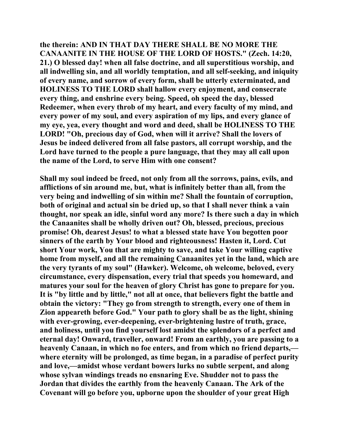**the therein: AND IN THAT DAY THERE SHALL BE NO MORE THE CANAANITE IN THE HOUSE OF THE LORD OF HOSTS." (Zech. 14:20, 21.) O blessed day! when all false doctrine, and all superstitious worship, and all indwelling sin, and all worldly temptation, and all self-seeking, and iniquity of every name, and sorrow of every form, shall be utterly exterminated, and HOLINESS TO THE LORD shall hallow every enjoyment, and consecrate every thing, and enshrine every being. Speed, oh speed the day, blessed Redeemer, when every throb of my heart, and every faculty of my mind, and every power of my soul, and every aspiration of my lips, and every glance of my eye, yea, every thought and word and deed, shall be HOLINESS TO THE LORD! "Oh, precious day of God, when will it arrive? Shall the lovers of Jesus be indeed delivered from all false pastors, all corrupt worship, and the Lord have turned to the people a pure language, that they may all call upon the name of the Lord, to serve Him with one consent?** 

**Shall my soul indeed be freed, not only from all the sorrows, pains, evils, and afflictions of sin around me, but, what is infinitely better than all, from the very being and indwelling of sin within me? Shall the fountain of corruption, both of original and actual sin be dried up, so that I shall never think a vain thought, nor speak an idle, sinful word any more? Is there such a day in which the Canaanites shall be wholly driven out? Oh, blessed, precious, precious promise! Oh, dearest Jesus! to what a blessed state have You begotten poor sinners of the earth by Your blood and righteousness! Hasten it, Lord. Cut short Your work, You that are mighty to save, and take Your willing captive home from myself, and all the remaining Canaanites yet in the land, which are the very tyrants of my soul" (Hawker). Welcome, oh welcome, beloved, every circumstance, every dispensation, every trial that speeds you homeward, and matures your soul for the heaven of glory Christ has gone to prepare for you. It is "by little and by little," not all at once, that believers fight the battle and obtain the victory: "They go from strength to strength, every one of them in Zion appeareth before God." Your path to glory shall be as the light, shining with ever-growing, ever-deepening, ever-brightening lustre of truth, grace, and holiness, until you find yourself lost amidst the splendors of a perfect and eternal day! Onward, traveller, onward! From an earthly, you are passing to a heavenly Canaan, in which no foe enters, and from which no friend departs, where eternity will be prolonged, as time began, in a paradise of perfect purity and love,—amidst whose verdant bowers lurks no subtle serpent, and along whose sylvan windings treads no ensnaring Eve. Shudder not to pass the Jordan that divides the earthly from the heavenly Canaan. The Ark of the Covenant will go before you, upborne upon the shoulder of your great High**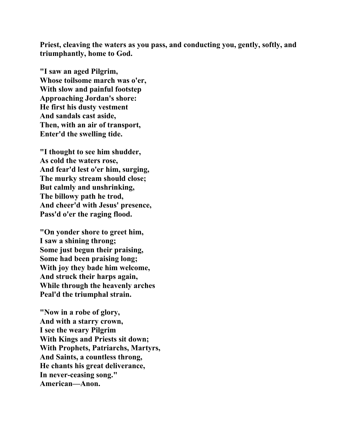**Priest, cleaving the waters as you pass, and conducting you, gently, softly, and triumphantly, home to God.** 

**"I saw an aged Pilgrim, Whose toilsome march was o'er, With slow and painful footstep Approaching Jordan's shore: He first his dusty vestment And sandals cast aside, Then, with an air of transport, Enter'd the swelling tide.** 

**"I thought to see him shudder, As cold the waters rose, And fear'd lest o'er him, surging, The murky stream should close; But calmly and unshrinking, The billowy path he trod, And cheer'd with Jesus' presence, Pass'd o'er the raging flood.** 

**"On yonder shore to greet him, I saw a shining throng; Some just begun their praising, Some had been praising long; With joy they bade him welcome, And struck their harps again, While through the heavenly arches Peal'd the triumphal strain.** 

**"Now in a robe of glory, And with a starry crown, I see the weary Pilgrim With Kings and Priests sit down; With Prophets, Patriarchs, Martyrs, And Saints, a countless throng, He chants his great deliverance, In never-ceasing song." American—Anon.**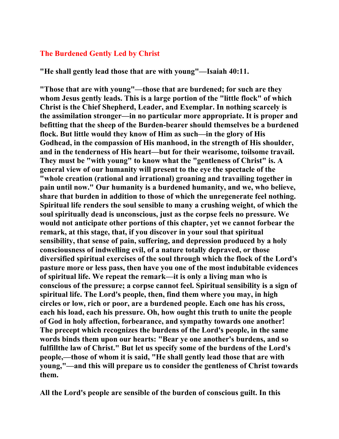## **The Burdened Gently Led by Christ**

**"He shall gently lead those that are with young"—Isaiah 40:11.** 

**"Those that are with young"—those that are burdened; for such are they whom Jesus gently leads. This is a large portion of the "little flock" of which Christ is the Chief Shepherd, Leader, and Exemplar. In nothing scarcely is the assimilation stronger—in no particular more appropriate. It is proper and befitting that the sheep of the Burden-bearer should themselves be a burdened flock. But little would they know of Him as such—in the glory of His Godhead, in the compassion of His manhood, in the strength of His shoulder, and in the tenderness of His heart—but for their wearisome, toilsome travail. They must be "with young" to know what the "gentleness of Christ" is. A general view of our humanity will present to the eye the spectacle of the "whole creation (rational and irrational) groaning and travailing together in pain until now." Our humanity is a burdened humanity, and we, who believe, share that burden in addition to those of which the unregenerate feel nothing. Spiritual life renders the soul sensible to many a crushing weight, of which the soul spiritually dead is unconscious, just as the corpse feels no pressure. We would not anticipate other portions of this chapter, yet we cannot forbear the remark, at this stage, that, if you discover in your soul that spiritual sensibility, that sense of pain, suffering, and depression produced by a holy consciousness of indwelling evil, of a nature totally depraved, or those diversified spiritual exercises of the soul through which the flock of the Lord's pasture more or less pass, then have you one of the most indubitable evidences of spiritual life. We repeat the remark—it is only a living man who is conscious of the pressure; a corpse cannot feel. Spiritual sensibility is a sign of spiritual life. The Lord's people, then, find them where you may, in high circles or low, rich or poor, are a burdened people. Each one has his cross, each his load, each his pressure. Oh, how ought this truth to unite the people of God in holy affection, forbearance, and sympathy towards one another! The precept which recognizes the burdens of the Lord's people, in the same words binds them upon our hearts: "Bear ye one another's burdens, and so fulfillthe law of Christ." But let us specify some of the burdens of the Lord's people,—those of whom it is said, "He shall gently lead those that are with young,"—and this will prepare us to consider the gentleness of Christ towards them.** 

**All the Lord's people are sensible of the burden of conscious guilt. In this**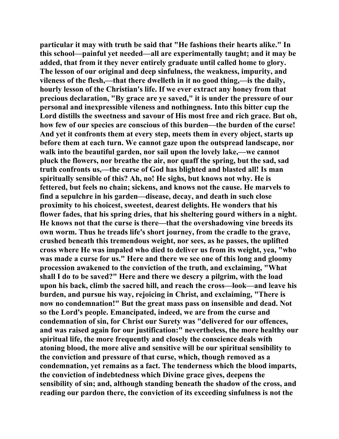**particular it may with truth be said that "He fashions their hearts alike." In this school—painful yet needed—all are experimentally taught; and it may be added, that from it they never entirely graduate until called home to glory. The lesson of our original and deep sinfulness, the weakness, impurity, and vileness of the flesh,—that there dwelleth in it no good thing,—is the daily, hourly lesson of the Christian's life. If we ever extract any honey from that precious declaration, "By grace are ye saved," it is under the pressure of our personal and inexpressible vileness and nothingness. Into this bitter cup the Lord distills the sweetness and savour of His most free and rich grace. But oh, how few of our species are conscious of this burden—the burden of the curse! And yet it confronts them at every step, meets them in every object, starts up before them at each turn. We cannot gaze upon the outspread landscape, nor walk into the beautiful garden, nor sail upon the lovely lake,—we cannot pluck the flowers, nor breathe the air, nor quaff the spring, but the sad, sad truth confronts us,—the curse of God has blighted and blasted all! Is man spiritually sensible of this? Ah, no! He sighs, but knows not why. He is fettered, but feels no chain; sickens, and knows not the cause. He marvels to find a sepulchre in his garden—disease, decay, and death in such close proximity to his choicest, sweetest, dearest delights. He wonders that his flower fades, that his spring dries, that his sheltering gourd withers in a night. He knows not that the curse is there—that the overshadowing vine breeds its own worm. Thus he treads life's short journey, from the cradle to the grave, crushed beneath this tremendous weight, nor sees, as he passes, the uplifted cross where He was impaled who died to deliver us from its weight, yea, "who was made a curse for us." Here and there we see one of this long and gloomy procession awakened to the conviction of the truth, and exclaiming, "What shall I do to be saved?" Here and there we descry a pilgrim, with the load upon his back, climb the sacred hill, and reach the cross—look—and leave his burden, and pursue his way, rejoicing in Christ, and exclaiming, "There is now no condemnation!" But the great mass pass on insensible and dead. Not so the Lord's people. Emancipated, indeed, we are from the curse and condemnation of sin, for Christ our Surety was "delivered for our offences, and was raised again for our justification:" nevertheless, the more healthy our spiritual life, the more frequently and closely the conscience deals with atoning blood, the more alive and sensitive will be our spiritual sensibility to the conviction and pressure of that curse, which, though removed as a condemnation, yet remains as a fact. The tenderness which the blood imparts, the conviction of indebtedness which Divine grace gives, deepens the sensibility of sin; and, although standing beneath the shadow of the cross, and reading our pardon there, the conviction of its exceeding sinfulness is not the**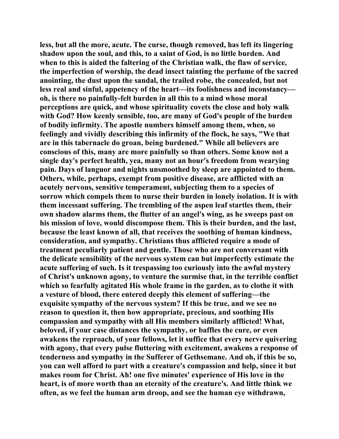**less, but all the more, acute. The curse, though removed, has left its lingering shadow upon the soul, and this, to a saint of God, is no little burden. And when to this is aided the faltering of the Christian walk, the flaw of service, the imperfection of worship, the dead insect tainting the perfume of the sacred anointing, the dust upon the sandal, the trailed robe, the concealed, but not less real and sinful, appetency of the heart—its foolishness and inconstancy oh, is there no painfully-felt burden in all this to a mind whose moral perceptions are quick, and whose spirituality covets the close and holy walk with God? How keenly sensible, too, are many of God's people of the burden of bodily infirmity. The apostle numbers himself among them, when, so feelingly and vividly describing this infirmity of the flock, he says, "We that are in this tabernacle do groan, being burdened." While all believers are conscious of this, many are more painfully so than others. Some know not a single day's perfect health, yea, many not an hour's freedom from wearying pain. Days of languor and nights unsmoothed by sleep are appointed to them. Others, while, perhaps, exempt from positive disease, are afflicted with an acutely nervous, sensitive temperament, subjecting them to a species of sorrow which compels them to nurse their burden in lonely isolation. It is with them incessant suffering. The trembling of the aspen leaf startles them, their own shadow alarms them, the flutter of an angel's wing, as he sweeps past on his mission of love, would discompose them. This is their burden, and the last, because the least known of all, that receives the soothing of human kindness, consideration, and sympathy. Christians thus afflicted require a mode of treatment peculiarly patient and gentle. Those who are not conversant with the delicate sensibility of the nervous system can but imperfectly estimate the acute suffering of such. Is it trespassing too curiously into the awful mystery of Christ's unknown agony, to venture the surmise that, in the terrible conflict which so fearfully agitated His whole frame in the garden, as to clothe it with a vesture of blood, there entered deeply this element of suffering—the exquisite sympathy of the nervous system? If this be true, and we see no reason to question it, then how appropriate, precious, and soothing His compassion and sympathy with all His members similarly afflicted! What, beloved, if your case distances the sympathy, or baffles the cure, or even awakens the reproach, of your fellows, let it suffice that every nerve quivering with agony, that every pulse fluttering with excitement, awakens a response of tenderness and sympathy in the Sufferer of Gethsemane. And oh, if this be so, you can well afford to part with a creature's compassion and help, since it but makes room for Christ. Ah! one five minutes' experience of His love in the heart, is of more worth than an eternity of the creature's. And little think we often, as we feel the human arm droop, and see the human eye withdrawn,**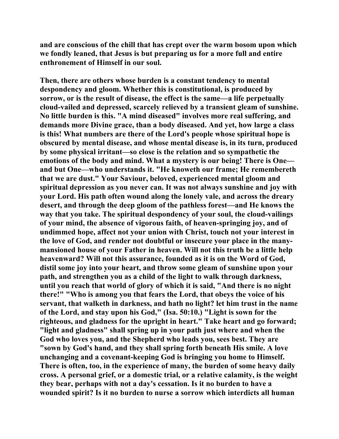**and are conscious of the chill that has crept over the warm bosom upon which we fondly leaned, that Jesus is but preparing us for a more full and entire enthronement of Himself in our soul.** 

**Then, there are others whose burden is a constant tendency to mental despondency and gloom. Whether this is constitutional, is produced by sorrow, or is the result of disease, the effect is the same—a life perpetually cloud-vailed and depressed, scarcely relieved by a transient gleam of sunshine. No little burden is this. "A mind diseased" involves more real suffering, and demands more Divine grace, than a body diseased. And yet, how large a class is this! What numbers are there of the Lord's people whose spiritual hope is obscured by mental disease, and whose mental disease is, in its turn, produced by some physical irritant—so close is the relation and so sympathetic the emotions of the body and mind. What a mystery is our being! There is One and but One—who understands it. "He knoweth our frame; He remembereth that we are dust." Your Saviour, beloved, experienced mental gloom and spiritual depression as you never can. It was not always sunshine and joy with your Lord. His path often wound along the lonely vale, and across the dreary desert, and through the deep gloom of the pathless forest—and He knows the way that you take. The spiritual despondency of your soul, the cloud-vailings of your mind, the absence of vigorous faith, of heaven-springing joy, and of undimmed hope, affect not your union with Christ, touch not your interest in the love of God, and render not doubtful or insecure your place in the manymansioned house of your Father in heaven. Will not this truth be a little help heavenward? Will not this assurance, founded as it is on the Word of God, distil some joy into your heart, and throw some gleam of sunshine upon your path, and strengthen you as a child of the light to walk through darkness, until you reach that world of glory of which it is said, "And there is no night there!" "Who is among you that fears the Lord, that obeys the voice of his servant, that walketh in darkness, and hath no light? let him trust in the name of the Lord, and stay upon his God," (Isa. 50:10.) "Light is sown for the righteous, and gladness for the upright in heart." Take heart and go forward; "light and gladness" shall spring up in your path just where and when the God who loves you, and the Shepherd who leads you, sees best. They are "sown by God's hand, and they shall spring forth beneath His smile. A love unchanging and a covenant-keeping God is bringing you home to Himself. There is often, too, in the experience of many, the burden of some heavy daily cross. A personal grief, or a domestic trial, or a relative calamity, is the weight they bear, perhaps with not a day's cessation. Is it no burden to have a wounded spirit? Is it no burden to nurse a sorrow which interdicts all human**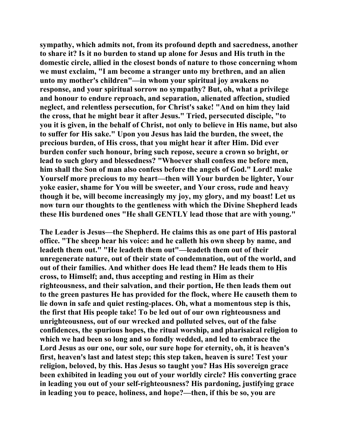**sympathy, which admits not, from its profound depth and sacredness, another to share it? Is it no burden to stand up alone for Jesus and His truth in the domestic circle, allied in the closest bonds of nature to those concerning whom we must exclaim, "I am become a stranger unto my brethren, and an alien unto my mother's children"—in whom your spiritual joy awakens no response, and your spiritual sorrow no sympathy? But, oh, what a privilege and honour to endure reproach, and separation, alienated affection, studied neglect, and relentless persecution, for Christ's sake! "And on him they laid the cross, that he might bear it after Jesus." Tried, persecuted disciple, "to you it is given, in the behalf of Christ, not only to believe in His name, but also to suffer for His sake." Upon you Jesus has laid the burden, the sweet, the precious burden, of His cross, that you might hear it after Him. Did ever burden confer such honour, bring such repose, secure a crown so bright, or lead to such glory and blessedness? "Whoever shall confess me before men, him shall the Son of man also confess before the angels of God." Lord! make Yourself more precious to my heart—then will Your burden be lighter, Your yoke easier, shame for You will be sweeter, and Your cross, rude and heavy though it be, will become increasingly my joy, my glory, and my boast! Let us now turn our thoughts to the gentleness with which the Divine Shepherd leads these His burdened ones "He shall GENTLY lead those that are with young."** 

**The Leader is Jesus—the Shepherd. He claims this as one part of His pastoral office. "The sheep hear his voice: and he calleth his own sheep by name, and leadeth them out." "He leadeth them out"—leadeth them out of their unregenerate nature, out of their state of condemnation, out of the world, and out of their families. And whither does He lead them? He leads them to His cross, to Himself; and, thus accepting and resting in Him as their righteousness, and their salvation, and their portion, He then leads them out to the green pastures He has provided for the flock, where He causeth them to lie down in safe and quiet resting-places. Oh, what a momentous step is this, the first that His people take! To be led out of our own righteousness and unrighteousness, out of our wrecked and polluted selves, out of the false confidences, the spurious hopes, the ritual worship, and pharisaical religion to which we had been so long and so fondly wedded, and led to embrace the Lord Jesus as our one, our sole, our sure hope for eternity, oh, it is heaven's first, heaven's last and latest step; this step taken, heaven is sure! Test your religion, beloved, by this. Has Jesus so taught you? Has His sovereign grace been exhibited in leading you out of your worldly circle? His converting grace in leading you out of your self-righteousness? His pardoning, justifying grace in leading you to peace, holiness, and hope?—then, if this be so, you are**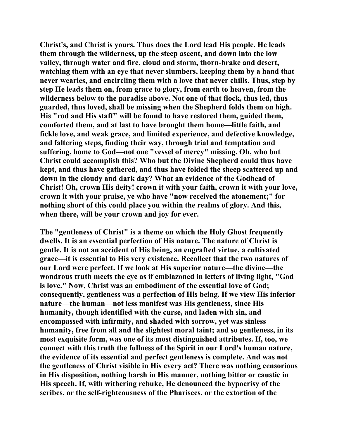**Christ's, and Christ is yours. Thus does the Lord lead His people. He leads them through the wilderness, up the steep ascent, and down into the low valley, through water and fire, cloud and storm, thorn-brake and desert, watching them with an eye that never slumbers, keeping them by a hand that never wearies, and encircling them with a love that never chills. Thus, step by step He leads them on, from grace to glory, from earth to heaven, from the wilderness below to the paradise above. Not one of that flock, thus led, thus guarded, thus loved, shall be missing when the Shepherd folds them on high. His "rod and His staff" will be found to have restored them, guided them, comforted them, and at last to have brought them home—little faith, and fickle love, and weak grace, and limited experience, and defective knowledge, and faltering steps, finding their way, through trial and temptation and suffering, home to God—not one "vessel of mercy" missing. Oh, who but Christ could accomplish this? Who but the Divine Shepherd could thus have kept, and thus have gathered, and thus have folded the sheep scattered up and down in the cloudy and dark day? What an evidence of the Godhead of Christ! Oh, crown His deity! crown it with your faith, crown it with your love, crown it with your praise, ye who have "now received the atonement;" for nothing short of this could place you within the realms of glory. And this, when there, will be your crown and joy for ever.** 

**The "gentleness of Christ" is a theme on which the Holy Ghost frequently dwells. It is an essential perfection of His nature. The nature of Christ is gentle. It is not an accident of His being, an engrafted virtue, a cultivated grace—it is essential to His very existence. Recollect that the two natures of our Lord were perfect. If we look at His superior nature—the divine—the wondrous truth meets the eye as if emblazoned in letters of living light, "God is love." Now, Christ was an embodiment of the essential love of God; consequently, gentleness was a perfection of His being. If we view His inferior nature—the human—not less manifest was His gentleness, since His humanity, though identified with the curse, and laden with sin, and encompassed with infirmity, and shaded with sorrow, yet was sinless humanity, free from all and the slightest moral taint; and so gentleness, in its most exquisite form, was one of its most distinguished attributes. If, too, we connect with this truth the fullness of the Spirit in our Lord's human nature, the evidence of its essential and perfect gentleness is complete. And was not the gentleness of Christ visible in His every act? There was nothing censorious in His disposition, nothing harsh in His manner, nothing bitter or caustic in His speech. If, with withering rebuke, He denounced the hypocrisy of the scribes, or the self-righteousness of the Pharisees, or the extortion of the**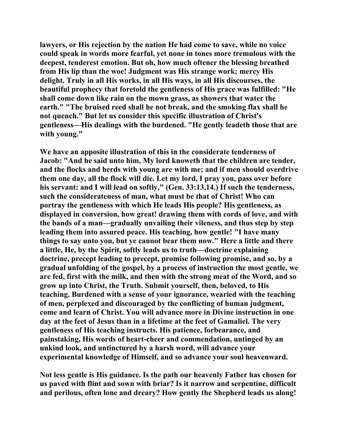**lawyers, or His rejection by the nation He had come to save, while no voice could speak in words more fearful, yet none in tones more tremulous with the deepest, tenderest emotion. But oh, how much oftener the blessing breathed from His lip than the woe! Judgment was His strange work; mercy His delight. Truly in all His works, in all His ways, in all His discourses, the beautiful prophecy that foretold the gentleness of His grace was fulfilled: "He shall come down like rain on the mown grass, as showers that water the earth." "The bruised reed shall he not break, and the smoking flax shall he not quench." But let us consider this specific illustration of Christ's gentleness—His dealings with the burdened. "He gently leadeth those that are with young."** 

**We have an apposite illustration of this in the considerate tenderness of Jacob: "And he said unto him, My lord knoweth that the children are tender, and the flocks and herds with young are with me; and if men should overdrive them one day, all the flock will die. Let my lord, I pray you, pass over before his servant: and I will lead on softly," (Gen. 33:13,14.) If such the tenderness, such the considerateness of man, what must be that of Christ! Who can portray the gentleness with which He leads His people? His gentleness, as displayed in conversion, how great! drawing them with cords of love, and with the bands of a man—gradually unvailing their vileness, and thus step by step leading them into assured peace. His teaching, how gentle! "I have many things to say unto you, but ye cannot bear them now." Here a little and there a little, He, by the Spirit, softly leads us to truth—doctrine explaining doctrine, precept leading to precept, promise following promise, and so, by a gradual unfolding of the gospel, by a process of instruction the most gentle, we are fed, first with the milk, and then with the strong meat of the Word, and so grow up into Christ, the Truth. Submit yourself, then, beloved, to His teaching. Burdened with a sense of your ignorance, wearied with the teaching of men, perplexed and discouraged by the conflicting of human judgment, come and learn of Christ. You will advance more in Divine instruction in one day at the feet of Jesus than in a lifetime at the feet of Gamaliel. The very gentleness of His teaching instructs. His patience, forbearance, and painstaking, His words of heart-cheer and commendation, untinged by an unkind look, and untinctured by a harsh word, will advance your experimental knowledge of Himself, and so advance your soul heavenward.** 

**Not less gentle is His guidance. Is the path our heavenly Father has chosen for us paved with flint and sown with briar? Is it narrow and serpentine, difficult and perilous, often lone and dreary? How gently the Shepherd leads us along!**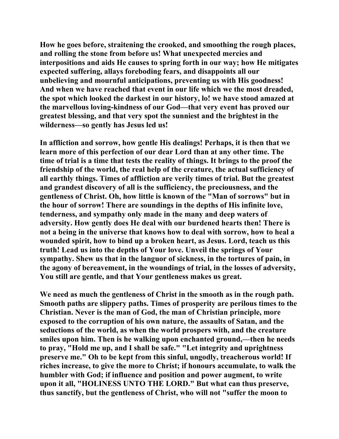**How he goes before, straitening the crooked, and smoothing the rough places, and rolling the stone from before us! What unexpected mercies and interpositions and aids He causes to spring forth in our way; how He mitigates expected suffering, allays foreboding fears, and disappoints all our unbelieving and mournful anticipations, preventing us with His goodness! And when we have reached that event in our life which we the most dreaded, the spot which looked the darkest in our history, lo! we have stood amazed at the marvellous loving-kindness of our God—that very event has proved our greatest blessing, and that very spot the sunniest and the brightest in the wilderness—so gently has Jesus led us!** 

**In affliction and sorrow, how gentle His dealings! Perhaps, it is then that we learn more of this perfection of our dear Lord than at any other time. The time of trial is a time that tests the reality of things. It brings to the proof the friendship of the world, the real help of the creature, the actual sufficiency of all earthly things. Times of affliction are verily times of trial. But the greatest and grandest discovery of all is the sufficiency, the preciousness, and the gentleness of Christ. Oh, how little is known of the "Man of sorrows" but in the hour of sorrow! There are soundings in the depths of His infinite love, tenderness, and sympathy only made in the many and deep waters of adversity. How gently does He deal with our burdened hearts then! There is not a being in the universe that knows how to deal with sorrow, how to heal a wounded spirit, how to bind up a broken heart, as Jesus. Lord, teach us this truth! Lead us into the depths of Your love. Unveil the springs of Your sympathy. Shew us that in the languor of sickness, in the tortures of pain, in the agony of bereavement, in the woundings of trial, in the losses of adversity, You still are gentle, and that Your gentleness makes us great.** 

**We need as much the gentleness of Christ in the smooth as in the rough path. Smooth paths are slippery paths. Times of prosperity are perilous times to the Christian. Never is the man of God, the man of Christian principle, more exposed to the corruption of his own nature, the assaults of Satan, and the seductions of the world, as when the world prospers with, and the creature smiles upon him. Then is he walking upon enchanted ground,—then he needs to pray, "Hold me up, and I shall be safe." "Let integrity and uprightness preserve me." Oh to be kept from this sinful, ungodly, treacherous world! If riches increase, to give the more to Christ; if honours accumulate, to walk the humbler with God; if influence and position and power augment, to write upon it all, "HOLINESS UNTO THE LORD." But what can thus preserve, thus sanctify, but the gentleness of Christ, who will not "suffer the moon to**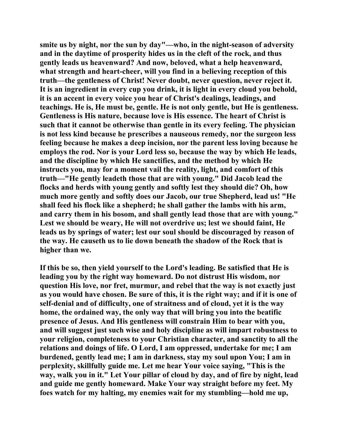**smite us by night, nor the sun by day"—who, in the night-season of adversity and in the daytime of prosperity hides us in the cleft of the rock, and thus gently leads us heavenward? And now, beloved, what a help heavenward, what strength and heart-cheer, will you find in a believing reception of this truth—the gentleness of Christ! Never doubt, never question, never reject it. It is an ingredient in every cup you drink, it is light in every cloud you behold, it is an accent in every voice you hear of Christ's dealings, leadings, and teachings. He is, He must be, gentle. He is not only gentle, but He is gentleness. Gentleness is His nature, because love is His essence. The heart of Christ is such that it cannot be otherwise than gentle in its every feeling. The physician is not less kind because he prescribes a nauseous remedy, nor the surgeon less feeling because he makes a deep incision, nor the parent less loving because he employs the rod. Nor is your Lord less so, because the way by which He leads, and the discipline by which He sanctifies, and the method by which He instructs you, may for a moment vail the reality, light, and comfort of this truth—"He gently leadeth those that are with young." Did Jacob lead the flocks and herds with young gently and softly lest they should die? Oh, how much more gently and softly does our Jacob, our true Shepherd, lead us! "He shall feed his flock like a shepherd; he shall gather the lambs with his arm, and carry them in his bosom, and shall gently lead those that are with young." Lest we should be weary, He will not overdrive us; lest we should faint, He leads us by springs of water; lest our soul should be discouraged by reason of the way. He causeth us to lie down beneath the shadow of the Rock that is higher than we.** 

**If this be so, then yield yourself to the Lord's leading. Be satisfied that He is leading you by the right way homeward. Do not distrust His wisdom, nor question His love, nor fret, murmur, and rebel that the way is not exactly just as you would have chosen. Be sure of this, it is the right way; and if it is one of self-denial and of difficulty, one of straitness and of cloud, yet it is the way home, the ordained way, the only way that will bring you into the beatific presence of Jesus. And His gentleness will constrain Him to bear with you, and will suggest just such wise and holy discipline as will impart robustness to your religion, completeness to your Christian character, and sanctity to all the relations and doings of life. O Lord, I am oppressed, undertake for me; I am burdened, gently lead me; I am in darkness, stay my soul upon You; I am in perplexity, skillfully guide me. Let me hear Your voice saying, "This is the way, walk you in it." Let Your pillar of cloud by day, and of fire by night, lead and guide me gently homeward. Make Your way straight before my feet. My foes watch for my halting, my enemies wait for my stumbling—hold me up,**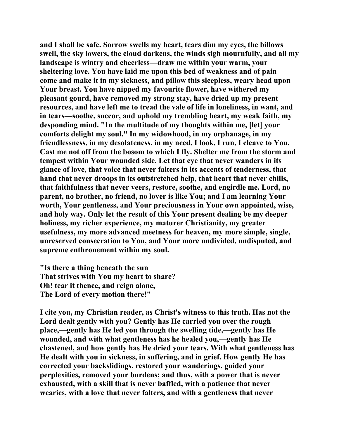**and I shall be safe. Sorrow swells my heart, tears dim my eyes, the billows swell, the sky lowers, the cloud darkens, the winds sigh mournfully, and all my landscape is wintry and cheerless—draw me within your warm, your sheltering love. You have laid me upon this bed of weakness and of pain come and make it in my sickness, and pillow this sleepless, weary head upon Your breast. You have nipped my favourite flower, have withered my pleasant gourd, have removed my strong stay, have dried up my present resources, and have left me to tread the vale of life in loneliness, in want, and in tears—soothe, succor, and uphold my trembling heart, my weak faith, my desponding mind. "In the multitude of my thoughts within me, [let] your comforts delight my soul." In my widowhood, in my orphanage, in my friendlessness, in my desolateness, in my need, I look, I run, I cleave to You. Cast me not off from the bosom to which I fly. Shelter me from the storm and tempest within Your wounded side. Let that eye that never wanders in its glance of love, that voice that never falters in its accents of tenderness, that hand that never droops in its outstretched help, that heart that never chills, that faithfulness that never veers, restore, soothe, and engirdle me. Lord, no parent, no brother, no friend, no lover is like You; and I am learning Your worth, Your gentleness, and Your preciousness in Your own appointed, wise, and holy way. Only let the result of this Your present dealing be my deeper holiness, my richer experience, my maturer Christianity, my greater usefulness, my more advanced meetness for heaven, my more simple, single, unreserved consecration to You, and Your more undivided, undisputed, and supreme enthronement within my soul.** 

**"Is there a thing beneath the sun That strives with You my heart to share? Oh! tear it thence, and reign alone, The Lord of every motion there!"** 

**I cite you, my Christian reader, as Christ's witness to this truth. Has not the Lord dealt gently with you? Gently has He carried you over the rough place,—gently has He led you through the swelling tide,—gently has He wounded, and with what gentleness has he healed you,—gently has He chastened, and how gently has He dried your tears. With what gentleness has He dealt with you in sickness, in suffering, and in grief. How gently He has corrected your backslidings, restored your wanderings, guided your perplexities, removed your burdens; and thus, with a power that is never exhausted, with a skill that is never baffled, with a patience that never wearies, with a love that never falters, and with a gentleness that never**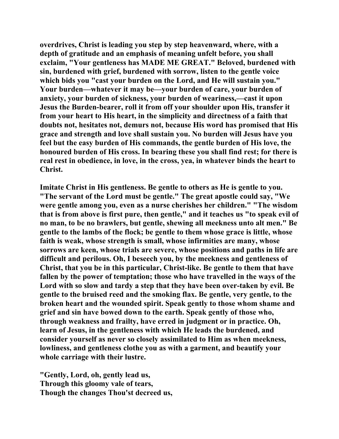**overdrives, Christ is leading you step by step heavenward, where, with a depth of gratitude and an emphasis of meaning unfelt before, you shall exclaim, "Your gentleness has MADE ME GREAT." Beloved, burdened with sin, burdened with grief, burdened with sorrow, listen to the gentle voice which bids you "cast your burden on the Lord, and He will sustain you." Your burden—whatever it may be—your burden of care, your burden of anxiety, your burden of sickness, your burden of weariness,—cast it upon Jesus the Burden-bearer, roll it from off your shoulder upon His, transfer it from your heart to His heart, in the simplicity and directness of a faith that doubts not, hesitates not, demurs not, because His word has promised that His grace and strength and love shall sustain you. No burden will Jesus have you feel but the easy burden of His commands, the gentle burden of His love, the honoured burden of His cross. In bearing these you shall find rest; for there is real rest in obedience, in love, in the cross, yea, in whatever binds the heart to Christ.** 

**Imitate Christ in His gentleness. Be gentle to others as He is gentle to you. "The servant of the Lord must be gentle." The great apostle could say, "We were gentle among you, even as a nurse cherishes her children." "The wisdom that is from above is first pure, then gentle," and it teaches us "to speak evil of no man, to be no brawlers, but gentle, shewing all meekness unto alt men." Be gentle to the lambs of the flock; be gentle to them whose grace is little, whose faith is weak, whose strength is small, whose infirmities are many, whose sorrows are keen, whose trials are severe, whose positions and paths in life are difficult and perilous. Oh, I beseech you, by the meekness and gentleness of Christ, that you be in this particular, Christ-like. Be gentle to them that have fallen by the power of temptation; those who have travelled in the ways of the Lord with so slow and tardy a step that they have been over-taken by evil. Be gentle to the bruised reed and the smoking flax. Be gentle, very gentle, to the broken heart and the wounded spirit. Speak gently to those whom shame and grief and sin have bowed down to the earth. Speak gently of those who, through weakness and frailty, have erred in judgment or in practice. Oh, learn of Jesus, in the gentleness with which He leads the burdened, and consider yourself as never so closely assimilated to Him as when meekness, lowliness, and gentleness clothe you as with a garment, and beautify your whole carriage with their lustre.** 

**"Gently, Lord, oh, gently lead us, Through this gloomy vale of tears, Though the changes Thou'st decreed us,**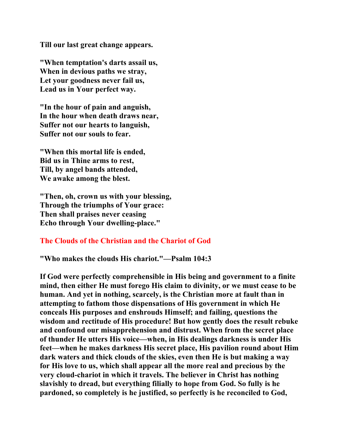**Till our last great change appears.** 

**"When temptation's darts assail us, When in devious paths we stray, Let your goodness never fail us, Lead us in Your perfect way.** 

**"In the hour of pain and anguish, In the hour when death draws near, Suffer not our hearts to languish, Suffer not our souls to fear.** 

**"When this mortal life is ended, Bid us in Thine arms to rest, Till, by angel bands attended, We awake among the blest.** 

**"Then, oh, crown us with your blessing, Through the triumphs of Your grace: Then shall praises never ceasing Echo through Your dwelling-place."** 

#### **The Clouds of the Christian and the Chariot of God**

**"Who makes the clouds His chariot."—Psalm 104:3** 

**If God were perfectly comprehensible in His being and government to a finite mind, then either He must forego His claim to divinity, or we must cease to be human. And yet in nothing, scarcely, is the Christian more at fault than in attempting to fathom those dispensations of His government in which He conceals His purposes and enshrouds Himself; and failing, questions the wisdom and rectitude of His procedure! But how gently does the result rebuke and confound our misapprehension and distrust. When from the secret place of thunder He utters His voice—when, in His dealings darkness is under His feet—when he makes darkness His secret place, His pavilion round about Him dark waters and thick clouds of the skies, even then He is but making a way for His love to us, which shall appear all the more real and precious by the very cloud-chariot in which it travels. The believer in Christ has nothing slavishly to dread, but everything filially to hope from God. So fully is he pardoned, so completely is he justified, so perfectly is he reconciled to God,**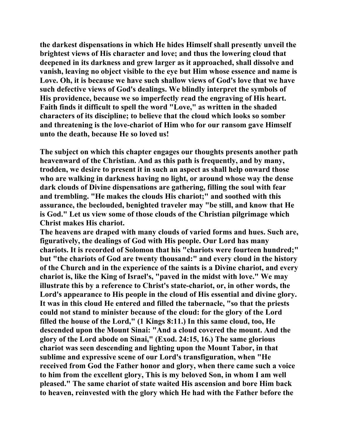**the darkest dispensations in which He hides Himself shall presently unveil the brightest views of His character and love; and thus the lowering cloud that deepened in its darkness and grew larger as it approached, shall dissolve and vanish, leaving no object visible to the eye but Him whose essence and name is Love. Oh, it is because we have such shallow views of God's love that we have such defective views of God's dealings. We blindly interpret the symbols of His providence, because we so imperfectly read the engraving of His heart. Faith finds it difficult to spell the word "Love," as written in the shaded characters of its discipline; to believe that the cloud which looks so somber and threatening is the love-chariot of Him who for our ransom gave Himself unto the death, because He so loved us!** 

**The subject on which this chapter engages our thoughts presents another path heavenward of the Christian. And as this path is frequently, and by many, trodden, we desire to present it in such an aspect as shall help onward those who are walking in darkness having no light, or around whose way the dense dark clouds of Divine dispensations are gathering, filling the soul with fear and trembling. "He makes the clouds His chariot;" and soothed with this assurance, the beclouded, benighted traveler may "be still, and know that He is God." Let us view some of those clouds of the Christian pilgrimage which Christ makes His chariot.** 

**The heavens are draped with many clouds of varied forms and hues. Such are, figuratively, the dealings of God with His people. Our Lord has many chariots. It is recorded of Solomon that his "chariots were fourteen hundred;" but "the chariots of God are twenty thousand:" and every cloud in the history of the Church and in the experience of the saints is a Divine chariot, and every chariot is, like the King of Israel's, "paved in the midst with love." We may illustrate this by a reference to Christ's state-chariot, or, in other words, the Lord's appearance to His people in the cloud of His essential and divine glory. It was in this cloud He entered and filled the tabernacle, "so that the priests could not stand to minister because of the cloud: for the glory of the Lord filled the house of the Lord," (1 Kings 8:11.) In this same cloud, too, He descended upon the Mount Sinai: "And a cloud covered the mount. And the glory of the Lord abode on Sinai," (Exod. 24:15, 16.) The same glorious chariot was seen descending and lighting upon the Mount Tabor, in that sublime and expressive scene of our Lord's transfiguration, when "He received from God the Father honor and glory, when there came such a voice to him from the excellent glory, This is my beloved Son, in whom I am well pleased." The same chariot of state waited His ascension and bore Him back to heaven, reinvested with the glory which He had with the Father before the**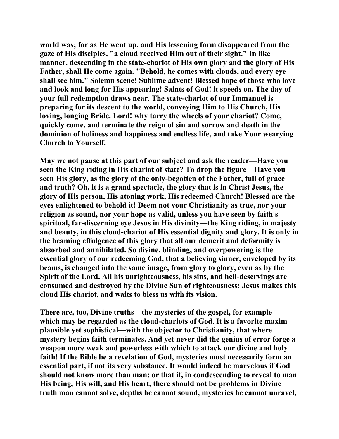**world was; for as He went up, and His lessening form disappeared from the gaze of His disciples, "a cloud received Him out of their sight." In like manner, descending in the state-chariot of His own glory and the glory of His Father, shall He come again. "Behold, he comes with clouds, and every eye shall see him." Solemn scene! Sublime advent! Blessed hope of those who love and look and long for His appearing! Saints of God! it speeds on. The day of your full redemption draws near. The state-chariot of our Immanuel is preparing for its descent to the world, conveying Him to His Church, His loving, longing Bride. Lord! why tarry the wheels of your chariot? Come, quickly come, and terminate the reign of sin and sorrow and death in the dominion of holiness and happiness and endless life, and take Your wearying Church to Yourself.** 

**May we not pause at this part of our subject and ask the reader—Have you seen the King riding in His chariot of state? To drop the figure—Have you seen His glory, as the glory of the only-begotten of the Father, full of grace and truth? Oh, it is a grand spectacle, the glory that is in Christ Jesus, the glory of His person, His atoning work, His redeemed Church! Blessed are the eyes enlightened to behold it! Deem not your Christianity as true, nor your religion as sound, nor your hope as valid, unless you have seen by faith's spiritual, far-discerning eye Jesus in His divinity—the King riding, in majesty and beauty, in this cloud-chariot of His essential dignity and glory. It is only in the beaming effulgence of this glory that all our demerit and deformity is absorbed and annihilated. So divine, blinding, and overpowering is the essential glory of our redeeming God, that a believing sinner, enveloped by its beams, is changed into the same image, from glory to glory, even as by the Spirit of the Lord. All his unrighteousness, his sins, and hell-deservings are consumed and destroyed by the Divine Sun of righteousness: Jesus makes this cloud His chariot, and waits to bless us with its vision.** 

**There are, too, Divine truths—the mysteries of the gospel, for example which may be regarded as the cloud-chariots of God. It is a favorite maxim plausible yet sophistical—with the objector to Christianity, that where mystery begins faith terminates. And yet never did the genius of error forge a weapon more weak and powerless with which to attack our divine and holy faith! If the Bible be a revelation of God, mysteries must necessarily form an essential part, if not its very substance. It would indeed be marvelous if God should not know more than man; or that if, in condescending to reveal to man His being, His will, and His heart, there should not be problems in Divine truth man cannot solve, depths he cannot sound, mysteries he cannot unravel,**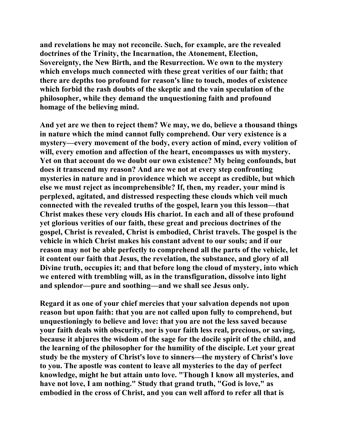**and revelations he may not reconcile. Such, for example, are the revealed doctrines of the Trinity, the Incarnation, the Atonement, Election, Sovereignty, the New Birth, and the Resurrection. We own to the mystery which envelops much connected with these great verities of our faith; that there are depths too profound for reason's line to touch, modes of existence which forbid the rash doubts of the skeptic and the vain speculation of the philosopher, while they demand the unquestioning faith and profound homage of the believing mind.** 

**And yet are we then to reject them? We may, we do, believe a thousand things in nature which the mind cannot fully comprehend. Our very existence is a mystery—every movement of the body, every action of mind, every volition of will, every emotion and affection of the heart, encompasses us with mystery. Yet on that account do we doubt our own existence? My being confounds, but does it transcend my reason? And are we not at every step confronting mysteries in nature and in providence which we accept as credible, but which else we must reject as incomprehensible? If, then, my reader, your mind is perplexed, agitated, and distressed respecting these clouds which veil much connected with the revealed truths of the gospel, learn you this lesson—that Christ makes these very clouds His chariot. In each and all of these profound yet glorious verities of our faith, these great and precious doctrines of the gospel, Christ is revealed, Christ is embodied, Christ travels. The gospel is the vehicle in which Christ makes his constant advent to our souls; and if our reason may not be able perfectly to comprehend all the parts of the vehicle, let it content our faith that Jesus, the revelation, the substance, and glory of all Divine truth, occupies it; and that before long the cloud of mystery, into which we entered with trembling will, as in the transfiguration, dissolve into light and splendor—pure and soothing—and we shall see Jesus only.** 

**Regard it as one of your chief mercies that your salvation depends not upon reason but upon faith: that you are not called upon fully to comprehend, but unquestioningly to believe and love: that you are not the less saved because your faith deals with obscurity, nor is your faith less real, precious, or saving, because it abjures the wisdom of the sage for the docile spirit of the child, and the learning of the philosopher for the humility of the disciple. Let your great study be the mystery of Christ's love to sinners—the mystery of Christ's love to you. The apostle was content to leave all mysteries to the day of perfect knowledge, might he but attain unto love. "Though I know all mysteries, and have not love, I am nothing." Study that grand truth, "God is love," as embodied in the cross of Christ, and you can well afford to refer all that is**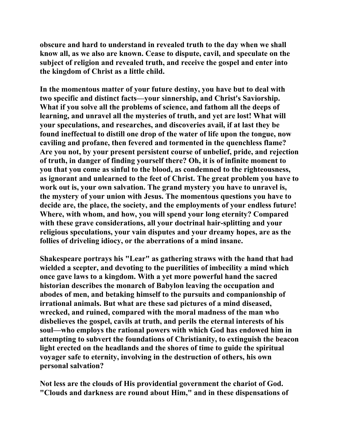**obscure and hard to understand in revealed truth to the day when we shall know all, as we also are known. Cease to dispute, cavil, and speculate on the subject of religion and revealed truth, and receive the gospel and enter into the kingdom of Christ as a little child.** 

**In the momentous matter of your future destiny, you have but to deal with two specific and distinct facts—your sinnership, and Christ's Saviorship. What if you solve all the problems of science, and fathom all the deeps of learning, and unravel all the mysteries of truth, and yet are lost! What will your speculations, and researches, and discoveries avail, if at last they be found ineffectual to distill one drop of the water of life upon the tongue, now caviling and profane, then fevered and tormented in the quenchless flame? Are you not, by your present persistent course of unbelief, pride, and rejection of truth, in danger of finding yourself there? Oh, it is of infinite moment to you that you come as sinful to the blood, as condemned to the righteousness, as ignorant and unlearned to the feet of Christ. The great problem you have to work out is, your own salvation. The grand mystery you have to unravel is, the mystery of your union with Jesus. The momentous questions you have to decide are, the place, the society, and the employments of your endless future! Where, with whom, and how, you will spend your long eternity? Compared with these grave considerations, all your doctrinal hair-splitting and your religious speculations, your vain disputes and your dreamy hopes, are as the follies of driveling idiocy, or the aberrations of a mind insane.** 

**Shakespeare portrays his "Lear" as gathering straws with the hand that had wielded a scepter, and devoting to the puerilities of imbecility a mind which once gave laws to a kingdom. With a yet more powerful hand the sacred historian describes the monarch of Babylon leaving the occupation and abodes of men, and betaking himself to the pursuits and companionship of irrational animals. But what are these sad pictures of a mind diseased, wrecked, and ruined, compared with the moral madness of the man who disbelieves the gospel, cavils at truth, and perils the eternal interests of his soul—who employs the rational powers with which God has endowed him in attempting to subvert the foundations of Christianity, to extinguish the beacon light erected on the headlands and the shores of time to guide the spiritual voyager safe to eternity, involving in the destruction of others, his own personal salvation?** 

**Not less are the clouds of His providential government the chariot of God. "Clouds and darkness are round about Him," and in these dispensations of**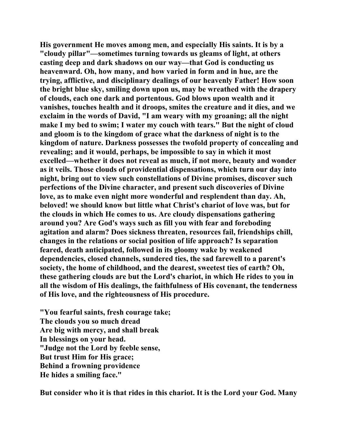**His government He moves among men, and especially His saints. It is by a "cloudy pillar"—sometimes turning towards us gleams of light, at others casting deep and dark shadows on our way—that God is conducting us heavenward. Oh, how many, and how varied in form and in hue, are the trying, afflictive, and disciplinary dealings of our heavenly Father! How soon the bright blue sky, smiling down upon us, may be wreathed with the drapery of clouds, each one dark and portentous. God blows upon wealth and it vanishes, touches health and it droops, smites the creature and it dies, and we exclaim in the words of David, "I am weary with my groaning; all the night make I my bed to swim; I water my couch with tears." But the night of cloud and gloom is to the kingdom of grace what the darkness of night is to the kingdom of nature. Darkness possesses the twofold property of concealing and revealing; and it would, perhaps, be impossible to say in which it most excelled—whether it does not reveal as much, if not more, beauty and wonder as it veils. Those clouds of providential dispensations, which turn our day into night, bring out to view such constellations of Divine promises, discover such perfections of the Divine character, and present such discoveries of Divine love, as to make even night more wonderful and resplendent than day. Ah, beloved! we should know but little what Christ's chariot of love was, but for the clouds in which He comes to us. Are cloudy dispensations gathering around you? Are God's ways such as fill you with fear and foreboding agitation and alarm? Does sickness threaten, resources fail, friendships chill, changes in the relations or social position of life approach? Is separation feared, death anticipated, followed in its gloomy wake by weakened dependencies, closed channels, sundered ties, the sad farewell to a parent's society, the home of childhood, and the dearest, sweetest ties of earth? Oh, these gathering clouds are but the Lord's chariot, in which He rides to you in all the wisdom of His dealings, the faithfulness of His covenant, the tenderness of His love, and the righteousness of His procedure.** 

**"You fearful saints, fresh courage take; The clouds you so much dread Are big with mercy, and shall break In blessings on your head. "Judge not the Lord by feeble sense, But trust Him for His grace; Behind a frowning providence He hides a smiling face."** 

**But consider who it is that rides in this chariot. It is the Lord your God. Many**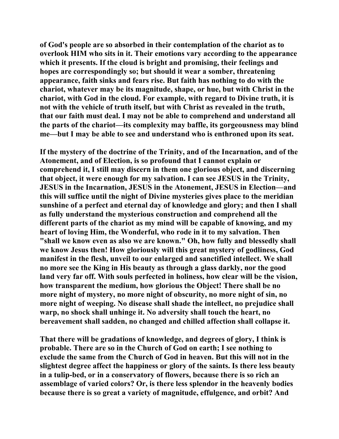**of God's people are so absorbed in their contemplation of the chariot as to overlook HIM who sits in it. Their emotions vary according to the appearance which it presents. If the cloud is bright and promising, their feelings and hopes are correspondingly so; but should it wear a somber, threatening appearance, faith sinks and fears rise. But faith has nothing to do with the chariot, whatever may be its magnitude, shape, or hue, but with Christ in the chariot, with God in the cloud. For example, with regard to Divine truth, it is not with the vehicle of truth itself, but with Christ as revealed in the truth, that our faith must deal. I may not be able to comprehend and understand all the parts of the chariot—its complexity may baffle, its gorgeousness may blind me—but I may be able to see and understand who is enthroned upon its seat.** 

**If the mystery of the doctrine of the Trinity, and of the Incarnation, and of the Atonement, and of Election, is so profound that I cannot explain or comprehend it, I still may discern in them one glorious object, and discerning that object, it were enough for my salvation. I can see JESUS in the Trinity, JESUS in the Incarnation, JESUS in the Atonement, JESUS in Election—and this will suffice until the night of Divine mysteries gives place to the meridian sunshine of a perfect and eternal day of knowledge and glory; and then I shall as fully understand the mysterious construction and comprehend all the different parts of the chariot as my mind will be capable of knowing, and my heart of loving Him, the Wonderful, who rode in it to my salvation. Then "shall we know even as also we are known." Oh, how fully and blessedly shall we know Jesus then! How gloriously will this great mystery of godliness, God manifest in the flesh, unveil to our enlarged and sanctified intellect. We shall no more see the King in His beauty as through a glass darkly, nor the good land very far off. With souls perfected in holiness, how clear will be the vision, how transparent the medium, how glorious the Object! There shall be no more night of mystery, no more night of obscurity, no more night of sin, no more night of weeping. No disease shall shade the intellect, no prejudice shall warp, no shock shall unhinge it. No adversity shall touch the heart, no bereavement shall sadden, no changed and chilled affection shall collapse it.** 

**That there will be gradations of knowledge, and degrees of glory, I think is probable. There are so in the Church of God on earth; I see nothing to exclude the same from the Church of God in heaven. But this will not in the slightest degree affect the happiness or glory of the saints. Is there less beauty in a tulip-bed, or in a conservatory of flowers, because there is so rich an assemblage of varied colors? Or, is there less splendor in the heavenly bodies because there is so great a variety of magnitude, effulgence, and orbit? And**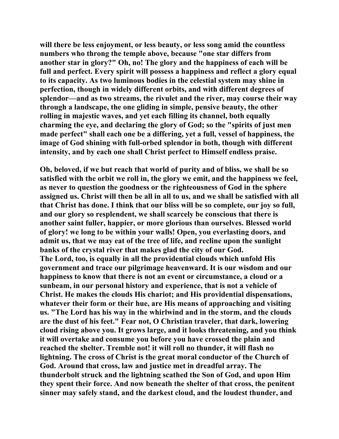**will there be less enjoyment, or less beauty, or less song amid the countless numbers who throng the temple above, because "one star differs from another star in glory?" Oh, no! The glory and the happiness of each will be full and perfect. Every spirit will possess a happiness and reflect a glory equal to its capacity. As two luminous bodies in the celestial system may shine in perfection, though in widely different orbits, and with different degrees of splendor—and as two streams, the rivulet and the river, may course their way through a landscape, the one gliding in simple, pensive beauty, the other rolling in majestic waves, and yet each filling its channel, both equally charming the eye, and declaring the glory of God; so the "spirits of just men made perfect" shall each one be a differing, yet a full, vessel of happiness, the image of God shining with full-orbed splendor in both, though with different intensity, and by each one shall Christ perfect to Himself endless praise.** 

**Oh, beloved, if we but reach that world of purity and of bliss, we shall be so satisfied with the orbit we roll in, the glory we emit, and the happiness we feel, as never to question the goodness or the righteousness of God in the sphere assigned us. Christ will then be all in all to us, and we shall be satisfied with all that Christ has done. I think that our bliss will be so complete, our joy so full, and our glory so resplendent, we shall scarcely be conscious that there is another saint fuller, happier, or more glorious than ourselves. Blessed world of glory! we long to be within your walls! Open, you everlasting doors, and admit us, that we may eat of the tree of life, and recline upon the sunlight banks of the crystal river that makes glad the city of our God. The Lord, too, is equally in all the providential clouds which unfold His government and trace our pilgrimage heavenward. It is our wisdom and our happiness to know that there is not an event or circumstance, a cloud or a sunbeam, in our personal history and experience, that is not a vehicle of Christ. He makes the clouds His chariot; and His providential dispensations, whatever their form or their hue, are His means of approaching and visiting us. "The Lord has his way in the whirlwind and in the storm, and the clouds are the dust of his feet." Fear not, O Christian traveler, that dark, lowering cloud rising above you. It grows large, and it looks threatening, and you think it will overtake and consume you before you have crossed the plain and reached the shelter. Tremble not! it will roll no thunder, it will flash no lightning. The cross of Christ is the great moral conductor of the Church of God. Around that cross, law and justice met in dreadful array. The thunderbolt struck and the lightning scathed the Son of God, and upon Him they spent their force. And now beneath the shelter of that cross, the penitent sinner may safely stand, and the darkest cloud, and the loudest thunder, and**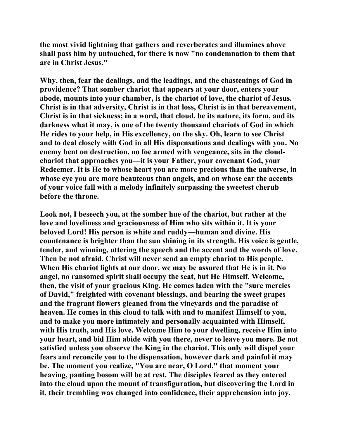**the most vivid lightning that gathers and reverberates and illumines above shall pass him by untouched, for there is now "no condemnation to them that are in Christ Jesus."** 

**Why, then, fear the dealings, and the leadings, and the chastenings of God in providence? That somber chariot that appears at your door, enters your abode, mounts into your chamber, is the chariot of love, the chariot of Jesus. Christ is in that adversity, Christ is in that loss, Christ is in that bereavement, Christ is in that sickness; in a word, that cloud, be its nature, its form, and its darkness what it may, is one of the twenty thousand chariots of God in which He rides to your help, in His excellency, on the sky. Oh, learn to see Christ and to deal closely with God in all His dispensations and dealings with you. No enemy bent on destruction, no foe armed with vengeance, sits in the cloudchariot that approaches you—it is your Father, your covenant God, your Redeemer. It is He to whose heart you are more precious than the universe, in whose eye you are more beauteous than angels, and on whose ear the accents of your voice fall with a melody infinitely surpassing the sweetest cherub before the throne.** 

**Look not, I beseech you, at the somber hue of the chariot, but rather at the love and loveliness and graciousness of Him who sits within it. It is your beloved Lord! His person is white and ruddy—human and divine. His countenance is brighter than the sun shining in its strength. His voice is gentle, tender, and winning, uttering the speech and the accent and the words of love. Then be not afraid. Christ will never send an empty chariot to His people. When His chariot lights at our door, we may be assured that He is in it. No angel, no ransomed spirit shall occupy the seat, but He Himself. Welcome, then, the visit of your gracious King. He comes laden with the "sure mercies of David," freighted with covenant blessings, and bearing the sweet grapes and the fragrant flowers gleaned from the vineyards and the paradise of heaven. He comes in this cloud to talk with and to manifest Himself to you, and to make you more intimately and personally acquainted with Himself, with His truth, and His love. Welcome Him to your dwelling, receive Him into your heart, and bid Him abide with you there, never to leave you more. Be not satisfied unless you observe the King in the chariot. This only will dispel your fears and reconcile you to the dispensation, however dark and painful it may be. The moment you realize, "You are near, O Lord," that moment your heaving, panting bosom will be at rest. The disciples feared as they entered into the cloud upon the mount of transfiguration, but discovering the Lord in it, their trembling was changed into confidence, their apprehension into joy,**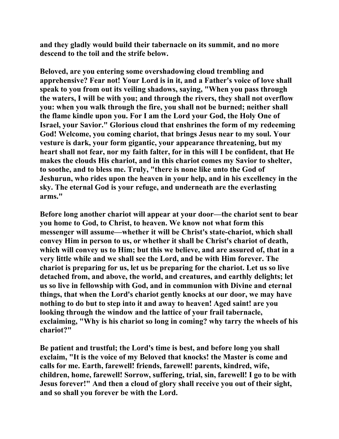**and they gladly would build their tabernacle on its summit, and no more descend to the toil and the strife below.** 

**Beloved, are you entering some overshadowing cloud trembling and apprehensive? Fear not! Your Lord is in it, and a Father's voice of love shall speak to you from out its veiling shadows, saying, "When you pass through the waters, I will be with you; and through the rivers, they shall not overflow you: when you walk through the fire, you shall not be burned; neither shall the flame kindle upon you. For I am the Lord your God, the Holy One of Israel, your Savior." Glorious cloud that enshrines the form of my redeeming God! Welcome, you coming chariot, that brings Jesus near to my soul. Your vesture is dark, your form gigantic, your appearance threatening, but my heart shall not fear, nor my faith falter, for in this will I be confident, that He makes the clouds His chariot, and in this chariot comes my Savior to shelter, to soothe, and to bless me. Truly, "there is none like unto the God of Jeshurun, who rides upon the heaven in your help, and in his excellency in the sky. The eternal God is your refuge, and underneath are the everlasting arms."** 

**Before long another chariot will appear at your door—the chariot sent to bear you home to God, to Christ, to heaven. We know not what form this messenger will assume—whether it will be Christ's state-chariot, which shall convey Him in person to us, or whether it shall be Christ's chariot of death, which will convey us to Him; but this we believe, and are assured of, that in a very little while and we shall see the Lord, and be with Him forever. The chariot is preparing for us, let us be preparing for the chariot. Let us so live detached from, and above, the world, and creatures, and earthly delights; let us so live in fellowship with God, and in communion with Divine and eternal things, that when the Lord's chariot gently knocks at our door, we may have nothing to do but to step into it and away to heaven! Aged saint! are you looking through the window and the lattice of your frail tabernacle, exclaiming, "Why is his chariot so long in coming? why tarry the wheels of his chariot?"** 

**Be patient and trustful; the Lord's time is best, and before long you shall exclaim, "It is the voice of my Beloved that knocks! the Master is come and calls for me. Earth, farewell! friends, farewell! parents, kindred, wife, children, home, farewell! Sorrow, suffering, trial, sin, farewell! I go to be with Jesus forever!" And then a cloud of glory shall receive you out of their sight, and so shall you forever be with the Lord.**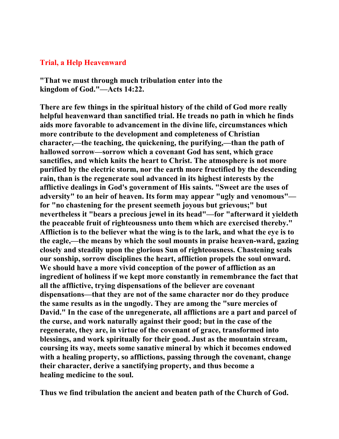## **Trial, a Help Heavenward**

**"That we must through much tribulation enter into the kingdom of God."—Acts 14:22.** 

**There are few things in the spiritual history of the child of God more really helpful heavenward than sanctified trial. He treads no path in which he finds aids more favorable to advancement in the divine life, circumstances which more contribute to the development and completeness of Christian character,—the teaching, the quickening, the purifying,—than the path of hallowed sorrow—sorrow which a covenant God has sent, which grace sanctifies, and which knits the heart to Christ. The atmosphere is not more purified by the electric storm, nor the earth more fructified by the descending rain, than is the regenerate soul advanced in its highest interests by the afflictive dealings in God's government of His saints. "Sweet are the uses of adversity" to an heir of heaven. Its form may appear "ugly and venomous" for "no chastening for the present seemeth joyous but grievous;" but nevertheless it "bears a precious jewel in its head"—for "afterward it yieldeth the peaceable fruit of righteousness unto them which are exercised thereby." Affliction is to the believer what the wing is to the lark, and what the eye is to the eagle,—the means by which the soul mounts in praise heaven-ward, gazing closely and steadily upon the glorious Sun of righteousness. Chastening seals our sonship, sorrow disciplines the heart, affliction propels the soul onward. We should have a more vivid conception of the power of affliction as an ingredient of holiness if we kept more constantly in remembrance the fact that all the afflictive, trying dispensations of the believer are covenant dispensations—that they are not of the same character nor do they produce the same results as in the ungodly. They are among the "sure mercies of David." In the case of the unregenerate, all afflictions are a part and parcel of the curse, and work naturally against their good; but in the case of the regenerate, they are, in virtue of the covenant of grace, transformed into blessings, and work spiritually for their good. Just as the mountain stream, coursing its way, meets some sanative mineral by which it becomes endowed with a healing property, so afflictions, passing through the covenant, change their character, derive a sanctifying property, and thus become a healing medicine to the soul.** 

**Thus we find tribulation the ancient and beaten path of the Church of God.**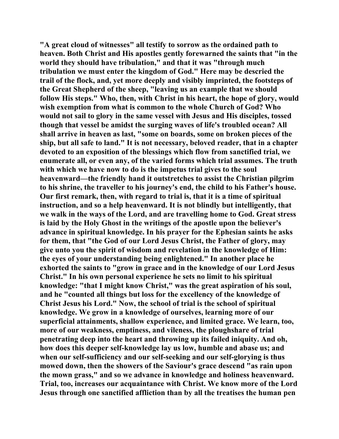**"A great cloud of witnesses" all testify to sorrow as the ordained path to heaven. Both Christ and His apostles gently forewarned the saints that "in the world they should have tribulation," and that it was "through much tribulation we must enter the kingdom of God." Here may be descried the trail of the flock, and, yet more deeply and visibly imprinted, the footsteps of the Great Shepherd of the sheep, "leaving us an example that we should follow His steps." Who, then, with Christ in his heart, the hope of glory, would wish exemption from what is common to the whole Church of God? Who would not sail to glory in the same vessel with Jesus and His disciples, tossed though that vessel be amidst the surging waves of life's troubled ocean? All shall arrive in heaven as last, "some on boards, some on broken pieces of the ship, but all safe to land." It is not necessary, beloved reader, that in a chapter devoted to an exposition of the blessings which flow from sanctified trial, we enumerate all, or even any, of the varied forms which trial assumes. The truth with which we have now to do is the impetus trial gives to the soul heavenward—the friendly hand it outstretches to assist the Christian pilgrim to his shrine, the traveller to his journey's end, the child to his Father's house. Our first remark, then, with regard to trial is, that it is a time of spiritual instruction, and so a help heavenward. It is not blindly but intelligently, that we walk in the ways of the Lord, and are travelling home to God. Great stress is laid by the Holy Ghost in the writings of the apostle upon the believer's advance in spiritual knowledge. In his prayer for the Ephesian saints he asks for them, that "the God of our Lord Jesus Christ, the Father of glory, may give unto you the spirit of wisdom and revelation in the knowledge of Him: the eyes of your understanding being enlightened." In another place he exhorted the saints to "grow in grace and in the knowledge of our Lord Jesus Christ." In his own personal experience he sets no limit to his spiritual knowledge: "that I might know Christ," was the great aspiration of his soul, and he "counted all things but loss for the excellency of the knowledge of Christ Jesus his Lord." Now, the school of trial is the school of spiritual knowledge. We grow in a knowledge of ourselves, learning more of our superficial attainments, shallow experience, and limited grace. We learn, too, more of our weakness, emptiness, and vileness, the ploughshare of trial penetrating deep into the heart and throwing up its failed iniquity. And oh, how does this deeper self-knowledge lay us low, humble and abase us; and when our self-sufficiency and our self-seeking and our self-glorying is thus mowed down, then the showers of the Saviour's grace descend "as rain upon the mown grass," and so we advance in knowledge and holiness heavenward. Trial, too, increases our acquaintance with Christ. We know more of the Lord Jesus through one sanctified affliction than by all the treatises the human pen**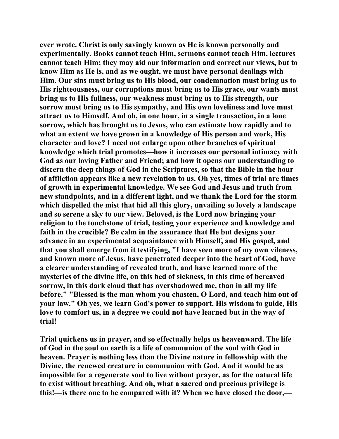**ever wrote. Christ is only savingly known as He is known personally and experimentally. Books cannot teach Him, sermons cannot teach Him, lectures cannot teach Him; they may aid our information and correct our views, but to know Him as He is, and as we ought, we must have personal dealings with Him. Our sins must bring us to His blood, our condemnation must bring us to His righteousness, our corruptions must bring us to His grace, our wants must bring us to His fullness, our weakness must bring us to His strength, our sorrow must bring us to His sympathy, and His own loveliness and love must attract us to Himself. And oh, in one hour, in a single transaction, in a lone sorrow, which has brought us to Jesus, who can estimate how rapidly and to what an extent we have grown in a knowledge of His person and work, His character and love? I need not enlarge upon other branches of spiritual knowledge which trial promotes—how it increases our personal intimacy with God as our loving Father and Friend; and how it opens our understanding to discern the deep things of God in the Scriptures, so that the Bible in the hour of affliction appears like a new revelation to us. Oh yes, times of trial are times of growth in experimental knowledge. We see God and Jesus and truth from new standpoints, and in a different light, and we thank the Lord for the storm which dispelled the mist that hid all this glory, unvailing so lovely a landscape and so serene a sky to our view. Beloved, is the Lord now bringing your religion to the touchstone of trial, testing your experience and knowledge and faith in the crucible? Be calm in the assurance that He but designs your advance in an experimental acquaintance with Himself, and His gospel, and that you shall emerge from it testifying, "I have seen more of my own vileness, and known more of Jesus, have penetrated deeper into the heart of God, have a clearer understanding of revealed truth, and have learned more of the mysteries of the divine life, on this bed of sickness, in this time of bereaved sorrow, in this dark cloud that has overshadowed me, than in all my life before." "Blessed is the man whom you chasten, O Lord, and teach him out of your law." Oh yes, we learn God's power to support, His wisdom to guide, His love to comfort us, in a degree we could not have learned but in the way of trial!** 

**Trial quickens us in prayer, and so effectually helps us heavenward. The life of God in the soul on earth is a life of communion of the soul with God in heaven. Prayer is nothing less than the Divine nature in fellowship with the Divine, the renewed creature in communion with God. And it would be as impossible for a regenerate soul to live without prayer, as for the natural life to exist without breathing. And oh, what a sacred and precious privilege is this!—is there one to be compared with it? When we have closed the door,—**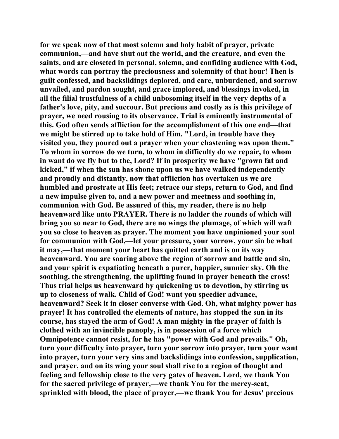**for we speak now of that most solemn and holy habit of prayer, private communion,—and have shut out the world, and the creature, and even the saints, and are closeted in personal, solemn, and confiding audience with God, what words can portray the preciousness and solemnity of that hour! Then is guilt confessed, and backslidings deplored, and care, unburdened, and sorrow unvailed, and pardon sought, and grace implored, and blessings invoked, in all the filial trustfulness of a child unbosoming itself in the very depths of a father's love, pity, and succour. But precious and costly as is this privilege of prayer, we need rousing to its observance. Trial is eminently instrumental of this. God often sends affliction for the accomplishment of this one end—that we might be stirred up to take hold of Him. "Lord, in trouble have they visited you, they poured out a prayer when your chastening was upon them." To whom in sorrow do we turn, to whom in difficulty do we repair, to whom in want do we fly but to the, Lord? If in prosperity we have "grown fat and kicked," if when the sun has shone upon us we have walked independently and proudly and distantly, now that affliction has overtaken us we are humbled and prostrate at His feet; retrace our steps, return to God, and find a new impulse given to, and a new power and meetness and soothing in, communion with God. Be assured of this, my reader, there is no help heavenward like unto PRAYER. There is no ladder the rounds of which will bring you so near to God, there are no wings the plumage, of which will waft you so close to heaven as prayer. The moment you have unpinioned your soul for communion with God,—let your pressure, your sorrow, your sin be what it may,—that moment your heart has quitted earth and is on its way heavenward. You are soaring above the region of sorrow and battle and sin, and your spirit is expatiating beneath a purer, happier, sunnier sky. Oh the soothing, the strengthening, the uplifting found in prayer beneath the cross! Thus trial helps us heavenward by quickening us to devotion, by stirring us up to closeness of walk. Child of God! want you speedier advance, heavenward? Seek it in closer converse with God. Oh, what mighty power has prayer! It has controlled the elements of nature, has stopped the sun in its course, has stayed the arm of God! A man mighty in the prayer of faith is clothed with an invincible panoply, is in possession of a force which Omnipotence cannot resist, for he has "power with God and prevails." Oh, turn your difficulty into prayer, turn your sorrow into prayer, turn your want into prayer, turn your very sins and backslidings into confession, supplication, and prayer, and on its wing your soul shall rise to a region of thought and feeling and fellowship close to the very gates of heaven. Lord, we thank You for the sacred privilege of prayer,—we thank You for the mercy-seat, sprinkled with blood, the place of prayer,—we thank You for Jesus' precious**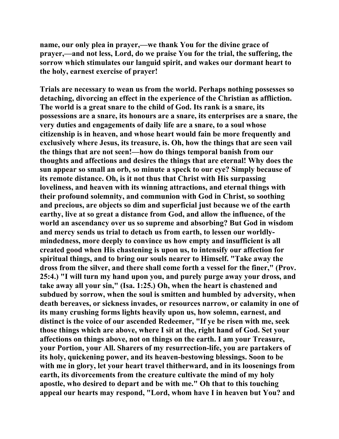**name, our only plea in prayer,—we thank You for the divine grace of prayer,—and not less, Lord, do we praise You for the trial, the suffering, the sorrow which stimulates our languid spirit, and wakes our dormant heart to the holy, earnest exercise of prayer!** 

**Trials are necessary to wean us from the world. Perhaps nothing possesses so detaching, divorcing an effect in the experience of the Christian as affliction. The world is a great snare to the child of God. Its rank is a snare, its possessions are a snare, its honours are a snare, its enterprises are a snare, the very duties and engagements of daily life are a snare, to a soul whose citizenship is in heaven, and whose heart would fain be more frequently and exclusively where Jesus, its treasure, is. Oh, how the things that are seen vail the things that are not seen!—how do things temporal banish from our thoughts and affections and desires the things that are eternal! Why does the sun appear so small an orb, so minute a speck to our eye? Simply because of its remote distance. Oh, is it not thus that Christ with His surpassing loveliness, and heaven with its winning attractions, and eternal things with their profound solemnity, and communion with God in Christ, so soothing and precious, are objects so dim and superficial just because we of the earth earthy, live at so great a distance from God, and allow the influence, of the world an ascendancy over us so supreme and absorbing? But God in wisdom and mercy sends us trial to detach us from earth, to lessen our worldlymindedness, more deeply to convince us how empty and insufficient is all created good when His chastening is upon us, to intensify our affection for spiritual things, and to bring our souls nearer to Himself. "Take away the dross from the silver, and there shall come forth a vessel for the finer," (Prov. 25:4.) "I will turn my hand upon you, and purely purge away your dross, and take away all your sin," (Isa. 1:25.) Oh, when the heart is chastened and subdued by sorrow, when the soul is smitten and humbled by adversity, when death bereaves, or sickness invades, or resources narrow, or calamity in one of its many crushing forms lights heavily upon us, how solemn, earnest, and distinct is the voice of our ascended Redeemer, "If ye be risen with me, seek those things which are above, where I sit at the, right hand of God. Set your affections on things above, not on things on the earth. I am your Treasure, your Portion, your All. Sharers of my resurrection-life, you are partakers of its holy, quickening power, and its heaven-bestowing blessings. Soon to be with me in glory, let your heart travel thitherward, and in its loosenings from earth, its divorcements from the creature cultivate the mind of my holy apostle, who desired to depart and be with me." Oh that to this touching appeal our hearts may respond, "Lord, whom have I in heaven but You? and**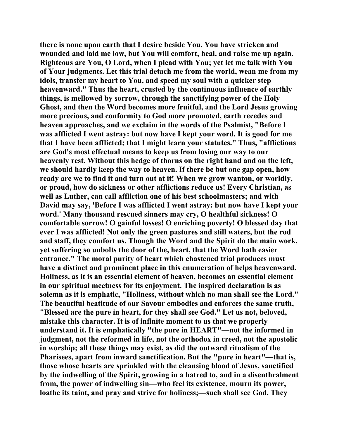**there is none upon earth that I desire beside You. You have stricken and wounded and laid me low, but You will comfort, heal, and raise me up again. Righteous are You, O Lord, when I plead with You; yet let me talk with You of Your judgments. Let this trial detach me from the world, wean me from my idols, transfer my heart to You, and speed my soul with a quicker step heavenward." Thus the heart, crusted by the continuous influence of earthly things, is mellowed by sorrow, through the sanctifying power of the Holy Ghost, and then the Word becomes more fruitful, and the Lord Jesus growing more precious, and conformity to God more promoted, earth recedes and heaven approaches, and we exclaim in the words of the Psalmist, "Before I was afflicted I went astray: but now have I kept your word. It is good for me that I have been afflicted; that I might learn your statutes." Thus, "afflictions are God's most effectual means to keep us from losing our way to our heavenly rest. Without this hedge of thorns on the right hand and on the left, we should hardly keep the way to heaven. If there be but one gap open, how ready are we to find it and turn out at it! When we grow wanton, or worldly, or proud, how do sickness or other afflictions reduce us! Every Christian, as well as Luther, can call affliction one of his best schoolmasters; and with David may say, 'Before I was afflicted I went astray: but now have I kept your word.' Many thousand rescued sinners may cry, O healthful sickness! O comfortable sorrow! O gainful losses! O enriching poverty! O blessed day that ever I was afflicted! Not only the green pastures and still waters, but the rod and staff, they comfort us. Though the Word and the Spirit do the main work, yet suffering so unbolts the door of the, heart, that the Word hath easier entrance." The moral purity of heart which chastened trial produces must have a distinct and prominent place in this enumeration of helps heavenward. Holiness, as it is an essential element of heaven, becomes an essential element in our spiritual meetness for its enjoyment. The inspired declaration is as solemn as it is emphatic, "Holiness, without which no man shall see the Lord." The beautiful beatitude of our Savour embodies and enforces the same truth, "Blessed are the pure in heart, for they shall see God." Let us not, beloved, mistake this character. It is of infinite moment to us that we properly understand it. It is emphatically "the pure in HEART"—not the informed in judgment, not the reformed in life, not the orthodox in creed, not the apostolic in worship; all these things may exist, as did the outward ritualism of the Pharisees, apart from inward sanctification. But the "pure in heart"—that is, those whose hearts are sprinkled with the cleansing blood of Jesus, sanctified by the indwelling of the Spirit, growing in a hatred to, and in a disenthralment from, the power of indwelling sin—who feel its existence, mourn its power, loathe its taint, and pray and strive for holiness;—such shall see God. They**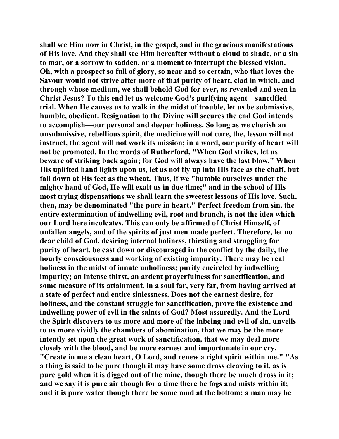**shall see Him now in Christ, in the gospel, and in the gracious manifestations of His love. And they shall see Him hereafter without a cloud to shade, or a sin to mar, or a sorrow to sadden, or a moment to interrupt the blessed vision. Oh, with a prospect so full of glory, so near and so certain, who that loves the Savour would not strive after more of that purity of heart, clad in which, and through whose medium, we shall behold God for ever, as revealed and seen in Christ Jesus? To this end let us welcome God's purifying agent—sanctified trial. When He causes us to walk in the midst of trouble, let us be submissive, humble, obedient. Resignation to the Divine will secures the end God intends to accomplish—our personal and deeper holiness. So long as we cherish an unsubmissive, rebellious spirit, the medicine will not cure, the, lesson will not instruct, the agent will not work its mission; in a word, our purity of heart will not be promoted. In the words of Rutherford, "When God strikes, let us beware of striking back again; for God will always have the last blow." When His uplifted hand lights upon us, let us not fly up into His face as the chaff, but fall down at His feet as the wheat. Thus, if we "humble ourselves under the mighty hand of God, He will exalt us in due time;" and in the school of His most trying dispensations we shall learn the sweetest lessons of His love. Such, then, may be denominated "the pure in heart." Perfect freedom from sin, the entire extermination of indwelling evil, root and branch, is not the idea which our Lord here inculcates. This can only be affirmed of Christ Himself, of unfallen angels, and of the spirits of just men made perfect. Therefore, let no dear child of God, desiring internal holiness, thirsting and struggling for purity of heart, be cast down or discouraged in the conflict by the daily, the hourly consciousness and working of existing impurity. There may be real holiness in the midst of innate unholiness; purity encircled by indwelling impurity; an intense thirst, an ardent prayerfulness for sanctification, and some measure of its attainment, in a soul far, very far, from having arrived at a state of perfect and entire sinlessness. Does not the earnest desire, for holiness, and the constant struggle for sanctification, prove the existence and indwelling power of evil in the saints of God? Most assuredly. And the Lord the Spirit discovers to us more and more of the inbeing and evil of sin, unveils to us more vividly the chambers of abomination, that we may be the more intently set upon the great work of sanctification, that we may deal more closely with the blood, and be more earnest and importunate in our cry, "Create in me a clean heart, O Lord, and renew a right spirit within me." "As a thing is said to be pure though it may have some dross cleaving to it, as is pure gold when it is digged out of the mine, though there be much dross in it; and we say it is pure air though for a time there be fogs and mists within it;** 

**and it is pure water though there be some mud at the bottom; a man may be**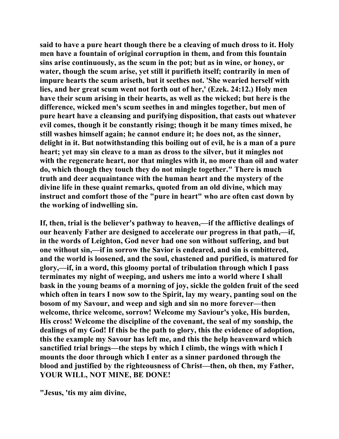**said to have a pure heart though there be a cleaving of much dross to it. Holy men have a fountain of original corruption in them, and from this fountain sins arise continuously, as the scum in the pot; but as in wine, or honey, or water, though the scum arise, yet still it purifieth itself; contrarily in men of impure hearts the scum ariseth, but it seethes not. 'She wearied herself with lies, and her great scum went not forth out of her,' (Ezek. 24:12.) Holy men have their scum arising in their hearts, as well as the wicked; but here is the difference, wicked men's scum seethes in and mingles together, but men of pure heart have a cleansing and purifying disposition, that casts out whatever evil comes, though it be constantly rising; though it be many times mixed, he still washes himself again; he cannot endure it; he does not, as the sinner, delight in it. But notwithstanding this boiling out of evil, he is a man of a pure heart; yet may sin cleave to a man as dross to the silver, but it mingles not with the regenerate heart, nor that mingles with it, no more than oil and water do, which though they touch they do not mingle together." There is much truth and deer acquaintance with the human heart and the mystery of the divine life in these quaint remarks, quoted from an old divine, which may instruct and comfort those of the "pure in heart" who are often cast down by the working of indwelling sin.** 

**If, then, trial is the believer's pathway to heaven,—if the afflictive dealings of our heavenly Father are designed to accelerate our progress in that path,—if, in the words of Leighton, God never had one son without suffering, and but one without sin,—if in sorrow the Savior is endeared, and sin is embittered, and the world is loosened, and the soul, chastened and purified, is matured for glory,—if, in a word, this gloomy portal of tribulation through which I pass terminates my night of weeping, and ushers me into a world where I shall bask in the young beams of a morning of joy, sickle the golden fruit of the seed which often in tears I now sow to the Spirit, lay my weary, panting soul on the bosom of my Savour, and weep and sigh and sin no more forever—then welcome, thrice welcome, sorrow! Welcome my Saviour's yoke, His burden, His cross! Welcome the discipline of the covenant, the seal of my sonship, the dealings of my God! If this be the path to glory, this the evidence of adoption, this the example my Savour has left me, and this the help heavenward which sanctified trial brings—the steps by which I climb, the wings with which I mounts the door through which I enter as a sinner pardoned through the blood and justified by the righteousness of Christ—then, oh then, my Father, YOUR WILL, NOT MINE, BE DONE!** 

**"Jesus, 'tis my aim divine,**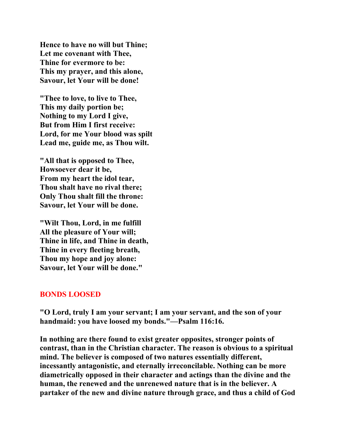**Hence to have no will but Thine; Let me covenant with Thee, Thine for evermore to be: This my prayer, and this alone, Savour, let Your will be done!** 

**"Thee to love, to live to Thee, This my daily portion be; Nothing to my Lord I give, But from Him I first receive: Lord, for me Your blood was spilt Lead me, guide me, as Thou wilt.** 

**"All that is opposed to Thee, Howsoever dear it be, From my heart the idol tear, Thou shalt have no rival there; Only Thou shalt fill the throne: Savour, let Your will be done.** 

**"Wilt Thou, Lord, in me fulfill All the pleasure of Your will; Thine in life, and Thine in death, Thine in every fleeting breath, Thou my hope and joy alone: Savour, let Your will be done."** 

## **BONDS LOOSED**

**"O Lord, truly I am your servant; I am your servant, and the son of your handmaid: you have loosed my bonds."—Psalm 116:16.** 

**In nothing are there found to exist greater opposites, stronger points of contrast, than in the Christian character. The reason is obvious to a spiritual mind. The believer is composed of two natures essentially different, incessantly antagonistic, and eternally irreconcilable. Nothing can be more diametrically opposed in their character and actings than the divine and the human, the renewed and the unrenewed nature that is in the believer. A partaker of the new and divine nature through grace, and thus a child of God**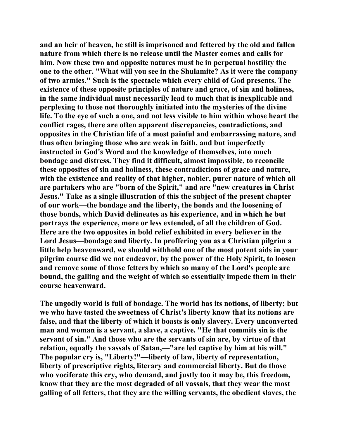**and an heir of heaven, he still is imprisoned and fettered by the old and fallen nature from which there is no release until the Master comes and calls for him. Now these two and opposite natures must be in perpetual hostility the one to the other. "What will you see in the Shulamite? As it were the company of two armies." Such is the spectacle which every child of God presents. The existence of these opposite principles of nature and grace, of sin and holiness, in the same individual must necessarily lead to much that is inexplicable and perplexing to those not thoroughly initiated into the mysteries of the divine life. To the eye of such a one, and not less visible to him within whose heart the conflict rages, there are often apparent discrepancies, contradictions, and opposites in the Christian life of a most painful and embarrassing nature, and thus often bringing those who are weak in faith, and but imperfectly instructed in God's Word and the knowledge of themselves, into much bondage and distress. They find it difficult, almost impossible, to reconcile these opposites of sin and holiness, these contradictions of grace and nature, with the existence and reality of that higher, nobler, purer nature of which all are partakers who are "born of the Spirit," and are "new creatures in Christ Jesus." Take as a single illustration of this the subject of the present chapter of our work—the bondage and the liberty, the bonds and the loosening of those bonds, which David delineates as his experience, and in which he but portrays the experience, more or less extended, of all the children of God. Here are the two opposites in bold relief exhibited in every believer in the Lord Jesus—bondage and liberty. In proffering you as a Christian pilgrim a little help heavenward, we should withhold one of the most potent aids in your pilgrim course did we not endeavor, by the power of the Holy Spirit, to loosen and remove some of those fetters by which so many of the Lord's people are bound, the galling and the weight of which so essentially impede them in their course heavenward.** 

**The ungodly world is full of bondage. The world has its notions, of liberty; but we who have tasted the sweetness of Christ's liberty know that its notions are false, and that the liberty of which it boasts is only slavery. Every unconverted man and woman is a servant, a slave, a captive. "He that commits sin is the servant of sin." And those who are the servants of sin are, by virtue of that relation, equally the vassals of Satan,—"are led captive by him at his will." The popular cry is, "Liberty!"—liberty of law, liberty of representation, liberty of prescriptive rights, literary and commercial liberty. But do those who vociferate this cry, who demand, and justly too it may be, this freedom, know that they are the most degraded of all vassals, that they wear the most galling of all fetters, that they are the willing servants, the obedient slaves, the**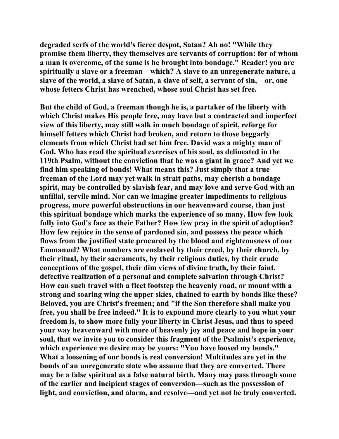**degraded serfs of the world's fierce despot, Satan? Ah no! "While they promise them liberty, they themselves are servants of corruption: for of whom a man is overcome, of the same is he brought into bondage." Reader! you are spiritually a slave or a freeman—which? A slave to an unregenerate nature, a slave of the world, a slave of Satan, a slave of self, a servant of sin,—or, one whose fetters Christ has wrenched, whose soul Christ has set free.** 

**But the child of God, a freeman though he is, a partaker of the liberty with which Christ makes His people free, may have but a contracted and imperfect view of this liberty, may still walk in much bondage of spirit, reforge for himself fetters which Christ had broken, and return to those beggarly elements from which Christ had set him free. David was a mighty man of God. Who has read the spiritual exercises of his soul, as delineated in the 119th Psalm, without the conviction that he was a giant in grace? And yet we find him speaking of bonds! What means this? Just simply that a true freeman of the Lord may yet walk in strait paths, may cherish a bondage spirit, may be controlled by slavish fear, and may love and serve God with an unfilial, servile mind. Nor can we imagine greater impediments to religious progress, more powerful obstructions in our heavenward course, than just this spiritual bondage which marks the experience of so many. How few look fully into God's face as their Father? How few pray in the spirit of adoption? How few rejoice in the sense of pardoned sin, and possess the peace which flows from the justified state procured by the blood and righteousness of our Emmanuel? What numbers are enslaved by their creed, by their church, by their ritual, by their sacraments, by their religious duties, by their crude conceptions of the gospel, their dim views of divine truth, by their faint, defective realization of a personal and complete salvation through Christ? How can such travel with a fleet footstep the heavenly road, or mount with a strong and soaring wing the upper skies, chained to earth by bonds like these? Beloved, you are Christ's freemen; and "if the Son therefore shall make you free, you shall be free indeed." It is to expound more clearly to you what your freedom is, to show more fully your liberty in Christ Jesus, and thus to speed your way heavenward with more of heavenly joy and peace and hope in your soul, that we invite you to consider this fragment of the Psalmist's experience, which experience we desire may be yours: "You have loosed my bonds." What a loosening of our bonds is real conversion! Multitudes are yet in the bonds of an unregenerate state who assume that they are converted. There may be a false spiritual as a false natural birth. Many may pass through some of the earlier and incipient stages of conversion—such as the possession of light, and conviction, and alarm, and resolve—and yet not be truly converted.**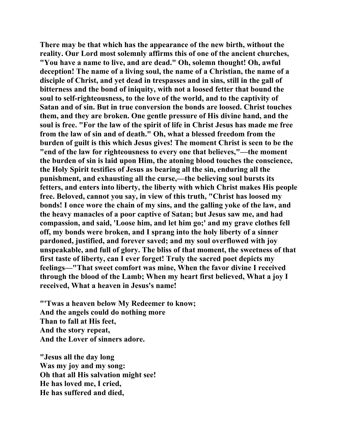**There may be that which has the appearance of the new birth, without the reality. Our Lord most solemnly affirms this of one of the ancient churches, "You have a name to live, and are dead." Oh, solemn thought! Oh, awful deception! The name of a living soul, the name of a Christian, the name of a disciple of Christ, and yet dead in trespasses and in sins, still in the gall of bitterness and the bond of iniquity, with not a loosed fetter that bound the soul to self-righteousness, to the love of the world, and to the captivity of Satan and of sin. But in true conversion the bonds are loosed. Christ touches them, and they are broken. One gentle pressure of His divine hand, and the soul is free. "For the law of the spirit of life in Christ Jesus has made me free from the law of sin and of death." Oh, what a blessed freedom from the burden of guilt is this which Jesus gives! The moment Christ is seen to be the "end of the law for righteousness to every one that believes,"—the moment the burden of sin is laid upon Him, the atoning blood touches the conscience, the Holy Spirit testifies of Jesus as bearing all the sin, enduring all the punishment, and exhausting all the curse,—the believing soul bursts its fetters, and enters into liberty, the liberty with which Christ makes His people free. Beloved, cannot you say, in view of this truth, "Christ has loosed my bonds! I once wore the chain of my sins, and the galling yoke of the law, and the heavy manacles of a poor captive of Satan; but Jesus saw me, and had compassion, and said, 'Loose him, and let him go;' and my grave clothes fell off, my bonds were broken, and I sprang into the holy liberty of a sinner pardoned, justified, and forever saved; and my soul overflowed with joy unspeakable, and full of glory. The bliss of that moment, the sweetness of that first taste of liberty, can I ever forget! Truly the sacred poet depicts my feelings—"That sweet comfort was mine, When the favor divine I received through the blood of the Lamb; When my heart first believed, What a joy I received, What a heaven in Jesus's name!** 

**"'Twas a heaven below My Redeemer to know; And the angels could do nothing more Than to fall at His feet, And the story repeat, And the Lover of sinners adore.** 

**"Jesus all the day long Was my joy and my song: Oh that all His salvation might see! He has loved me, I cried, He has suffered and died,**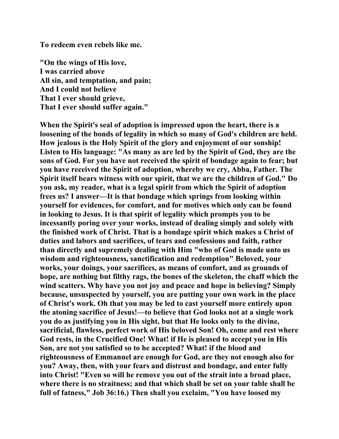**To redeem even rebels like me.** 

**"On the wings of His love, I was carried above All sin, and temptation, and pain; And I could not believe That I ever should grieve, That I ever should suffer again."** 

**When the Spirit's seal of adoption is impressed upon the heart, there is a loosening of the bonds of legality in which so many of God's children are held. How jealous is the Holy Spirit of the glory and enjoyment of our sonship! Listen to His language: "As many as are led by the Spirit of God, they are the sons of God. For you have not received the spirit of bondage again to fear; but you have received the Spirit of adoption, whereby we cry, Abba, Father. The Spirit itself bears witness with our spirit, that we are the children of God." Do you ask, my reader, what is a legal spirit from which the Spirit of adoption frees us? I answer—It is that bondage which springs from looking within yourself for evidences, for comfort, and for motives which only can be found in looking to Jesus. It is that spirit of legality which prompts you to be incessantly poring over your works, instead of dealing simply and solely with the finished work of Christ. That is a bondage spirit which makes a Christ of duties and labors and sacrifices, of tears and confessions and faith, rather than directly and supremely dealing with Him "who of God is made unto us wisdom and righteousness, sanctification and redemption" Beloved, your works, your doings, your sacrifices, as means of comfort, and as grounds of hope, are nothing but filthy rags, the bones of the skeleton, the chaff which the wind scatters. Why have you not joy and peace and hope in believing? Simply because, unsuspected by yourself, you are putting your own work in the place of Christ's work. Oh that you may be led to cast yourself more entirely upon the atoning sacrifice of Jesus!—to believe that God looks not at a single work you do as justifying you in His sight, but that He looks only to the divine, sacrificial, flawless, perfect work of His beloved Son! Oh, come and rest where God rests, in the Crucified One! What! if He is pleased to accept you in His Son, are not you satisfied so to he accepted? What! if the blood and righteousness of Emmanuel are enough for God, are they not enough also for you? Away, then, with your fears and distrust and bondage, and enter fully into Christ! "Even so will he remove you out of the strait into a broad place, where there is no straitness; and that which shall be set on your table shall be full of fatness," Job 36:16.) Then shall you exclaim, "You have loosed my**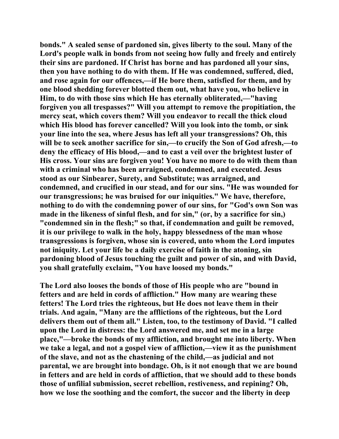**bonds." A sealed sense of pardoned sin, gives liberty to the soul. Many of the Lord's people walk in bonds from not seeing how fully and freely and entirely their sins are pardoned. If Christ has borne and has pardoned all your sins, then you have nothing to do with them. If He was condemned, suffered, died, and rose again for our offences,—if He bore them, satisfied for them, and by one blood shedding forever blotted them out, what have you, who believe in Him, to do with those sins which He has eternally obliterated,—"having forgiven you all trespasses?" Will you attempt to remove the propitiation, the mercy seat, which covers them? Will you endeavor to recall the thick cloud which His blood has forever cancelled? Will you look into the tomb, or sink your line into the sea, where Jesus has left all your transgressions? Oh, this will be to seek another sacrifice for sin,—to crucify the Son of God afresh,—to deny the efficacy of His blood,—and to cast a veil over the brightest luster of His cross. Your sins are forgiven you! You have no more to do with them than with a criminal who has been arraigned, condemned, and executed. Jesus stood as our Sinbearer, Surety, and Substitute; was arraigned, and condemned, and crucified in our stead, and for our sins. "He was wounded for our transgressions; he was bruised for our iniquities." We have, therefore, nothing to do with the condemning power of our sins, for "God's own Son was made in the likeness of sinful flesh, and for sin," (or, by a sacrifice for sin,) "condemned sin in the flesh;" so that, if condemnation and guilt be removed, it is our privilege to walk in the holy, happy blessedness of the man whose transgressions is forgiven, whose sin is covered, unto whom the Lord imputes not iniquity. Let your life be a daily exercise of faith in the atoning, sin pardoning blood of Jesus touching the guilt and power of sin, and with David, you shall gratefully exclaim, "You have loosed my bonds."** 

**The Lord also looses the bonds of those of His people who are "bound in fetters and are held in cords of affliction." How many are wearing these fetters! The Lord tries the righteous, but He does not leave them in their trials. And again, "Many are the afflictions of the righteous, but the Lord delivers them out of them all." Listen, too, to the testimony of David. "I called upon the Lord in distress: the Lord answered me, and set me in a large place,"—broke the bonds of my affliction, and brought me into liberty. When we take a legal, and not a gospel view of affliction,—view it as the punishment of the slave, and not as the chastening of the child,—as judicial and not parental, we are brought into bondage. Oh, is it not enough that we are bound in fetters and are held in cords of affliction, that we should add to these bonds those of unfilial submission, secret rebellion, restiveness, and repining? Oh, how we lose the soothing and the comfort, the succor and the liberty in deep**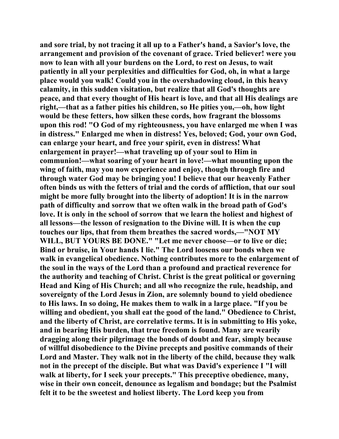**and sore trial, by not tracing it all up to a Father's hand, a Savior's love, the arrangement and provision of the covenant of grace. Tried believer! were you now to lean with all your burdens on the Lord, to rest on Jesus, to wait patiently in all your perplexities and difficulties for God, oh, in what a large place would you walk! Could you in the overshadowing cloud, in this heavy calamity, in this sudden visitation, but realize that all God's thoughts are peace, and that every thought of His heart is love, and that all His dealings are right,—that as a father pities his children, so He pities you,—oh, how light would be these fetters, how silken these cords, how fragrant the blossoms upon this rod! "O God of my righteousness, you have enlarged me when I was in distress." Enlarged me when in distress! Yes, beloved; God, your own God, can enlarge your heart, and free your spirit, even in distress! What enlargement in prayer!—what traveling up of your soul to Him in communion!—what soaring of your heart in love!—what mounting upon the wing of faith, may you now experience and enjoy, though through fire and through water God may be bringing you! I believe that our heavenly Father often binds us with the fetters of trial and the cords of affliction, that our soul might be more fully brought into the liberty of adoption! It is in the narrow path of difficulty and sorrow that we often walk in the broad path of God's love. It is only in the school of sorrow that we learn the holiest and highest of all lessons—the lesson of resignation to the Divine will. It is when the cup touches our lips, that from them breathes the sacred words,—"NOT MY WILL, BUT YOURS BE DONE." "Let me never choose—or to live or die; Bind or bruise, in Your hands I lie." The Lord loosens our bonds when we walk in evangelical obedience. Nothing contributes more to the enlargement of the soul in the ways of the Lord than a profound and practical reverence for the authority and teaching of Christ. Christ is the great political or governing Head and King of His Church; and all who recognize the rule, headship, and sovereignty of the Lord Jesus in Zion, are solemnly bound to yield obedience to His laws. In so doing, He makes them to walk in a large place. "If you be willing and obedient, you shall eat the good of the land." Obedience to Christ, and the liberty of Christ, are correlative terms. It is in submitting to His yoke, and in bearing His burden, that true freedom is found. Many are wearily dragging along their pilgrimage the bonds of doubt and fear, simply because of willful disobedience to the Divine precepts and positive commands of their Lord and Master. They walk not in the liberty of the child, because they walk not in the precept of the disciple. But what was David's experience I "I will walk at liberty, for I seek your precepts." This preceptive obedience, many, wise in their own conceit, denounce as legalism and bondage; but the Psalmist felt it to be the sweetest and holiest liberty. The Lord keep you from**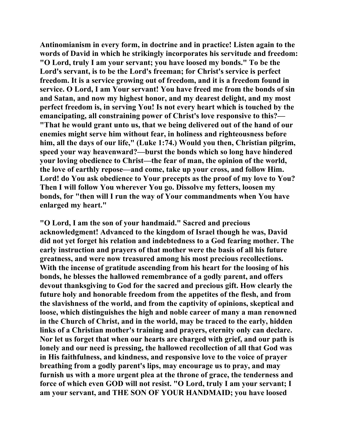**Antinomianism in every form, in doctrine and in practice! Listen again to the words of David in which he strikingly incorporates his servitude and freedom: "O Lord, truly I am your servant; you have loosed my bonds." To be the Lord's servant, is to be the Lord's freeman; for Christ's service is perfect freedom. It is a service growing out of freedom, and it is a freedom found in service. O Lord, I am Your servant! You have freed me from the bonds of sin and Satan, and now my highest honor, and my dearest delight, and my most perfect freedom is, in serving You! Is not every heart which is touched by the emancipating, all constraining power of Christ's love responsive to this?— "That he would grant unto us, that we being delivered out of the hand of our enemies might serve him without fear, in holiness and righteousness before him, all the days of our life," (Luke 1:74.) Would you then, Christian pilgrim, speed your way heavenward?—burst the bonds which so long have hindered your loving obedience to Christ—the fear of man, the opinion of the world, the love of earthly repose—and come, take up your cross, and follow Him. Lord! do You ask obedience to Your precepts as the proof of my love to You? Then I will follow You wherever You go. Dissolve my fetters, loosen my bonds, for "then will I run the way of Your commandments when You have enlarged my heart."** 

**"O Lord, I am the son of your handmaid." Sacred and precious acknowledgment! Advanced to the kingdom of Israel though he was, David did not yet forget his relation and indebtedness to a God fearing mother. The early instruction and prayers of that mother were the basis of all his future greatness, and were now treasured among his most precious recollections. With the incense of gratitude ascending from his heart for the loosing of his bonds, he blesses the hallowed remembrance of a godly parent, and offers devout thanksgiving to God for the sacred and precious gift. How clearly the future holy and honorable freedom from the appetites of the flesh, and from the slavishness of the world, and from the captivity of opinions, skeptical and loose, which distinguishes the high and noble career of many a man renowned in the Church of Christ, and in the world, may be traced to the early, hidden links of a Christian mother's training and prayers, eternity only can declare. Nor let us forget that when our hearts are charged with grief, and our path is lonely and our need is pressing, the hallowed recollection of all that God was in His faithfulness, and kindness, and responsive love to the voice of prayer breathing from a godly parent's lips, may encourage us to pray, and may furnish us with a more urgent plea at the throne of grace, the tenderness and force of which even GOD will not resist. "O Lord, truly I am your servant; I am your servant, and THE SON OF YOUR HANDMAID; you have loosed**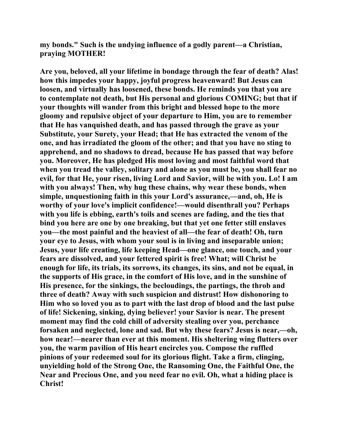**my bonds." Such is the undying influence of a godly parent—a Christian, praying MOTHER!** 

**Are you, beloved, all your lifetime in bondage through the fear of death? Alas! how this impedes your happy, joyful progress heavenward! But Jesus can loosen, and virtually has loosened, these bonds. He reminds you that you are to contemplate not death, but His personal and glorious COMING; but that if your thoughts will wander from this bright and blessed hope to the more gloomy and repulsive object of your departure to Him, you are to remember that He has vanquished death, and has passed through the grave as your Substitute, your Surety, your Head; that He has extracted the venom of the one, and has irradiated the gloom of the other; and that you have no sting to apprehend, and no shadows to dread, because He has passed that way before you. Moreover, He has pledged His most loving and most faithful word that when you tread the valley, solitary and alone as you must be, you shall fear no evil, for that He, your risen, living Lord and Savior, will be with you. Lo! I am with you always! Then, why hug these chains, why wear these bonds, when simple, unquestioning faith in this your Lord's assurance,—and, oh, He is worthy of your love's implicit confidence!—would disenthrall you? Perhaps with you life is ebbing, earth's toils and scenes are fading, and the ties that bind you here are one by one breaking, but that yet one fetter still enslaves you—the most painful and the heaviest of all—the fear of death! Oh, turn your eye to Jesus, with whom your soul is in living and inseparable union; Jesus, your life creating, life keeping Head—one glance, one touch, and your fears are dissolved, and your fettered spirit is free! What; will Christ be enough for life, its trials, its sorrows, its changes, its sins, and not be equal, in the supports of His grace, in the comfort of His love, and in the sunshine of His presence, for the sinkings, the becloudings, the partings, the throb and three of death? Away with such suspicion and distrust! How dishonoring to Him who so loved you as to part with the last drop of blood and the last pulse of life! Sickening, sinking, dying believer! your Savior is near. The present moment may find the cold chill of adversity stealing over you, perchance forsaken and neglected, lone and sad. But why these fears? Jesus is near,—oh, how near!—nearer than ever at this moment. His sheltering wing flutters over you, the warm pavilion of His heart encircles you. Compose the ruffled pinions of your redeemed soul for its glorious flight. Take a firm, clinging, unyielding hold of the Strong One, the Ransoming One, the Faithful One, the Near and Precious One, and you need fear no evil. Oh, what a hiding place is Christ!**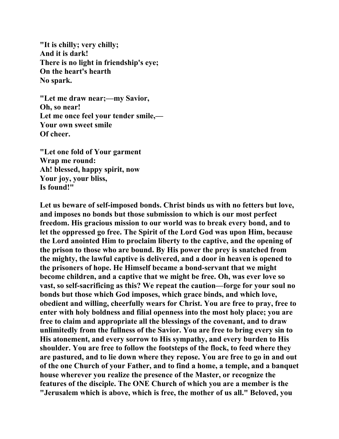**"It is chilly; very chilly; And it is dark! There is no light in friendship's eye; On the heart's hearth No spark.** 

**"Let me draw near;—my Savior, Oh, so near! Let me once feel your tender smile,— Your own sweet smile Of cheer.** 

**"Let one fold of Your garment Wrap me round: Ah! blessed, happy spirit, now Your joy, your bliss, Is found!"** 

**Let us beware of self-imposed bonds. Christ binds us with no fetters but love, and imposes no bonds but those submission to which is our most perfect freedom. His gracious mission to our world was to break every bond, and to let the oppressed go free. The Spirit of the Lord God was upon Him, because the Lord anointed Him to proclaim liberty to the captive, and the opening of the prison to those who are bound. By His power the prey is snatched from the mighty, the lawful captive is delivered, and a door in heaven is opened to the prisoners of hope. He Himself became a bond-servant that we might become children, and a captive that we might be free. Oh, was ever love so vast, so self-sacrificing as this? We repeat the caution—forge for your soul no bonds but those which God imposes, which grace binds, and which love, obedient and willing, cheerfully wears for Christ. You are free to pray, free to enter with holy boldness and filial openness into the most holy place; you are free to claim and appropriate all the blessings of the covenant, and to draw unlimitedly from the fullness of the Savior. You are free to bring every sin to His atonement, and every sorrow to His sympathy, and every burden to His shoulder. You are free to follow the footsteps of the flock, to feed where they are pastured, and to lie down where they repose. You are free to go in and out of the one Church of your Father, and to find a home, a temple, and a banquet house wherever you realize the presence of the Master, or recognize the features of the disciple. The ONE Church of which you are a member is the "Jerusalem which is above, which is free, the mother of us all." Beloved, you**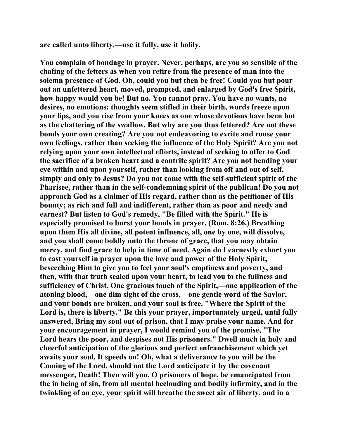**are called unto liberty,—use it fully, use it holily.** 

**You complain of bondage in prayer. Never, perhaps, are you so sensible of the chafing of the fetters as when you retire from the presence of man into the solemn presence of God. Oh, could you but then be free! Could you but pour out an unfettered heart, moved, prompted, and enlarged by God's free Spirit, how happy would you be! But no. You cannot pray. You have no wants, no desires, no emotions: thoughts seem stifled in their birth, words freeze upon your lips, and you rise from your knees as one whose devotions have been but as the chattering of the swallow. But why are you thus fettered? Are not these bonds your own creating? Are you not endeavoring to excite and rouse your own feelings, rather than seeking the influence of the Holy Spirit? Are you not relying upon your own intellectual efforts, instead of seeking to offer to God the sacrifice of a broken heart and a contrite spirit? Are you not bending your eye within and upon yourself, rather than looking from off and out of self, simply and only to Jesus? Do you not come with the self-sufficient spirit of the Pharisee, rather than in the self-condemning spirit of the publican! Do you not approach God as a claimer of His regard, rather than as the petitioner of His bounty; as rich and full and indifferent, rather than as poor and needy and earnest? But listen to God's remedy, "Be filled with the Spirit." He is especially promised to burst your bonds in prayer, (Rom. 8:26.) Breathing upon them His all divine, all potent influence, all, one by one, will dissolve, and you shall come boldly unto the throne of grace, that you may obtain mercy, and find grace to help in time of need. Again do I earnestly exhort you to cast yourself in prayer upon the love and power of the Holy Spirit, beseeching Him to give you to feel your soul's emptiness and poverty, and then, with that truth sealed upon your heart, to lead you to the fullness and sufficiency of Christ. One gracious touch of the Spirit,—one application of the atoning blood,—one dim sight of the cross,—one gentle word of the Savior, and your bonds are broken, and your soul is free. "Where the Spirit of the Lord is, there is liberty." Be this your prayer, importunately urged, until fully answered, Bring my soul out of prison, that I may praise your name. And for your encouragement in prayer, I would remind you of the promise, "The Lord hears the poor, and despises not His prisoners." Dwell much in holy and cheerful anticipation of the glorious and perfect enfranchisement which yet awaits your soul. It speeds on! Oh, what a deliverance to you will be the Coming of the Lord, should not the Lord anticipate it by the covenant messenger, Death! Then will you, O prisoners of hope, be emancipated from the in being of sin, from all mental beclouding and bodily infirmity, and in the twinkling of an eye, your spirit will breathe the sweet air of liberty, and in a**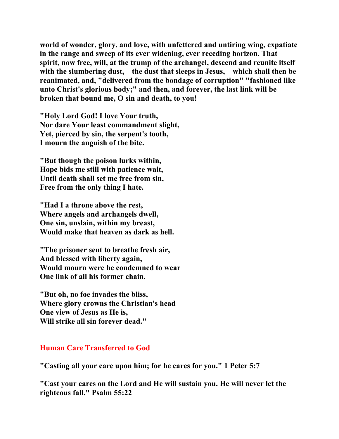**world of wonder, glory, and love, with unfettered and untiring wing, expatiate in the range and sweep of its ever widening, ever receding horizon. That spirit, now free, will, at the trump of the archangel, descend and reunite itself**  with the slumbering dust,—the dust that sleeps in Jesus,—which shall then be **reanimated, and, "delivered from the bondage of corruption" "fashioned like unto Christ's glorious body;" and then, and forever, the last link will be broken that bound me, O sin and death, to you!** 

**"Holy Lord God! I love Your truth, Nor dare Your least commandment slight, Yet, pierced by sin, the serpent's tooth, I mourn the anguish of the bite.** 

**"But though the poison lurks within, Hope bids me still with patience wait, Until death shall set me free from sin, Free from the only thing I hate.** 

**"Had I a throne above the rest, Where angels and archangels dwell, One sin, unslain, within my breast, Would make that heaven as dark as hell.** 

**"The prisoner sent to breathe fresh air, And blessed with liberty again, Would mourn were he condemned to wear One link of all his former chain.** 

**"But oh, no foe invades the bliss, Where glory crowns the Christian's head One view of Jesus as He is, Will strike all sin forever dead."** 

## **Human Care Transferred to God**

**"Casting all your care upon him; for he cares for you." 1 Peter 5:7** 

**"Cast your cares on the Lord and He will sustain you. He will never let the righteous fall." Psalm 55:22**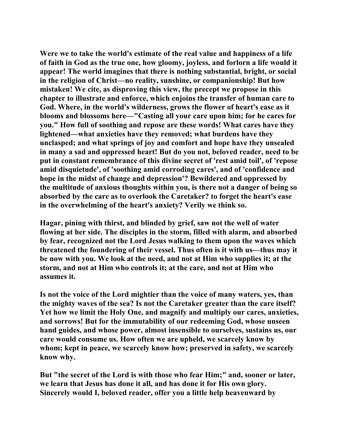**Were we to take the world's estimate of the real value and happiness of a life of faith in God as the true one, how gloomy, joyless, and forlorn a life would it appear! The world imagines that there is nothing substantial, bright, or social in the religion of Christ—no reality, sunshine, or companionship! But how mistaken! We cite, as disproving this view, the precept we propose in this chapter to illustrate and enforce, which enjoins the transfer of human care to God. Where, in the world's wilderness, grows the flower of heart's ease as it blooms and blossoms here—"Casting all your care upon him; for he cares for you." How full of soothing and repose are these words! What cares have they lightened—what anxieties have they removed; what burdens have they unclasped; and what springs of joy and comfort and hope have they unsealed in many a sad and oppressed heart! But do you not, beloved reader, need to be put in constant remembrance of this divine secret of 'rest amid toil', of 'repose amid disquietude', of 'soothing amid corroding cares', and of 'confidence and hope in the midst of change and depression'? Bewildered and oppressed by the multitude of anxious thoughts within you, is there not a danger of being so absorbed by the care as to overlook the Caretaker? to forget the heart's ease in the overwhelming of the heart's anxiety? Verily we think so.** 

**Hagar, pining with thirst, and blinded by grief, saw not the well of water flowing at her side. The disciples in the storm, filled with alarm, and absorbed by fear, recognized not the Lord Jesus walking to them upon the waves which threatened the foundering of their vessel. Thus often is it with us—thus may it be now with you. We look at the need, and not at Him who supplies it; at the storm, and not at Him who controls it; at the care, and not at Him who assumes it.** 

**Is not the voice of the Lord mightier than the voice of many waters, yes, than the mighty waves of the sea? Is not the Caretaker greater than the care itself? Yet how we limit the Holy One, and magnify and multiply our cares, anxieties, and sorrows! But for the immutability of our redeeming God, whose unseen hand guides, and whose power, almost insensible to ourselves, sustains us, our care would consume us. How often we are upheld, we scarcely know by whom; kept in peace, we scarcely know how; preserved in safety, we scarcely know why.** 

**But "the secret of the Lord is with those who fear Him;" and, sooner or later, we learn that Jesus has done it all, and has done it for His own glory. Sincerely would I, beloved reader, offer you a little help heavenward by**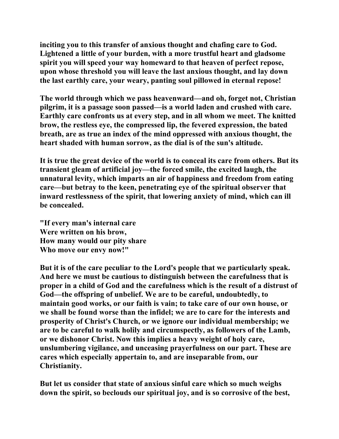**inciting you to this transfer of anxious thought and chafing care to God. Lightened a little of your burden, with a more trustful heart and gladsome spirit you will speed your way homeward to that heaven of perfect repose, upon whose threshold you will leave the last anxious thought, and lay down the last earthly care, your weary, panting soul pillowed in eternal repose!** 

**The world through which we pass heavenward—and oh, forget not, Christian pilgrim, it is a passage soon passed—is a world laden and crushed with care. Earthly care confronts us at every step, and in all whom we meet. The knitted brow, the restless eye, the compressed lip, the fevered expression, the bated breath, are as true an index of the mind oppressed with anxious thought, the heart shaded with human sorrow, as the dial is of the sun's altitude.** 

**It is true the great device of the world is to conceal its care from others. But its transient gleam of artificial joy—the forced smile, the excited laugh, the unnatural levity, which imparts an air of happiness and freedom from eating care—but betray to the keen, penetrating eye of the spiritual observer that inward restlessness of the spirit, that lowering anxiety of mind, which can ill be concealed.** 

**"If every man's internal care Were written on his brow, How many would our pity share Who move our envy now!"** 

**But it is of the care peculiar to the Lord's people that we particularly speak. And here we must be cautious to distinguish between the carefulness that is proper in a child of God and the carefulness which is the result of a distrust of God—the offspring of unbelief. We are to be careful, undoubtedly, to maintain good works, or our faith is vain; to take care of our own house, or we shall be found worse than the infidel; we are to care for the interests and prosperity of Christ's Church, or we ignore our individual membership; we are to be careful to walk holily and circumspectly, as followers of the Lamb, or we dishonor Christ. Now this implies a heavy weight of holy care, unslumbering vigilance, and unceasing prayerfulness on our part. These are cares which especially appertain to, and are inseparable from, our Christianity.** 

**But let us consider that state of anxious sinful care which so much weighs down the spirit, so beclouds our spiritual joy, and is so corrosive of the best,**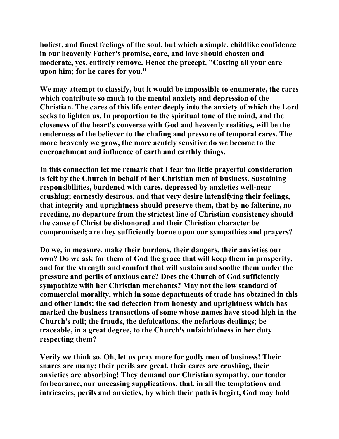**holiest, and finest feelings of the soul, but which a simple, childlike confidence in our heavenly Father's promise, care, and love should chasten and moderate, yes, entirely remove. Hence the precept, "Casting all your care upon him; for he cares for you."** 

**We may attempt to classify, but it would be impossible to enumerate, the cares which contribute so much to the mental anxiety and depression of the Christian. The cares of this life enter deeply into the anxiety of which the Lord seeks to lighten us. In proportion to the spiritual tone of the mind, and the closeness of the heart's converse with God and heavenly realities, will be the tenderness of the believer to the chafing and pressure of temporal cares. The more heavenly we grow, the more acutely sensitive do we become to the encroachment and influence of earth and earthly things.** 

**In this connection let me remark that I fear too little prayerful consideration is felt by the Church in behalf of her Christian men of business. Sustaining responsibilities, burdened with cares, depressed by anxieties well-near crushing; earnestly desirous, and that very desire intensifying their feelings, that integrity and uprightness should preserve them, that by no faltering, no receding, no departure from the strictest line of Christian consistency should the cause of Christ be dishonored and their Christian character be compromised; are they sufficiently borne upon our sympathies and prayers?** 

**Do we, in measure, make their burdens, their dangers, their anxieties our own? Do we ask for them of God the grace that will keep them in prosperity, and for the strength and comfort that will sustain and soothe them under the pressure and perils of anxious care? Does the Church of God sufficiently sympathize with her Christian merchants? May not the low standard of commercial morality, which in some departments of trade has obtained in this and other lands; the sad defection from honesty and uprightness which has marked the business transactions of some whose names have stood high in the Church's roll; the frauds, the defalcations, the nefarious dealings; be traceable, in a great degree, to the Church's unfaithfulness in her duty respecting them?** 

**Verily we think so. Oh, let us pray more for godly men of business! Their snares are many; their perils are great, their cares are crushing, their anxieties are absorbing! They demand our Christian sympathy, our tender forbearance, our unceasing supplications, that, in all the temptations and intricacies, perils and anxieties, by which their path is begirt, God may hold**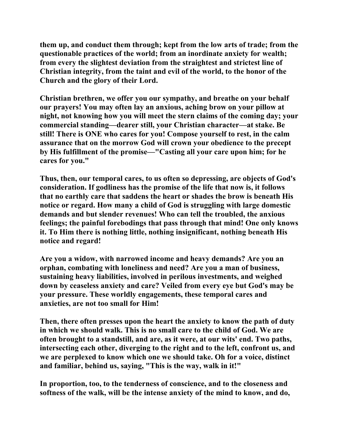**them up, and conduct them through; kept from the low arts of trade; from the questionable practices of the world; from an inordinate anxiety for wealth; from every the slightest deviation from the straightest and strictest line of Christian integrity, from the taint and evil of the world, to the honor of the Church and the glory of their Lord.** 

**Christian brethren, we offer you our sympathy, and breathe on your behalf our prayers! You may often lay an anxious, aching brow on your pillow at night, not knowing how you will meet the stern claims of the coming day; your commercial standing—dearer still, your Christian character—at stake. Be still! There is ONE who cares for you! Compose yourself to rest, in the calm assurance that on the morrow God will crown your obedience to the precept by His fulfillment of the promise—"Casting all your care upon him; for he cares for you."** 

**Thus, then, our temporal cares, to us often so depressing, are objects of God's consideration. If godliness has the promise of the life that now is, it follows that no earthly care that saddens the heart or shades the brow is beneath His notice or regard. How many a child of God is struggling with large domestic demands and but slender revenues! Who can tell the troubled, the anxious feelings; the painful forebodings that pass through that mind! One only knows it. To Him there is nothing little, nothing insignificant, nothing beneath His notice and regard!** 

**Are you a widow, with narrowed income and heavy demands? Are you an orphan, combating with loneliness and need? Are you a man of business, sustaining heavy liabilities, involved in perilous investments, and weighed down by ceaseless anxiety and care? Veiled from every eye but God's may be your pressure. These worldly engagements, these temporal cares and anxieties, are not too small for Him!** 

**Then, there often presses upon the heart the anxiety to know the path of duty in which we should walk. This is no small care to the child of God. We are often brought to a standstill, and are, as it were, at our wits' end. Two paths, intersecting each other, diverging to the right and to the left, confront us, and we are perplexed to know which one we should take. Oh for a voice, distinct and familiar, behind us, saying, "This is the way, walk in it!"** 

**In proportion, too, to the tenderness of conscience, and to the closeness and softness of the walk, will be the intense anxiety of the mind to know, and do,**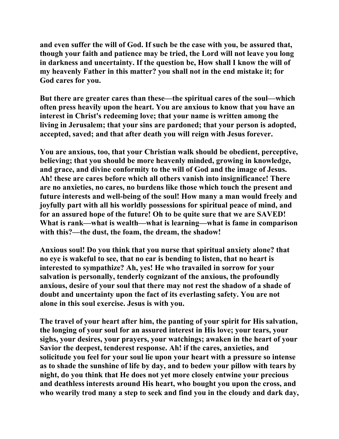**and even suffer the will of God. If such be the case with you, be assured that, though your faith and patience may be tried, the Lord will not leave you long in darkness and uncertainty. If the question be, How shall I know the will of my heavenly Father in this matter? you shall not in the end mistake it; for God cares for you.** 

**But there are greater cares than these—the spiritual cares of the soul—which often press heavily upon the heart. You are anxious to know that you have an interest in Christ's redeeming love; that your name is written among the living in Jerusalem; that your sins are pardoned; that your person is adopted, accepted, saved; and that after death you will reign with Jesus forever.** 

**You are anxious, too, that your Christian walk should be obedient, perceptive, believing; that you should be more heavenly minded, growing in knowledge, and grace, and divine conformity to the will of God and the image of Jesus. Ah! these are cares before which all others vanish into insignificance! There are no anxieties, no cares, no burdens like those which touch the present and future interests and well-being of the soul! How many a man would freely and joyfully part with all his worldly possessions for spiritual peace of mind, and for an assured hope of the future! Oh to be quite sure that we are SAVED! What is rank—what is wealth—what is learning—what is fame in comparison with this?—the dust, the foam, the dream, the shadow!** 

**Anxious soul! Do you think that you nurse that spiritual anxiety alone? that no eye is wakeful to see, that no ear is bending to listen, that no heart is interested to sympathize? Ah, yes! He who travailed in sorrow for your salvation is personally, tenderly cognizant of the anxious, the profoundly anxious, desire of your soul that there may not rest the shadow of a shade of doubt and uncertainty upon the fact of its everlasting safety. You are not alone in this soul exercise. Jesus is with you.** 

**The travel of your heart after him, the panting of your spirit for His salvation, the longing of your soul for an assured interest in His love; your tears, your sighs, your desires, your prayers, your watchings; awaken in the heart of your Savior the deepest, tenderest response. Ah! if the cares, anxieties, and solicitude you feel for your soul lie upon your heart with a pressure so intense as to shade the sunshine of life by day, and to bedew your pillow with tears by night, do you think that He does not yet more closely entwine your precious and deathless interests around His heart, who bought you upon the cross, and who wearily trod many a step to seek and find you in the cloudy and dark day,**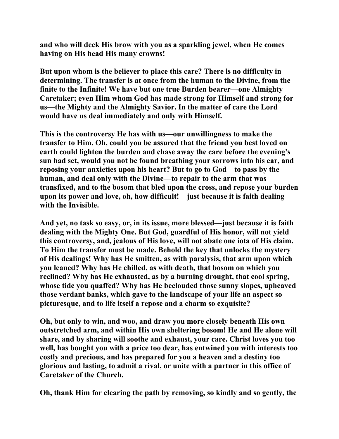**and who will deck His brow with you as a sparkling jewel, when He comes having on His head His many crowns!** 

**But upon whom is the believer to place this care? There is no difficulty in determining. The transfer is at once from the human to the Divine, from the finite to the Infinite! We have but one true Burden bearer—one Almighty Caretaker; even Him whom God has made strong for Himself and strong for us—the Mighty and the Almighty Savior. In the matter of care the Lord would have us deal immediately and only with Himself.** 

**This is the controversy He has with us—our unwillingness to make the transfer to Him. Oh, could you be assured that the friend you best loved on earth could lighten the burden and chase away the care before the evening's sun had set, would you not be found breathing your sorrows into his ear, and reposing your anxieties upon his heart? But to go to God—to pass by the human, and deal only with the Divine—to repair to the arm that was transfixed, and to the bosom that bled upon the cross, and repose your burden upon its power and love, oh, how difficult!—just because it is faith dealing with the Invisible.** 

**And yet, no task so easy, or, in its issue, more blessed—just because it is faith dealing with the Mighty One. But God, guardful of His honor, will not yield this controversy, and, jealous of His love, will not abate one iota of His claim. To Him the transfer must be made. Behold the key that unlocks the mystery of His dealings! Why has He smitten, as with paralysis, that arm upon which you leaned? Why has He chilled, as with death, that bosom on which you reclined? Why has He exhausted, as by a burning drought, that cool spring, whose tide you quaffed? Why has He beclouded those sunny slopes, upheaved those verdant banks, which gave to the landscape of your life an aspect so picturesque, and to life itself a repose and a charm so exquisite?** 

**Oh, but only to win, and woo, and draw you more closely beneath His own outstretched arm, and within His own sheltering bosom! He and He alone will share, and by sharing will soothe and exhaust, your care. Christ loves you too well, has bought you with a price too dear, has entwined you with interests too costly and precious, and has prepared for you a heaven and a destiny too glorious and lasting, to admit a rival, or unite with a partner in this office of Caretaker of the Church.** 

**Oh, thank Him for clearing the path by removing, so kindly and so gently, the**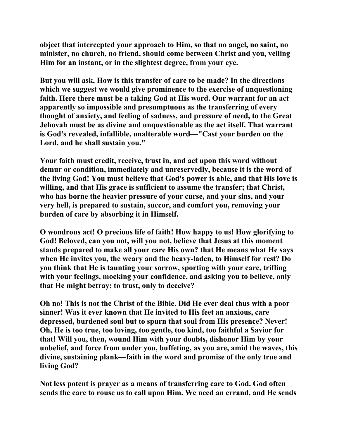**object that intercepted your approach to Him, so that no angel, no saint, no minister, no church, no friend, should come between Christ and you, veiling Him for an instant, or in the slightest degree, from your eye.** 

**But you will ask, How is this transfer of care to be made? In the directions which we suggest we would give prominence to the exercise of unquestioning faith. Here there must be a taking God at His word. Our warrant for an act apparently so impossible and presumptuous as the transferring of every thought of anxiety, and feeling of sadness, and pressure of need, to the Great Jehovah must be as divine and unquestionable as the act itself. That warrant is God's revealed, infallible, unalterable word—"Cast your burden on the Lord, and he shall sustain you."** 

**Your faith must credit, receive, trust in, and act upon this word without demur or condition, immediately and unreservedly, because it is the word of the living God! You must believe that God's power is able, and that His love is willing, and that His grace is sufficient to assume the transfer; that Christ, who has borne the heavier pressure of your curse, and your sins, and your very hell, is prepared to sustain, succor, and comfort you, removing your burden of care by absorbing it in Himself.** 

**O wondrous act! O precious life of faith! How happy to us! How glorifying to God! Beloved, can you not, will you not, believe that Jesus at this moment stands prepared to make all your care His own? that He means what He says when He invites you, the weary and the heavy-laden, to Himself for rest? Do you think that He is taunting your sorrow, sporting with your care, trifling with your feelings, mocking your confidence, and asking you to believe, only that He might betray; to trust, only to deceive?** 

**Oh no! This is not the Christ of the Bible. Did He ever deal thus with a poor sinner! Was it ever known that He invited to His feet an anxious, care depressed, burdened soul but to spurn that soul from His presence? Never! Oh, He is too true, too loving, too gentle, too kind, too faithful a Savior for that! Will you, then, wound Him with your doubts, dishonor Him by your unbelief, and force from under you, buffeting, as you are, amid the waves, this divine, sustaining plank—faith in the word and promise of the only true and living God?** 

**Not less potent is prayer as a means of transferring care to God. God often sends the care to rouse us to call upon Him. We need an errand, and He sends**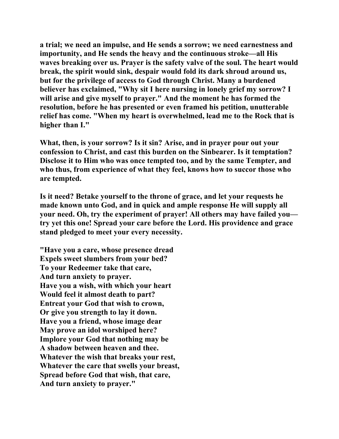**a trial; we need an impulse, and He sends a sorrow; we need earnestness and importunity, and He sends the heavy and the continuous stroke—all His waves breaking over us. Prayer is the safety valve of the soul. The heart would break, the spirit would sink, despair would fold its dark shroud around us, but for the privilege of access to God through Christ. Many a burdened believer has exclaimed, "Why sit I here nursing in lonely grief my sorrow? I will arise and give myself to prayer." And the moment he has formed the resolution, before he has presented or even framed his petition, unutterable relief has come. "When my heart is overwhelmed, lead me to the Rock that is higher than I."** 

**What, then, is your sorrow? Is it sin? Arise, and in prayer pour out your confession to Christ, and cast this burden on the Sinbearer. Is it temptation? Disclose it to Him who was once tempted too, and by the same Tempter, and who thus, from experience of what they feel, knows how to succor those who are tempted.** 

**Is it need? Betake yourself to the throne of grace, and let your requests he made known unto God, and in quick and ample response He will supply all your need. Oh, try the experiment of prayer! All others may have failed you try yet this one! Spread your care before the Lord. His providence and grace stand pledged to meet your every necessity.** 

**"Have you a care, whose presence dread Expels sweet slumbers from your bed? To your Redeemer take that care, And turn anxiety to prayer. Have you a wish, with which your heart Would feel it almost death to part? Entreat your God that wish to crown, Or give you strength to lay it down. Have you a friend, whose image dear May prove an idol worshiped here? Implore your God that nothing may be A shadow between heaven and thee. Whatever the wish that breaks your rest, Whatever the care that swells your breast, Spread before God that wish, that care, And turn anxiety to prayer."**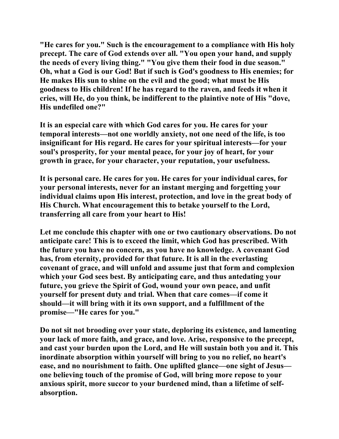**"He cares for you." Such is the encouragement to a compliance with His holy precept. The care of God extends over all. "You open your hand, and supply the needs of every living thing." "You give them their food in due season." Oh, what a God is our God! But if such is God's goodness to His enemies; for He makes His sun to shine on the evil and the good; what must be His goodness to His children! If he has regard to the raven, and feeds it when it cries, will He, do you think, be indifferent to the plaintive note of His "dove, His undefiled one?"** 

**It is an especial care with which God cares for you. He cares for your temporal interests—not one worldly anxiety, not one need of the life, is too insignificant for His regard. He cares for your spiritual interests—for your soul's prosperity, for your mental peace, for your joy of heart, for your growth in grace, for your character, your reputation, your usefulness.** 

**It is personal care. He cares for you. He cares for your individual cares, for your personal interests, never for an instant merging and forgetting your individual claims upon His interest, protection, and love in the great body of His Church. What encouragement this to betake yourself to the Lord, transferring all care from your heart to His!** 

**Let me conclude this chapter with one or two cautionary observations. Do not anticipate care! This is to exceed the limit, which God has prescribed. With the future you have no concern, as you have no knowledge. A covenant God has, from eternity, provided for that future. It is all in the everlasting covenant of grace, and will unfold and assume just that form and complexion which your God sees best. By anticipating care, and thus antedating your future, you grieve the Spirit of God, wound your own peace, and unfit yourself for present duty and trial. When that care comes—if come it should—it will bring with it its own support, and a fulfillment of the promise—"He cares for you."** 

**Do not sit not brooding over your state, deploring its existence, and lamenting your lack of more faith, and grace, and love. Arise, responsive to the precept, and cast your burden upon the Lord, and He will sustain both you and it. This inordinate absorption within yourself will bring to you no relief, no heart's ease, and no nourishment to faith. One uplifted glance—one sight of Jesus one believing touch of the promise of God, will bring more repose to your anxious spirit, more succor to your burdened mind, than a lifetime of selfabsorption.**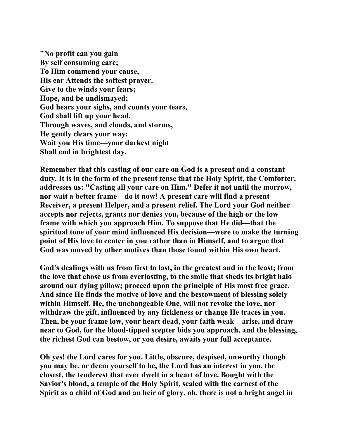**"No profit can you gain By self consuming care; To Him commend your cause, His ear Attends the softest prayer. Give to the winds your fears; Hope, and be undismayed; God hears your sighs, and counts your tears, God shall lift up your head. Through waves, and clouds, and storms, He gently clears your way: Wait you His time—your darkest night Shall end in brightest day.** 

**Remember that this casting of our care on God is a present and a constant duty. It is in the form of the present tense that the Holy Spirit, the Comforter, addresses us: "Casting all your care on Him." Defer it not until the morrow, nor wait a better frame—do it now! A present care will find a present Receiver, a present Helper, and a present relief. The Lord your God neither accepts nor rejects, grants nor denies you, because of the high or the low frame with which you approach Him. To suppose that He did—that the spiritual tone of your mind influenced His decision—were to make the turning point of His love to center in you rather than in Himself, and to argue that God was moved by other motives than those found within His own heart.** 

**God's dealings with us from first to last, in the greatest and in the least; from the love that chose us from everlasting, to the smile that sheds its bright halo around our dying pillow; proceed upon the principle of His most free grace. And since He finds the motive of love and the bestowment of blessing solely within Himself, He, the unchangeable One, will not revoke the love, nor withdraw the gift, influenced by any fickleness or change He traces in you. Then, be your frame low, your heart dead, your faith weak—arise, and draw near to God, for the blood-tipped scepter bids you approach, and the blessing, the richest God can bestow, or you desire, awaits your full acceptance.** 

**Oh yes! the Lord cares for you. Little, obscure, despised, unworthy though you may be, or deem yourself to be, the Lord has an interest in you, the closest, the tenderest that ever dwelt in a heart of love. Bought with the Savior's blood, a temple of the Holy Spirit, sealed with the earnest of the Spirit as a child of God and an heir of glory, oh, there is not a bright angel in**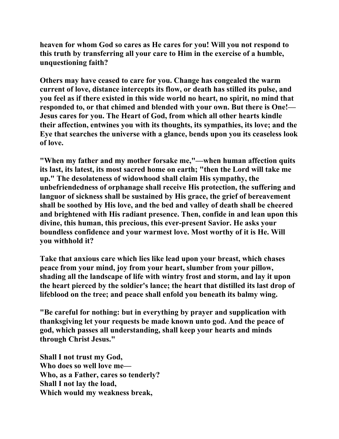**heaven for whom God so cares as He cares for you! Will you not respond to this truth by transferring all your care to Him in the exercise of a humble, unquestioning faith?** 

**Others may have ceased to care for you. Change has congealed the warm current of love, distance intercepts its flow, or death has stilled its pulse, and you feel as if there existed in this wide world no heart, no spirit, no mind that responded to, or that chimed and blended with your own. But there is One!— Jesus cares for you. The Heart of God, from which all other hearts kindle their affection, entwines you with its thoughts, its sympathies, its love; and the Eye that searches the universe with a glance, bends upon you its ceaseless look of love.** 

**"When my father and my mother forsake me,"—when human affection quits its last, its latest, its most sacred home on earth; "then the Lord will take me up." The desolateness of widowhood shall claim His sympathy, the unbefriendedness of orphanage shall receive His protection, the suffering and languor of sickness shall be sustained by His grace, the grief of bereavement shall be soothed by His love, and the bed and valley of death shall be cheered and brightened with His radiant presence. Then, confide in and lean upon this divine, this human, this precious, this ever-present Savior. He asks your boundless confidence and your warmest love. Most worthy of it is He. Will you withhold it?** 

**Take that anxious care which lies like lead upon your breast, which chases peace from your mind, joy from your heart, slumber from your pillow, shading all the landscape of life with wintry frost and storm, and lay it upon the heart pierced by the soldier's lance; the heart that distilled its last drop of lifeblood on the tree; and peace shall enfold you beneath its balmy wing.** 

**"Be careful for nothing: but in everything by prayer and supplication with thanksgiving let your requests be made known unto god. And the peace of god, which passes all understanding, shall keep your hearts and minds through Christ Jesus."** 

**Shall I not trust my God, Who does so well love me— Who, as a Father, cares so tenderly? Shall I not lay the load, Which would my weakness break,**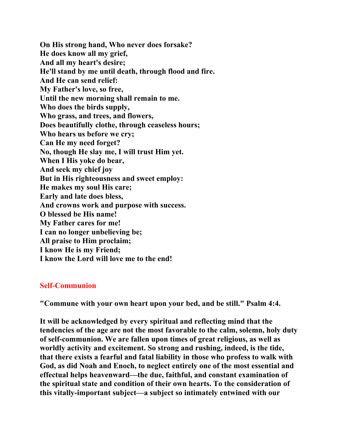**On His strong hand, Who never does forsake? He does know all my grief, And all my heart's desire; He'll stand by me until death, through flood and fire. And He can send relief: My Father's love, so free, Until the new morning shall remain to me. Who does the birds supply, Who grass, and trees, and flowers, Does beautifully clothe, through ceaseless hours; Who hears us before we cry; Can He my need forget? No, though He slay me, I will trust Him yet. When I His yoke do bear, And seek my chief joy But in His righteousness and sweet employ: He makes my soul His care; Early and late does bless, And crowns work and purpose with success. O blessed be His name! My Father cares for me! I can no longer unbelieving be; All praise to Him proclaim; I know He is my Friend; I know the Lord will love me to the end!** 

## **Self-Communion**

**"Commune with your own heart upon your bed, and be still." Psalm 4:4.** 

**It will be acknowledged by every spiritual and reflecting mind that the tendencies of the age are not the most favorable to the calm, solemn, holy duty of self-communion. We are fallen upon times of great religious, as well as worldly activity and excitement. So strong and rushing, indeed, is the tide, that there exists a fearful and fatal liability in those who profess to walk with God, as did Noah and Enoch, to neglect entirely one of the most essential and effectual helps heavenward—the due, faithful, and constant examination of the spiritual state and condition of their own hearts. To the consideration of this vitally-important subject—a subject so intimately entwined with our**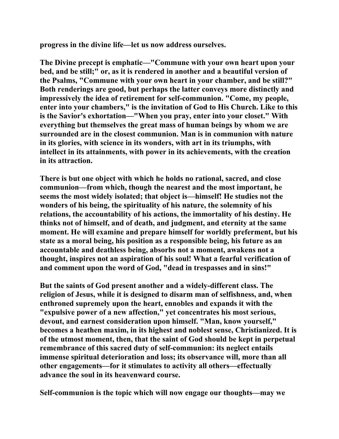**progress in the divine life—let us now address ourselves.** 

**The Divine precept is emphatic—"Commune with your own heart upon your bed, and be still;" or, as it is rendered in another and a beautiful version of the Psalms, "Commune with your own heart in your chamber, and be still?" Both renderings are good, but perhaps the latter conveys more distinctly and impressively the idea of retirement for self-communion. "Come, my people, enter into your chambers," is the invitation of God to His Church. Like to this is the Savior's exhortation—"When you pray, enter into your closet." With everything but themselves the great mass of human beings by whom we are surrounded are in the closest communion. Man is in communion with nature in its glories, with science in its wonders, with art in its triumphs, with intellect in its attainments, with power in its achievements, with the creation in its attraction.** 

**There is but one object with which he holds no rational, sacred, and close communion—from which, though the nearest and the most important, he seems the most widely isolated; that object is—himself! He studies not the wonders of his being, the spirituality of his nature, the solemnity of his relations, the accountability of his actions, the immortality of his destiny. He thinks not of himself, and of death, and judgment, and eternity at the same moment. He will examine and prepare himself for worldly preferment, but his state as a moral being, his position as a responsible being, his future as an accountable and deathless being, absorbs not a moment, awakens not a thought, inspires not an aspiration of his soul! What a fearful verification of and comment upon the word of God, "dead in trespasses and in sins!"** 

**But the saints of God present another and a widely-different class. The religion of Jesus, while it is designed to disarm man of selfishness, and, when enthroned supremely upon the heart, ennobles and expands it with the "expulsive power of a new affection," yet concentrates his most serious, devout, and earnest consideration upon himself. "Man, know yourself," becomes a heathen maxim, in its highest and noblest sense, Christianized. It is of the utmost moment, then, that the saint of God should be kept in perpetual remembrance of this sacred duty of self-communion: its neglect entails immense spiritual deterioration and loss; its observance will, more than all other engagements—for it stimulates to activity all others—effectually advance the soul in its heavenward course.** 

**Self-communion is the topic which will now engage our thoughts—may we**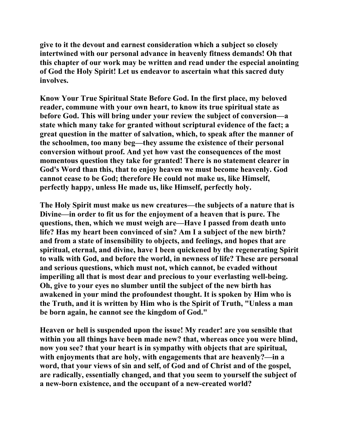**give to it the devout and earnest consideration which a subject so closely intertwined with our personal advance in heavenly fitness demands! Oh that this chapter of our work may be written and read under the especial anointing of God the Holy Spirit! Let us endeavor to ascertain what this sacred duty involves.** 

**Know Your True Spiritual State Before God. In the first place, my beloved reader, commune with your own heart, to know its true spiritual state as before God. This will bring under your review the subject of conversion—a state which many take for granted without scriptural evidence of the fact; a great question in the matter of salvation, which, to speak after the manner of the schoolmen, too many beg—they assume the existence of their personal conversion without proof. And yet how vast the consequences of the most momentous question they take for granted! There is no statement clearer in God's Word than this, that to enjoy heaven we must become heavenly. God cannot cease to be God; therefore He could not make us, like Himself, perfectly happy, unless He made us, like Himself, perfectly holy.** 

**The Holy Spirit must make us new creatures—the subjects of a nature that is Divine—in order to fit us for the enjoyment of a heaven that is pure. The questions, then, which we must weigh are—Have I passed from death unto life? Has my heart been convinced of sin? Am I a subject of the new birth? and from a state of insensibility to objects, and feelings, and hopes that are spiritual, eternal, and divine, have I been quickened by the regenerating Spirit to walk with God, and before the world, in newness of life? These are personal and serious questions, which must not, which cannot, be evaded without imperiling all that is most dear and precious to your everlasting well-being. Oh, give to your eyes no slumber until the subject of the new birth has awakened in your mind the profoundest thought. It is spoken by Him who is the Truth, and it is written by Him who is the Spirit of Truth, "Unless a man be born again, he cannot see the kingdom of God."** 

**Heaven or hell is suspended upon the issue! My reader! are you sensible that within you all things have been made new? that, whereas once you were blind, now you see? that your heart is in sympathy with objects that are spiritual, with enjoyments that are holy, with engagements that are heavenly?—in a word, that your views of sin and self, of God and of Christ and of the gospel, are radically, essentially changed, and that you seem to yourself the subject of a new-born existence, and the occupant of a new-created world?**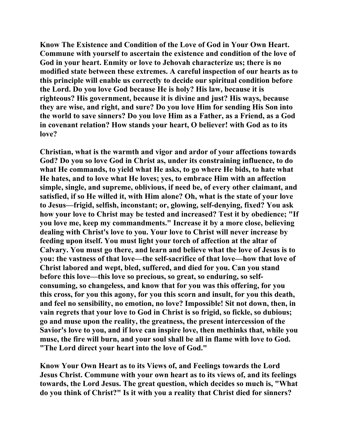**Know The Existence and Condition of the Love of God in Your Own Heart. Commune with yourself to ascertain the existence and condition of the love of God in your heart. Enmity or love to Jehovah characterize us; there is no modified state between these extremes. A careful inspection of our hearts as to this principle will enable us correctly to decide our spiritual condition before the Lord. Do you love God because He is holy? His law, because it is righteous? His government, because it is divine and just? His ways, because they are wise, and right, and sure? Do you love Him for sending His Son into the world to save sinners? Do you love Him as a Father, as a Friend, as a God in covenant relation? How stands your heart, O believer! with God as to its love?** 

**Christian, what is the warmth and vigor and ardor of your affections towards God? Do you so love God in Christ as, under its constraining influence, to do what He commands, to yield what He asks, to go where He bids, to hate what He hates, and to love what He loves; yes, to embrace Him with an affection simple, single, and supreme, oblivious, if need be, of every other claimant, and satisfied, if so He willed it, with Him alone? Oh, what is the state of your love to Jesus—frigid, selfish, inconstant; or, glowing, self-denying, fixed? You ask how your love to Christ may be tested and increased? Test it by obedience; "If you love me, keep my commandments." Increase it by a more close, believing dealing with Christ's love to you. Your love to Christ will never increase by feeding upon itself. You must light your torch of affection at the altar of Calvary. You must go there, and learn and believe what the love of Jesus is to you: the vastness of that love—the self-sacrifice of that love—how that love of Christ labored and wept, bled, suffered, and died for you. Can you stand before this love—this love so precious, so great, so enduring, so selfconsuming, so changeless, and know that for you was this offering, for you this cross, for you this agony, for you this scorn and insult, for you this death, and feel no sensibility, no emotion, no love? Impossible! Sit not down, then, in vain regrets that your love to God in Christ is so frigid, so fickle, so dubious; go and muse upon the reality, the greatness, the present intercession of the Savior's love to you, and if love can inspire love, then methinks that, while you muse, the fire will burn, and your soul shall be all in flame with love to God. "The Lord direct your heart into the love of God."** 

**Know Your Own Heart as to its Views of, and Feelings towards the Lord Jesus Christ. Commune with your own heart as to its views of, and its feelings towards, the Lord Jesus. The great question, which decides so much is, "What do you think of Christ?" Is it with you a reality that Christ died for sinners?**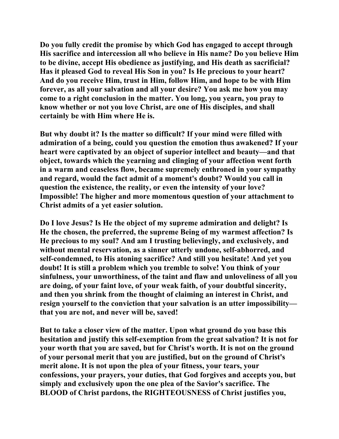**Do you fully credit the promise by which God has engaged to accept through His sacrifice and intercession all who believe in His name? Do you believe Him to be divine, accept His obedience as justifying, and His death as sacrificial? Has it pleased God to reveal His Son in you? Is He precious to your heart? And do you receive Him, trust in Him, follow Him, and hope to be with Him forever, as all your salvation and all your desire? You ask me how you may come to a right conclusion in the matter. You long, you yearn, you pray to know whether or not you love Christ, are one of His disciples, and shall certainly be with Him where He is.** 

**But why doubt it? Is the matter so difficult? If your mind were filled with admiration of a being, could you question the emotion thus awakened? If your heart were captivated by an object of superior intellect and beauty—and that object, towards which the yearning and clinging of your affection went forth in a warm and ceaseless flow, became supremely enthroned in your sympathy and regard, would the fact admit of a moment's doubt? Would you call in question the existence, the reality, or even the intensity of your love? Impossible! The higher and more momentous question of your attachment to Christ admits of a yet easier solution.** 

**Do I love Jesus? Is He the object of my supreme admiration and delight? Is He the chosen, the preferred, the supreme Being of my warmest affection? Is He precious to my soul? And am I trusting believingly, and exclusively, and without mental reservation, as a sinner utterly undone, self-abhorred, and self-condemned, to His atoning sacrifice? And still you hesitate! And yet you doubt! It is still a problem which you tremble to solve! You think of your sinfulness, your unworthiness, of the taint and flaw and unloveliness of all you are doing, of your faint love, of your weak faith, of your doubtful sincerity, and then you shrink from the thought of claiming an interest in Christ, and resign yourself to the conviction that your salvation is an utter impossibility that you are not, and never will be, saved!** 

**But to take a closer view of the matter. Upon what ground do you base this hesitation and justify this self-exemption from the great salvation? It is not for your worth that you are saved, but for Christ's worth. It is not on the ground of your personal merit that you are justified, but on the ground of Christ's merit alone. It is not upon the plea of your fitness, your tears, your confessions, your prayers, your duties, that God forgives and accepts you, but simply and exclusively upon the one plea of the Savior's sacrifice. The BLOOD of Christ pardons, the RIGHTEOUSNESS of Christ justifies you,**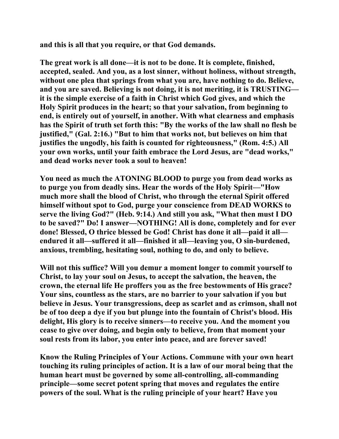**and this is all that you require, or that God demands.** 

**The great work is all done—it is not to be done. It is complete, finished, accepted, sealed. And you, as a lost sinner, without holiness, without strength, without one plea that springs from what you are, have nothing to do. Believe, and you are saved. Believing is not doing, it is not meriting, it is TRUSTING it is the simple exercise of a faith in Christ which God gives, and which the Holy Spirit produces in the heart; so that your salvation, from beginning to end, is entirely out of yourself, in another. With what clearness and emphasis has the Spirit of truth set forth this: "By the works of the law shall no flesh be justified," (Gal. 2:16.) "But to him that works not, but believes on him that justifies the ungodly, his faith is counted for righteousness," (Rom. 4:5.) All your own works, until your faith embrace the Lord Jesus, are "dead works," and dead works never took a soul to heaven!** 

**You need as much the ATONING BLOOD to purge you from dead works as to purge you from deadly sins. Hear the words of the Holy Spirit—"How much more shall the blood of Christ, who through the eternal Spirit offered himself without spot to God, purge your conscience from DEAD WORKS to serve the living God?" (Heb. 9:14.) And still you ask, "What then must I DO to be saved?" Do! I answer—NOTHING! All is done, completely and for ever done! Blessed, O thrice blessed be God! Christ has done it all—paid it all endured it all—suffered it all—finished it all—leaving you, O sin-burdened, anxious, trembling, hesitating soul, nothing to do, and only to believe.** 

**Will not this suffice? Will you demur a moment longer to commit yourself to Christ, to lay your soul on Jesus, to accept the salvation, the heaven, the crown, the eternal life He proffers you as the free bestowments of His grace? Your sins, countless as the stars, are no barrier to your salvation if you but believe in Jesus. Your transgressions, deep as scarlet and as crimson, shall not be of too deep a dye if you but plunge into the fountain of Christ's blood. His delight, His glory is to receive sinners—to receive you. And the moment you cease to give over doing, and begin only to believe, from that moment your soul rests from its labor, you enter into peace, and are forever saved!** 

**Know the Ruling Principles of Your Actions. Commune with your own heart touching its ruling principles of action. It is a law of our moral being that the human heart must be governed by some all-controlling, all-commanding principle—some secret potent spring that moves and regulates the entire powers of the soul. What is the ruling principle of your heart? Have you**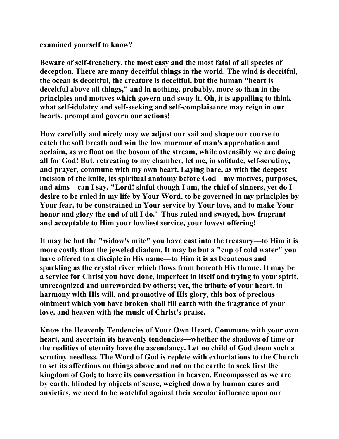**examined yourself to know?** 

**Beware of self-treachery, the most easy and the most fatal of all species of deception. There are many deceitful things in the world. The wind is deceitful, the ocean is deceitful, the creature is deceitful, but the human "heart is deceitful above all things," and in nothing, probably, more so than in the principles and motives which govern and sway it. Oh, it is appalling to think what self-idolatry and self-seeking and self-complaisance may reign in our hearts, prompt and govern our actions!** 

**How carefully and nicely may we adjust our sail and shape our course to catch the soft breath and win the low murmur of man's approbation and acclaim, as we float on the bosom of the stream, while ostensibly we are doing all for God! But, retreating to my chamber, let me, in solitude, self-scrutiny, and prayer, commune with my own heart. Laying bare, as with the deepest incision of the knife, its spiritual anatomy before God—my motives, purposes, and aims—can I say, "Lord! sinful though I am, the chief of sinners, yet do I desire to be ruled in my life by Your Word, to be governed in my principles by Your fear, to be constrained in Your service by Your love, and to make Your honor and glory the end of all I do." Thus ruled and swayed, how fragrant and acceptable to Him your lowliest service, your lowest offering!** 

**It may be but the "widow's mite" you have cast into the treasury—to Him it is more costly than the jeweled diadem. It may be but a "cup of cold water" you have offered to a disciple in His name—to Him it is as beauteous and sparkling as the crystal river which flows from beneath His throne. It may be a service for Christ you have done, imperfect in itself and trying to your spirit, unrecognized and unrewarded by others; yet, the tribute of your heart, in harmony with His will, and promotive of His glory, this box of precious ointment which you have broken shall fill earth with the fragrance of your love, and heaven with the music of Christ's praise.** 

**Know the Heavenly Tendencies of Your Own Heart. Commune with your own heart, and ascertain its heavenly tendencies—whether the shadows of time or the realities of eternity have the ascendancy. Let no child of God deem such a scrutiny needless. The Word of God is replete with exhortations to the Church to set its affections on things above and not on the earth; to seek first the kingdom of God; to have its conversation in heaven. Encompassed as we are by earth, blinded by objects of sense, weighed down by human cares and anxieties, we need to be watchful against their secular influence upon our**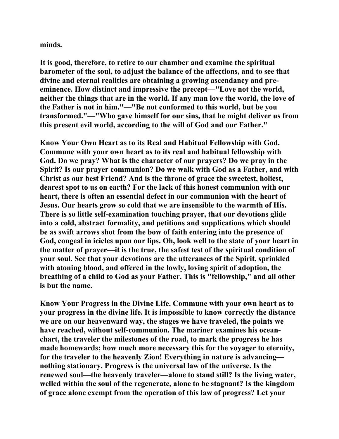**minds.** 

**It is good, therefore, to retire to our chamber and examine the spiritual barometer of the soul, to adjust the balance of the affections, and to see that divine and eternal realities are obtaining a growing ascendancy and preeminence. How distinct and impressive the precept—"Love not the world, neither the things that are in the world. If any man love the world, the love of the Father is not in him."—"Be not conformed to this world, but be you transformed."—"Who gave himself for our sins, that he might deliver us from this present evil world, according to the will of God and our Father."** 

**Know Your Own Heart as to its Real and Habitual Fellowship with God. Commune with your own heart as to its real and habitual fellowship with God. Do we pray? What is the character of our prayers? Do we pray in the Spirit? Is our prayer communion? Do we walk with God as a Father, and with Christ as our best Friend? And is the throne of grace the sweetest, holiest, dearest spot to us on earth? For the lack of this honest communion with our heart, there is often an essential defect in our communion with the heart of Jesus. Our hearts grow so cold that we are insensible to the warmth of His. There is so little self-examination touching prayer, that our devotions glide into a cold, abstract formality, and petitions and supplications which should be as swift arrows shot from the bow of faith entering into the presence of God, congeal in icicles upon our lips. Oh, look well to the state of your heart in the matter of prayer—it is the true, the safest test of the spiritual condition of your soul. See that your devotions are the utterances of the Spirit, sprinkled with atoning blood, and offered in the lowly, loving spirit of adoption, the breathing of a child to God as your Father. This is "fellowship," and all other is but the name.** 

**Know Your Progress in the Divine Life. Commune with your own heart as to your progress in the divine life. It is impossible to know correctly the distance we are on our heavenward way, the stages we have traveled, the points we have reached, without self-communion. The mariner examines his oceanchart, the traveler the milestones of the road, to mark the progress he has made homewards; how much more necessary this for the voyager to eternity, for the traveler to the heavenly Zion! Everything in nature is advancing nothing stationary. Progress is the universal law of the universe. Is the renewed soul—the heavenly traveler—alone to stand still? Is the living water, welled within the soul of the regenerate, alone to be stagnant? Is the kingdom of grace alone exempt from the operation of this law of progress? Let your**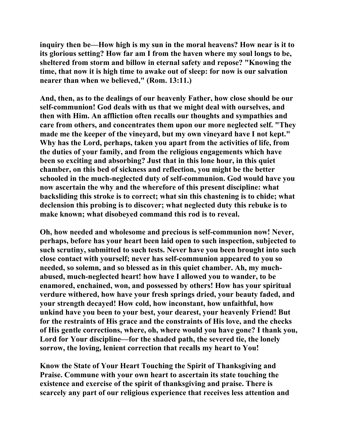**inquiry then be—How high is my sun in the moral heavens? How near is it to its glorious setting? How far am I from the haven where my soul longs to be, sheltered from storm and billow in eternal safety and repose? "Knowing the time, that now it is high time to awake out of sleep: for now is our salvation nearer than when we believed," (Rom. 13:11.)** 

**And, then, as to the dealings of our heavenly Father, how close should be our self-communion! God deals with us that we might deal with ourselves, and then with Him. An affliction often recalls our thoughts and sympathies and care from others, and concentrates them upon our more neglected self. "They made me the keeper of the vineyard, but my own vineyard have I not kept." Why has the Lord, perhaps, taken you apart from the activities of life, from the duties of your family, and from the religious engagements which have been so exciting and absorbing? Just that in this lone hour, in this quiet chamber, on this bed of sickness and reflection, you might be the better schooled in the much-neglected duty of self-communion. God would have you now ascertain the why and the wherefore of this present discipline: what backsliding this stroke is to correct; what sin this chastening is to chide; what declension this probing is to discover; what neglected duty this rebuke is to make known; what disobeyed command this rod is to reveal.** 

**Oh, how needed and wholesome and precious is self-communion now! Never, perhaps, before has your heart been laid open to such inspection, subjected to such scrutiny, submitted to such tests. Never have you been brought into such close contact with yourself; never has self-communion appeared to you so needed, so solemn, and so blessed as in this quiet chamber. Ah, my muchabused, much-neglected heart! how have I allowed you to wander, to be enamored, enchained, won, and possessed by others! How has your spiritual verdure withered, how have your fresh springs dried, your beauty faded, and your strength decayed! How cold, how inconstant, how unfaithful, how unkind have you been to your best, your dearest, your heavenly Friend! But for the restraints of His grace and the constraints of His love, and the checks of His gentle corrections, where, oh, where would you have gone? I thank you, Lord for Your discipline—for the shaded path, the severed tie, the lonely sorrow, the loving, lenient correction that recalls my heart to You!** 

**Know the State of Your Heart Touching the Spirit of Thanksgiving and Praise. Commune with your own heart to ascertain its state touching the existence and exercise of the spirit of thanksgiving and praise. There is scarcely any part of our religious experience that receives less attention and**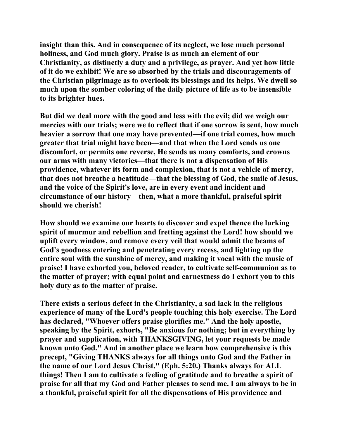**insight than this. And in consequence of its neglect, we lose much personal holiness, and God much glory. Praise is as much an element of our Christianity, as distinctly a duty and a privilege, as prayer. And yet how little of it do we exhibit! We are so absorbed by the trials and discouragements of the Christian pilgrimage as to overlook its blessings and its helps. We dwell so much upon the somber coloring of the daily picture of life as to be insensible to its brighter hues.** 

**But did we deal more with the good and less with the evil; did we weigh our mercies with our trials; were we to reflect that if one sorrow is sent, how much heavier a sorrow that one may have prevented—if one trial comes, how much greater that trial might have been—and that when the Lord sends us one discomfort, or permits one reverse, He sends us many comforts, and crowns our arms with many victories—that there is not a dispensation of His providence, whatever its form and complexion, that is not a vehicle of mercy, that does not breathe a beatitude—that the blessing of God, the smile of Jesus, and the voice of the Spirit's love, are in every event and incident and circumstance of our history—then, what a more thankful, praiseful spirit should we cherish!** 

**How should we examine our hearts to discover and expel thence the lurking spirit of murmur and rebellion and fretting against the Lord! how should we uplift every window, and remove every veil that would admit the beams of God's goodness entering and penetrating every recess, and lighting up the entire soul with the sunshine of mercy, and making it vocal with the music of praise! I have exhorted you, beloved reader, to cultivate self-communion as to the matter of prayer; with equal point and earnestness do I exhort you to this holy duty as to the matter of praise.** 

**There exists a serious defect in the Christianity, a sad lack in the religious experience of many of the Lord's people touching this holy exercise. The Lord has declared, "Whoever offers praise glorifies me." And the holy apostle, speaking by the Spirit, exhorts, "Be anxious for nothing; but in everything by prayer and supplication, with THANKSGIVING, let your requests be made known unto God." And in another place we learn how comprehensive is this precept, "Giving THANKS always for all things unto God and the Father in the name of our Lord Jesus Christ," (Eph. 5:20.) Thanks always for ALL things! Then I am to cultivate a feeling of gratitude and to breathe a spirit of praise for all that my God and Father pleases to send me. I am always to be in a thankful, praiseful spirit for all the dispensations of His providence and**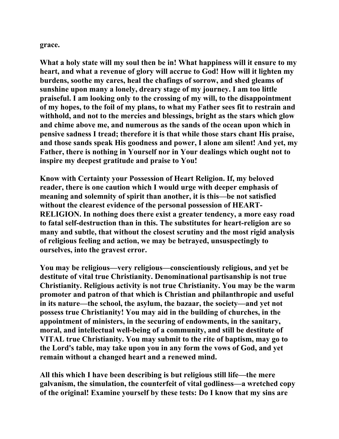**grace.** 

**What a holy state will my soul then be in! What happiness will it ensure to my heart, and what a revenue of glory will accrue to God! How will it lighten my burdens, soothe my cares, heal the chafings of sorrow, and shed gleams of sunshine upon many a lonely, dreary stage of my journey. I am too little praiseful. I am looking only to the crossing of my will, to the disappointment of my hopes, to the foil of my plans, to what my Father sees fit to restrain and withhold, and not to the mercies and blessings, bright as the stars which glow and chime above me, and numerous as the sands of the ocean upon which in pensive sadness I tread; therefore it is that while those stars chant His praise, and those sands speak His goodness and power, I alone am silent! And yet, my Father, there is nothing in Yourself nor in Your dealings which ought not to inspire my deepest gratitude and praise to You!** 

**Know with Certainty your Possession of Heart Religion. If, my beloved reader, there is one caution which I would urge with deeper emphasis of meaning and solemnity of spirit than another, it is this—be not satisfied without the clearest evidence of the personal possession of HEART-RELIGION. In nothing does there exist a greater tendency, a more easy road to fatal self-destruction than in this. The substitutes for heart-religion are so many and subtle, that without the closest scrutiny and the most rigid analysis of religious feeling and action, we may be betrayed, unsuspectingly to ourselves, into the gravest error.** 

**You may be religious—very religious—conscientiously religious, and yet be destitute of vital true Christianity. Denominational partisanship is not true Christianity. Religious activity is not true Christianity. You may be the warm promoter and patron of that which is Christian and philanthropic and useful in its nature—the school, the asylum, the bazaar, the society—and yet not possess true Christianity! You may aid in the building of churches, in the appointment of ministers, in the securing of endowments, in the sanitary, moral, and intellectual well-being of a community, and still be destitute of VITAL true Christianity. You may submit to the rite of baptism, may go to the Lord's table, may take upon you in any form the vows of God, and yet remain without a changed heart and a renewed mind.** 

**All this which I have been describing is but religious still life—the mere galvanism, the simulation, the counterfeit of vital godliness—a wretched copy of the original! Examine yourself by these tests: Do I know that my sins are**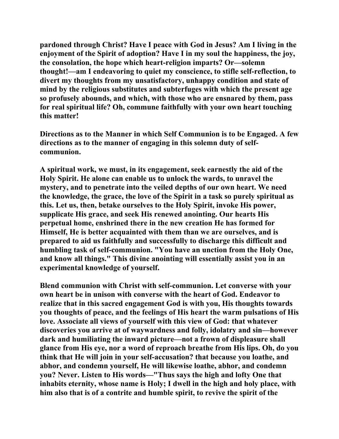**pardoned through Christ? Have I peace with God in Jesus? Am I living in the enjoyment of the Spirit of adoption? Have I in my soul the happiness, the joy, the consolation, the hope which heart-religion imparts? Or—solemn thought!—am I endeavoring to quiet my conscience, to stifle self-reflection, to divert my thoughts from my unsatisfactory, unhappy condition and state of mind by the religious substitutes and subterfuges with which the present age so profusely abounds, and which, with those who are ensnared by them, pass for real spiritual life? Oh, commune faithfully with your own heart touching this matter!** 

**Directions as to the Manner in which Self Communion is to be Engaged. A few directions as to the manner of engaging in this solemn duty of selfcommunion.** 

**A spiritual work, we must, in its engagement, seek earnestly the aid of the Holy Spirit. He alone can enable us to unlock the wards, to unravel the mystery, and to penetrate into the veiled depths of our own heart. We need the knowledge, the grace, the love of the Spirit in a task so purely spiritual as this. Let us, then, betake ourselves to the Holy Spirit, invoke His power, supplicate His grace, and seek His renewed anointing. Our hearts His perpetual home, enshrined there in the new creation He has formed for Himself, He is better acquainted with them than we are ourselves, and is prepared to aid us faithfully and successfully to discharge this difficult and humbling task of self-communion. "You have an unction from the Holy One, and know all things." This divine anointing will essentially assist you in an experimental knowledge of yourself.** 

**Blend communion with Christ with self-communion. Let converse with your own heart be in unison with converse with the heart of God. Endeavor to realize that in this sacred engagement God is with you, His thoughts towards you thoughts of peace, and the feelings of His heart the warm pulsations of His love. Associate all views of yourself with this view of God: that whatever discoveries you arrive at of waywardness and folly, idolatry and sin—however dark and humiliating the inward picture—not a frown of displeasure shall glance from His eye, nor a word of reproach breathe from His lips. Oh, do you think that He will join in your self-accusation? that because you loathe, and abhor, and condemn yourself, He will likewise loathe, abhor, and condemn you? Never. Listen to His words—"Thus says the high and lofty One that inhabits eternity, whose name is Holy; I dwell in the high and holy place, with him also that is of a contrite and humble spirit, to revive the spirit of the**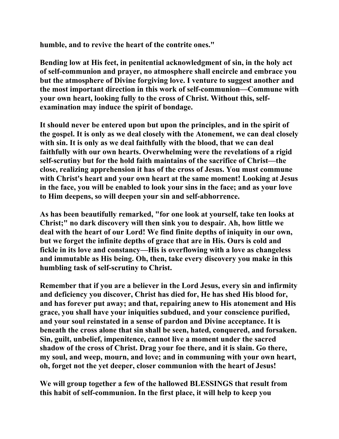**humble, and to revive the heart of the contrite ones."** 

**Bending low at His feet, in penitential acknowledgment of sin, in the holy act of self-communion and prayer, no atmosphere shall encircle and embrace you but the atmosphere of Divine forgiving love. I venture to suggest another and the most important direction in this work of self-communion—Commune with your own heart, looking fully to the cross of Christ. Without this, selfexamination may induce the spirit of bondage.** 

**It should never be entered upon but upon the principles, and in the spirit of the gospel. It is only as we deal closely with the Atonement, we can deal closely with sin. It is only as we deal faithfully with the blood, that we can deal faithfully with our own hearts. Overwhelming were the revelations of a rigid self-scrutiny but for the hold faith maintains of the sacrifice of Christ—the close, realizing apprehension it has of the cross of Jesus. You must commune with Christ's heart and your own heart at the same moment! Looking at Jesus in the face, you will be enabled to look your sins in the face; and as your love to Him deepens, so will deepen your sin and self-abhorrence.** 

**As has been beautifully remarked, "for one look at yourself, take ten looks at Christ;" no dark discovery will then sink you to despair. Ah, how little we deal with the heart of our Lord! We find finite depths of iniquity in our own, but we forget the infinite depths of grace that are in His. Ours is cold and fickle in its love and constancy—His is overflowing with a love as changeless and immutable as His being. Oh, then, take every discovery you make in this humbling task of self-scrutiny to Christ.** 

**Remember that if you are a believer in the Lord Jesus, every sin and infirmity and deficiency you discover, Christ has died for, He has shed His blood for, and has forever put away; and that, repairing anew to His atonement and His grace, you shall have your iniquities subdued, and your conscience purified, and your soul reinstated in a sense of pardon and Divine acceptance. It is beneath the cross alone that sin shall be seen, hated, conquered, and forsaken. Sin, guilt, unbelief, impenitence, cannot live a moment under the sacred shadow of the cross of Christ. Drag your foe there, and it is slain. Go there, my soul, and weep, mourn, and love; and in communing with your own heart, oh, forget not the yet deeper, closer communion with the heart of Jesus!** 

**We will group together a few of the hallowed BLESSINGS that result from this habit of self-communion. In the first place, it will help to keep you**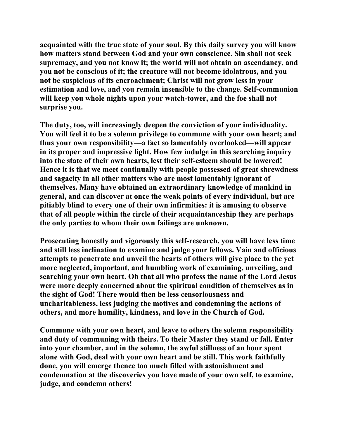**acquainted with the true state of your soul. By this daily survey you will know how matters stand between God and your own conscience. Sin shall not seek supremacy, and you not know it; the world will not obtain an ascendancy, and you not be conscious of it; the creature will not become idolatrous, and you not be suspicious of its encroachment; Christ will not grow less in your estimation and love, and you remain insensible to the change. Self-communion will keep you whole nights upon your watch-tower, and the foe shall not surprise you.** 

**The duty, too, will increasingly deepen the conviction of your individuality. You will feel it to be a solemn privilege to commune with your own heart; and thus your own responsibility—a fact so lamentably overlooked—will appear in its proper and impressive light. How few indulge in this searching inquiry into the state of their own hearts, lest their self-esteem should be lowered! Hence it is that we meet continually with people possessed of great shrewdness and sagacity in all other matters who are most lamentably ignorant of themselves. Many have obtained an extraordinary knowledge of mankind in general, and can discover at once the weak points of every individual, but are pitiably blind to every one of their own infirmities: it is amusing to observe that of all people within the circle of their acquaintanceship they are perhaps the only parties to whom their own failings are unknown.** 

**Prosecuting honestly and vigorously this self-research, you will have less time and still less inclination to examine and judge your fellows. Vain and officious attempts to penetrate and unveil the hearts of others will give place to the yet more neglected, important, and humbling work of examining, unveiling, and searching your own heart. Oh that all who profess the name of the Lord Jesus were more deeply concerned about the spiritual condition of themselves as in the sight of God! There would then be less censoriousness and uncharitableness, less judging the motives and condemning the actions of others, and more humility, kindness, and love in the Church of God.** 

**Commune with your own heart, and leave to others the solemn responsibility and duty of communing with theirs. To their Master they stand or fall. Enter into your chamber, and in the solemn, the awful stillness of an hour spent alone with God, deal with your own heart and be still. This work faithfully done, you will emerge thence too much filled with astonishment and condemnation at the discoveries you have made of your own self, to examine, judge, and condemn others!**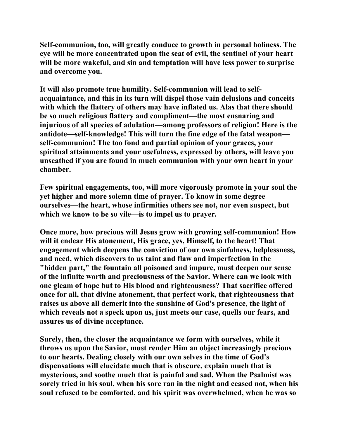**Self-communion, too, will greatly conduce to growth in personal holiness. The eye will be more concentrated upon the seat of evil, the sentinel of your heart will be more wakeful, and sin and temptation will have less power to surprise and overcome you.** 

**It will also promote true humility. Self-communion will lead to selfacquaintance, and this in its turn will dispel those vain delusions and conceits with which the flattery of others may have inflated us. Alas that there should be so much religious flattery and compliment—the most ensnaring and injurious of all species of adulation—among professors of religion! Here is the antidote—self-knowledge! This will turn the fine edge of the fatal weapon self-communion! The too fond and partial opinion of your graces, your spiritual attainments and your usefulness, expressed by others, will leave you unscathed if you are found in much communion with your own heart in your chamber.** 

**Few spiritual engagements, too, will more vigorously promote in your soul the yet higher and more solemn time of prayer. To know in some degree ourselves—the heart, whose infirmities others see not, nor even suspect, but which we know to be so vile—is to impel us to prayer.** 

**Once more, how precious will Jesus grow with growing self-communion! How will it endear His atonement, His grace, yes, Himself, to the heart! That engagement which deepens the conviction of our own sinfulness, helplessness, and need, which discovers to us taint and flaw and imperfection in the "hidden part," the fountain all poisoned and impure, must deepen our sense of the infinite worth and preciousness of the Savior. Where can we look with one gleam of hope but to His blood and righteousness? That sacrifice offered once for all, that divine atonement, that perfect work, that righteousness that raises us above all demerit into the sunshine of God's presence, the light of which reveals not a speck upon us, just meets our case, quells our fears, and assures us of divine acceptance.** 

**Surely, then, the closer the acquaintance we form with ourselves, while it throws us upon the Savior, must render Him an object increasingly precious to our hearts. Dealing closely with our own selves in the time of God's dispensations will elucidate much that is obscure, explain much that is mysterious, and soothe much that is painful and sad. When the Psalmist was sorely tried in his soul, when his sore ran in the night and ceased not, when his soul refused to be comforted, and his spirit was overwhelmed, when he was so**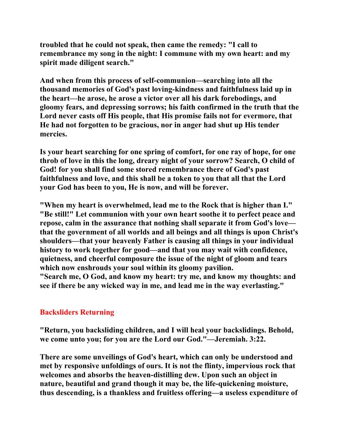**troubled that he could not speak, then came the remedy: "I call to remembrance my song in the night: I commune with my own heart: and my spirit made diligent search."** 

**And when from this process of self-communion—searching into all the thousand memories of God's past loving-kindness and faithfulness laid up in the heart—he arose, he arose a victor over all his dark forebodings, and gloomy fears, and depressing sorrows; his faith confirmed in the truth that the Lord never casts off His people, that His promise fails not for evermore, that He had not forgotten to be gracious, nor in anger had shut up His tender mercies.** 

**Is your heart searching for one spring of comfort, for one ray of hope, for one throb of love in this the long, dreary night of your sorrow? Search, O child of God! for you shall find some stored remembrance there of God's past faithfulness and love, and this shall be a token to you that all that the Lord your God has been to you, He is now, and will be forever.** 

**"When my heart is overwhelmed, lead me to the Rock that is higher than I." "Be still!" Let communion with your own heart soothe it to perfect peace and repose, calm in the assurance that nothing shall separate it from God's love that the government of all worlds and all beings and all things is upon Christ's shoulders—that your heavenly Father is causing all things in your individual history to work together for good—and that you may wait with confidence, quietness, and cheerful composure the issue of the night of gloom and tears which now enshrouds your soul within its gloomy pavilion.** 

**"Search me, O God, and know my heart: try me, and know my thoughts: and see if there be any wicked way in me, and lead me in the way everlasting."** 

# **Backsliders Returning**

**"Return, you backsliding children, and I will heal your backslidings. Behold, we come unto you; for you are the Lord our God."—Jeremiah. 3:22.** 

**There are some unveilings of God's heart, which can only be understood and met by responsive unfoldings of ours. It is not the flinty, impervious rock that welcomes and absorbs the heaven-distilling dew. Upon such an object in nature, beautiful and grand though it may be, the life-quickening moisture, thus descending, is a thankless and fruitless offering—a useless expenditure of**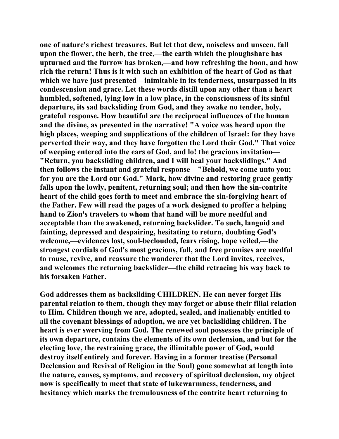**one of nature's richest treasures. But let that dew, noiseless and unseen, fall upon the flower, the herb, the tree,—the earth which the ploughshare has upturned and the furrow has broken,—and how refreshing the boon, and how rich the return! Thus is it with such an exhibition of the heart of God as that which we have just presented—inimitable in its tenderness, unsurpassed in its condescension and grace. Let these words distill upon any other than a heart humbled, softened, lying low in a low place, in the consciousness of its sinful departure, its sad backsliding from God, and they awake no tender, holy, grateful response. How beautiful are the reciprocal influences of the human and the divine, as presented in the narrative! "A voice was heard upon the high places, weeping and supplications of the children of Israel: for they have perverted their way, and they have forgotten the Lord their God." That voice of weeping entered into the ears of God, and lo! the gracious invitation— "Return, you backsliding children, and I will heal your backslidings." And then follows the instant and grateful response—"Behold, we come unto you; for you are the Lord our God." Mark, how divine and restoring grace gently falls upon the lowly, penitent, returning soul; and then how the sin-contrite heart of the child goes forth to meet and embrace the sin-forgiving heart of the Father. Few will read the pages of a work designed to proffer a helping hand to Zion's travelers to whom that hand will be more needful and acceptable than the awakened, returning backslider. To such, languid and fainting, depressed and despairing, hesitating to return, doubting God's welcome,—evidences lost, soul-beclouded, fears rising, hope veiled,—the strongest cordials of God's most gracious, full, and free promises are needful to rouse, revive, and reassure the wanderer that the Lord invites, receives, and welcomes the returning backslider—the child retracing his way back to his forsaken Father.** 

**God addresses them as backsliding CHILDREN. He can never forget His parental relation to them, though they may forget or abuse their filial relation to Him. Children though we are, adopted, sealed, and inalienably entitled to all the covenant blessings of adoption, we are yet backsliding children. The heart is ever swerving from God. The renewed soul possesses the principle of its own departure, contains the elements of its own declension, and but for the electing love, the restraining grace, the illimitable power of God, would destroy itself entirely and forever. Having in a former treatise (Personal Declension and Revival of Religion in the Soul) gone somewhat at length into the nature, causes, symptoms, and recovery of spiritual declension, my object now is specifically to meet that state of lukewarmness, tenderness, and hesitancy which marks the tremulousness of the contrite heart returning to**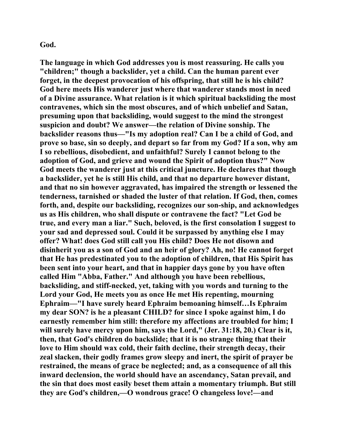## **God.**

**The language in which God addresses you is most reassuring. He calls you "children;" though a backslider, yet a child. Can the human parent ever forget, in the deepest provocation of his offspring, that still he is his child? God here meets His wanderer just where that wanderer stands most in need of a Divine assurance. What relation is it which spiritual backsliding the most contravenes, which sin the most obscures, and of which unbelief and Satan, presuming upon that backsliding, would suggest to the mind the strongest suspicion and doubt? We answer—the relation of Divine sonship. The backslider reasons thus—"Is my adoption real? Can I be a child of God, and prove so base, sin so deeply, and depart so far from my God? If a son, why am I so rebellious, disobedient, and unfaithful? Surely I cannot belong to the adoption of God, and grieve and wound the Spirit of adoption thus?" Now God meets the wanderer just at this critical juncture. He declares that though a backslider, yet he is still His child, and that no departure however distant, and that no sin however aggravated, has impaired the strength or lessened the tenderness, tarnished or shaded the luster of that relation. If God, then, comes forth, and, despite our backsliding, recognizes our son-ship, and acknowledges us as His children, who shall dispute or contravene the fact? "Let God be true, and every man a liar." Such, beloved, is the first consolation I suggest to your sad and depressed soul. Could it be surpassed by anything else I may offer? What! does God still call you His child? Does He not disown and disinherit you as a son of God and an heir of glory? Ah, no! He cannot forget that He has predestinated you to the adoption of children, that His Spirit has been sent into your heart, and that in happier days gone by you have often called Him "Abba, Father." And although you have been rebellious, backsliding, and stiff-necked, yet, taking with you words and turning to the Lord your God, He meets you as once He met His repenting, mourning Ephraim—"I have surely heard Ephraim bemoaning himself…Is Ephraim my dear SON? is he a pleasant CHILD? for since I spoke against him, I do earnestly remember him still: therefore my affections are troubled for him; I will surely have mercy upon him, says the Lord," (Jer. 31:18, 20.) Clear is it, then, that God's children do backslide; that it is no strange thing that their love to Him should wax cold, their faith decline, their strength decay, their zeal slacken, their godly frames grow sleepy and inert, the spirit of prayer be restrained, the means of grace be neglected; and, as a consequence of all this inward declension, the world should have an ascendancy, Satan prevail, and the sin that does most easily beset them attain a momentary triumph. But still they are God's children,—O wondrous grace! O changeless love!—and**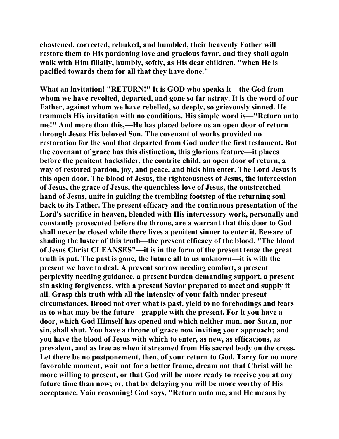**chastened, corrected, rebuked, and humbled, their heavenly Father will restore them to His pardoning love and gracious favor, and they shall again walk with Him filially, humbly, softly, as His dear children, "when He is pacified towards them for all that they have done."** 

**What an invitation! "RETURN!" It is GOD who speaks it—the God from whom we have revolted, departed, and gone so far astray. It is the word of our Father, against whom we have rebelled, so deeply, so grievously sinned. He trammels His invitation with no conditions. His simple word is—"Return unto me!" And more than this,—He has placed before us an open door of return through Jesus His beloved Son. The covenant of works provided no restoration for the soul that departed from God under the first testament. But the covenant of grace has this distinction, this glorious feature—it places before the penitent backslider, the contrite child, an open door of return, a way of restored pardon, joy, and peace, and bids him enter. The Lord Jesus is this open door. The blood of Jesus, the righteousness of Jesus, the intercession of Jesus, the grace of Jesus, the quenchless love of Jesus, the outstretched hand of Jesus, unite in guiding the trembling footstep of the returning soul back to its Father. The present efficacy and the continuous presentation of the Lord's sacrifice in heaven, blended with His intercessory work, personally and constantly prosecuted before the throne, are a warrant that this door to God shall never be closed while there lives a penitent sinner to enter it. Beware of shading the luster of this truth—the present efficacy of the blood. "The blood of Jesus Christ CLEANSES"—it is in the form of the present tense the great truth is put. The past is gone, the future all to us unknown—it is with the present we have to deal. A present sorrow needing comfort, a present perplexity needing guidance, a present burden demanding support, a present sin asking forgiveness, with a present Savior prepared to meet and supply it all. Grasp this truth with all the intensity of your faith under present circumstances. Brood not over what is past, yield to no forebodings and fears as to what may be the future—grapple with the present. For it you have a door, which God Himself has opened and which neither man, nor Satan, nor sin, shall shut. You have a throne of grace now inviting your approach; and you have the blood of Jesus with which to enter, as new, as efficacious, as prevalent, and as free as when it streamed from His sacred body on the cross. Let there be no postponement, then, of your return to God. Tarry for no more favorable moment, wait not for a better frame, dream not that Christ will be more willing to present, or that God will be more ready to receive you at any future time than now; or, that by delaying you will be more worthy of His acceptance. Vain reasoning! God says, "Return unto me, and He means by**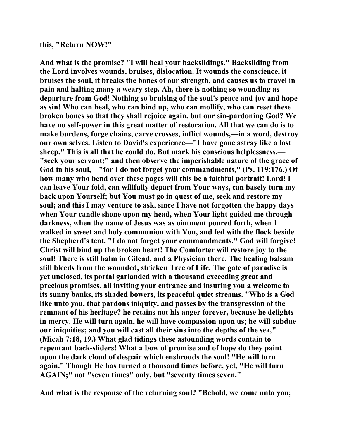#### **this, "Return NOW!"**

**And what is the promise? "I will heal your backslidings." Backsliding from the Lord involves wounds, bruises, dislocation. It wounds the conscience, it bruises the soul, it breaks the bones of our strength, and causes us to travel in pain and halting many a weary step. Ah, there is nothing so wounding as departure from God! Nothing so bruising of the soul's peace and joy and hope as sin! Who can heal, who can bind up, who can mollify, who can reset these broken bones so that they shall rejoice again, but our sin-pardoning God? We have no self-power in this great matter of restoration. All that we can do is to make burdens, forge chains, carve crosses, inflict wounds,—in a word, destroy our own selves. Listen to David's experience—"I have gone astray like a lost sheep." This is all that he could do. But mark his conscious helplessness,— "seek your servant;" and then observe the imperishable nature of the grace of God in his soul,—"for I do not forget your commandments," (Ps. 119:176.) Of how many who bend over these pages will this be a faithful portrait! Lord! I can leave Your fold, can willfully depart from Your ways, can basely turn my back upon Yourself; but You must go in quest of me, seek and restore my soul; and this I may venture to ask, since I have not forgotten the happy days when Your candle shone upon my head, when Your light guided me through darkness, when the name of Jesus was as ointment poured forth, when I walked in sweet and holy communion with You, and fed with the flock beside the Shepherd's tent. "I do not forget your commandments." God will forgive! Christ will bind up the broken heart! The Comforter will restore joy to the soul! There is still balm in Gilead, and a Physician there. The healing balsam still bleeds from the wounded, stricken Tree of Life. The gate of paradise is yet unclosed, its portal garlanded with a thousand exceeding great and precious promises, all inviting your entrance and insuring you a welcome to its sunny banks, its shaded bowers, its peaceful quiet streams. "Who is a God like unto you, that pardons iniquity, and passes by the transgression of the remnant of his heritage? he retains not his anger forever, because he delights in mercy. He will turn again, he will have compassion upon us; he will subdue our iniquities; and you will cast all their sins into the depths of the sea," (Micah 7:18, 19.) What glad tidings these astounding words contain to repentant back-sliders! What a bow of promise and of hope do they paint upon the dark cloud of despair which enshrouds the soul! "He will turn again." Though He has turned a thousand times before, yet, "He will turn AGAIN;" not "seven times" only, but "seventy times seven."** 

**And what is the response of the returning soul? "Behold, we come unto you;**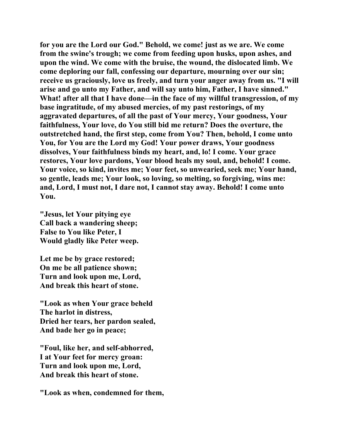**for you are the Lord our God." Behold, we come! just as we are. We come from the swine's trough; we come from feeding upon husks, upon ashes, and upon the wind. We come with the bruise, the wound, the dislocated limb. We come deploring our fall, confessing our departure, mourning over our sin; receive us graciously, love us freely, and turn your anger away from us. "I will arise and go unto my Father, and will say unto him, Father, I have sinned." What! after all that I have done—in the face of my willful transgression, of my base ingratitude, of my abused mercies, of my past restorings, of my aggravated departures, of all the past of Your mercy, Your goodness, Your faithfulness, Your love, do You still bid me return? Does the overture, the outstretched hand, the first step, come from You? Then, behold, I come unto You, for You are the Lord my God! Your power draws, Your goodness dissolves, Your faithfulness binds my heart, and, lo! I come. Your grace restores, Your love pardons, Your blood heals my soul, and, behold! I come. Your voice, so kind, invites me; Your feet, so unwearied, seek me; Your hand, so gentle, leads me; Your look, so loving, so melting, so forgiving, wins me: and, Lord, I must not, I dare not, I cannot stay away. Behold! I come unto You.** 

**"Jesus, let Your pitying eye Call back a wandering sheep; False to You like Peter, I Would gladly like Peter weep.** 

**Let me be by grace restored; On me be all patience shown; Turn and look upon me, Lord, And break this heart of stone.** 

**"Look as when Your grace beheld The harlot in distress, Dried her tears, her pardon sealed, And bade her go in peace;** 

**"Foul, like her, and self-abhorred, I at Your feet for mercy groan: Turn and look upon me, Lord, And break this heart of stone.** 

**"Look as when, condemned for them,**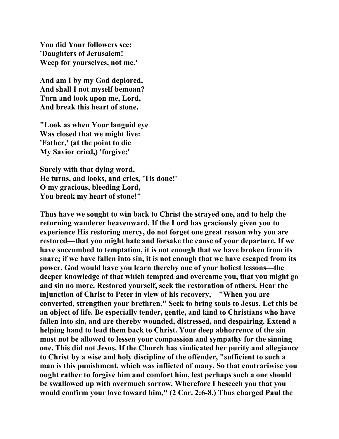**You did Your followers see; 'Daughters of Jerusalem! Weep for yourselves, not me.'** 

**And am I by my God deplored, And shall I not myself bemoan? Turn and look upon me, Lord, And break this heart of stone.** 

**"Look as when Your languid eye Was closed that we might live: 'Father,' (at the point to die My Savior cried,) 'forgive;'** 

**Surely with that dying word, He turns, and looks, and cries, 'Tis done!' O my gracious, bleeding Lord, You break my heart of stone!"** 

**Thus have we sought to win back to Christ the strayed one, and to help the returning wanderer heavenward. If the Lord has graciously given you to experience His restoring mercy, do not forget one great reason why you are restored—that you might hate and forsake the cause of your departure. If we have succumbed to temptation, it is not enough that we have broken from its snare; if we have fallen into sin, it is not enough that we have escaped from its power. God would have you learn thereby one of your holiest lessons—the deeper knowledge of that which tempted and overcame you, that you might go and sin no more. Restored yourself, seek the restoration of others. Hear the injunction of Christ to Peter in view of his recovery,—"When you are converted, strengthen your brethren." Seek to bring souls to Jesus. Let this be an object of life. Be especially tender, gentle, and kind to Christians who have fallen into sin, and are thereby wounded, distressed, and despairing. Extend a helping hand to lead them back to Christ. Your deep abhorrence of the sin must not be allowed to lessen your compassion and sympathy for the sinning one. This did not Jesus. If the Church has vindicated her purity and allegiance to Christ by a wise and holy discipline of the offender, "sufficient to such a man is this punishment, which was inflicted of many. So that contrariwise you ought rather to forgive him and comfort him, lest perhaps such a one should be swallowed up with overmuch sorrow. Wherefore I beseech you that you would confirm your love toward him," (2 Cor. 2:6-8.) Thus charged Paul the**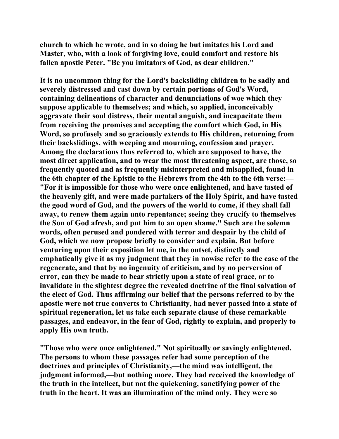**church to which he wrote, and in so doing he but imitates his Lord and Master, who, with a look of forgiving love, could comfort and restore his fallen apostle Peter. "Be you imitators of God, as dear children."** 

**It is no uncommon thing for the Lord's backsliding children to be sadly and severely distressed and cast down by certain portions of God's Word, containing delineations of character and denunciations of woe which they suppose applicable to themselves; and which, so applied, inconceivably aggravate their soul distress, their mental anguish, and incapacitate them from receiving the promises and accepting the comfort which God, in His Word, so profusely and so graciously extends to His children, returning from their backslidings, with weeping and mourning, confession and prayer. Among the declarations thus referred to, which are supposed to have, the most direct application, and to wear the most threatening aspect, are those, so frequently quoted and as frequently misinterpreted and misapplied, found in the 6th chapter of the Epistle to the Hebrews from the 4th to the 6th verse:— "For it is impossible for those who were once enlightened, and have tasted of the heavenly gift, and were made partakers of the Holy Spirit, and have tasted the good word of God, and the powers of the world to come, if they shall fall away, to renew them again unto repentance; seeing they crucify to themselves the Son of God afresh, and put him to an open shame." Such are the solemn words, often perused and pondered with terror and despair by the child of God, which we now propose briefly to consider and explain. But before venturing upon their exposition let me, in the outset, distinctly and emphatically give it as my judgment that they in nowise refer to the case of the regenerate, and that by no ingenuity of criticism, and by no perversion of error, can they be made to bear strictly upon a state of real grace, or to invalidate in the slightest degree the revealed doctrine of the final salvation of the elect of God. Thus affirming our belief that the persons referred to by the apostle were not true converts to Christianity, had never passed into a state of spiritual regeneration, let us take each separate clause of these remarkable passages, and endeavor, in the fear of God, rightly to explain, and properly to apply His own truth.** 

**"Those who were once enlightened." Not spiritually or savingly enlightened. The persons to whom these passages refer had some perception of the doctrines and principles of Christianity,—the mind was intelligent, the judgment informed,—but nothing more. They had received the knowledge of the truth in the intellect, but not the quickening, sanctifying power of the truth in the heart. It was an illumination of the mind only. They were so**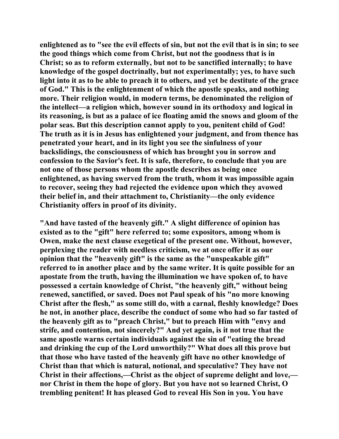**enlightened as to "see the evil effects of sin, but not the evil that is in sin; to see the good things which come from Christ, but not the goodness that is in Christ; so as to reform externally, but not to be sanctified internally; to have knowledge of the gospel doctrinally, but not experimentally; yes, to have such light into it as to be able to preach it to others, and yet be destitute of the grace of God." This is the enlightenment of which the apostle speaks, and nothing more. Their religion would, in modern terms, be denominated the religion of the intellect—a religion which, however sound in its orthodoxy and logical in its reasoning, is but as a palace of ice floating amid the snows and gloom of the polar seas. But this description cannot apply to you, penitent child of God! The truth as it is in Jesus has enlightened your judgment, and from thence has penetrated your heart, and in its light you see the sinfulness of your backslidings, the consciousness of which has brought you in sorrow and confession to the Savior's feet. It is safe, therefore, to conclude that you are not one of those persons whom the apostle describes as being once enlightened, as having swerved from the truth, whom it was impossible again to recover, seeing they had rejected the evidence upon which they avowed their belief in, and their attachment to, Christianity—the only evidence Christianity offers in proof of its divinity.** 

**"And have tasted of the heavenly gift." A slight difference of opinion has existed as to the "gift" here referred to; some expositors, among whom is Owen, make the next clause exegetical of the present one. Without, however, perplexing the reader with needless criticism, we at once offer it as our opinion that the "heavenly gift" is the same as the "unspeakable gift" referred to in another place and by the same writer. It is quite possible for an apostate from the truth, having the illumination we have spoken of, to have possessed a certain knowledge of Christ, "the heavenly gift," without being renewed, sanctified, or saved. Does not Paul speak of his "no more knowing Christ after the flesh," as some still do, with a carnal, fleshly knowledge? Does he not, in another place, describe the conduct of some who had so far tasted of the heavenly gift as to "preach Christ," but to preach Him with "envy and strife, and contention, not sincerely?" And yet again, is it not true that the same apostle warns certain individuals against the sin of "eating the bread and drinking the cup of the Lord unworthily?" What does all this prove but that those who have tasted of the heavenly gift have no other knowledge of Christ than that which is natural, notional, and speculative? They have not Christ in their affections,—Christ as the object of supreme delight and love, nor Christ in them the hope of glory. But you have not so learned Christ, O trembling penitent! It has pleased God to reveal His Son in you. You have**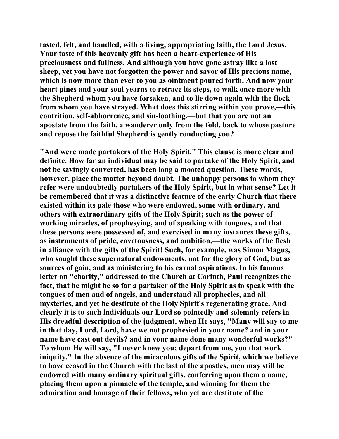**tasted, felt, and handled, with a living, appropriating faith, the Lord Jesus. Your taste of this heavenly gift has been a heart-experience of His preciousness and fullness. And although you have gone astray like a lost sheep, yet you have not forgotten the power and savor of His precious name, which is now more than ever to you as ointment poured forth. And now your heart pines and your soul yearns to retrace its steps, to walk once more with the Shepherd whom you have forsaken, and to lie down again with the flock from whom you have strayed. What does this stirring within you prove,—this contrition, self-abhorrence, and sin-loathing,—but that you are not an apostate from the faith, a wanderer only from the fold, back to whose pasture and repose the faithful Shepherd is gently conducting you?** 

**"And were made partakers of the Holy Spirit." This clause is more clear and definite. How far an individual may be said to partake of the Holy Spirit, and not be savingly converted, has been long a mooted question. These words, however, place the matter beyond doubt. The unhappy persons to whom they refer were undoubtedly partakers of the Holy Spirit, but in what sense? Let it be remembered that it was a distinctive feature of the early Church that there existed within its pale those who were endowed, some with ordinary, and others with extraordinary gifts of the Holy Spirit; such as the power of working miracles, of prophesying, and of speaking with tongues, and that these persons were possessed of, and exercised in many instances these gifts, as instruments of pride, covetousness, and ambition,—the works of the flesh in alliance with the gifts of the Spirit! Such, for example, was Simon Magus, who sought these supernatural endowments, not for the glory of God, but as sources of gain, and as ministering to his carnal aspirations. In his famous letter on "charity," addressed to the Church at Corinth, Paul recognizes the fact, that he might be so far a partaker of the Holy Spirit as to speak with the tongues of men and of angels, and understand all prophecies, and all mysteries, and yet be destitute of the Holy Spirit's regenerating grace. And clearly it is to such individuals our Lord so pointedly and solemnly refers in His dreadful description of the judgment, when He says, "Many will say to me in that day, Lord, Lord, have we not prophesied in your name? and in your name have cast out devils? and in your name done many wonderful works?" To whom He will say, "I never knew you; depart from me, you that work iniquity." In the absence of the miraculous gifts of the Spirit, which we believe to have ceased in the Church with the last of the apostles, men may still be endowed with many ordinary spiritual gifts, conferring upon them a name, placing them upon a pinnacle of the temple, and winning for them the admiration and homage of their fellows, who yet are destitute of the**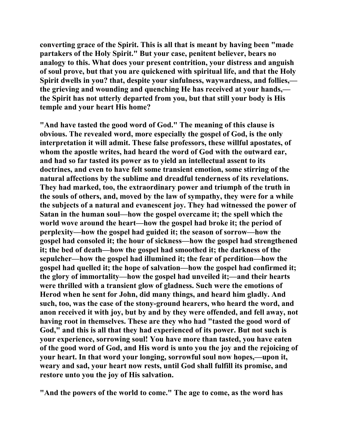**converting grace of the Spirit. This is all that is meant by having been "made partakers of the Holy Spirit." But your case, penitent believer, bears no analogy to this. What does your present contrition, your distress and anguish of soul prove, but that you are quickened with spiritual life, and that the Holy Spirit dwells in you? that, despite your sinfulness, waywardness, and follies, the grieving and wounding and quenching He has received at your hands, the Spirit has not utterly departed from you, but that still your body is His temple and your heart His home?** 

**"And have tasted the good word of God." The meaning of this clause is obvious. The revealed word, more especially the gospel of God, is the only interpretation it will admit. These false professors, these willful apostates, of whom the apostle writes, had heard the word of God with the outward ear, and had so far tasted its power as to yield an intellectual assent to its doctrines, and even to have felt some transient emotion, some stirring of the natural affections by the sublime and dreadful tenderness of its revelations. They had marked, too, the extraordinary power and triumph of the truth in the souls of others, and, moved by the law of sympathy, they were for a while the subjects of a natural and evanescent joy. They had witnessed the power of Satan in the human soul—how the gospel overcame it; the spell which the world wove around the heart—how the gospel had broke it; the period of perplexity—how the gospel had guided it; the season of sorrow—how the gospel had consoled it; the hour of sickness—how the gospel had strengthened it; the bed of death—how the gospel had smoothed it; the darkness of the sepulcher—how the gospel had illumined it; the fear of perdition—how the gospel had quelled it; the hope of salvation—how the gospel had confirmed it; the glory of immortality—how the gospel had unveiled it;—and their hearts were thrilled with a transient glow of gladness. Such were the emotions of Herod when he sent for John, did many things, and heard him gladly. And such, too, was the case of the stony-ground hearers, who heard the word, and anon received it with joy, but by and by they were offended, and fell away, not having root in themselves. These are they who had "tasted the good word of God," and this is all that they had experienced of its power. But not such is your experience, sorrowing soul! You have more than tasted, you have eaten of the good word of God, and His word is unto you the joy and the rejoicing of your heart. In that word your longing, sorrowful soul now hopes,—upon it, weary and sad, your heart now rests, until God shall fulfill its promise, and restore unto you the joy of His salvation.** 

**"And the powers of the world to come." The age to come, as the word has**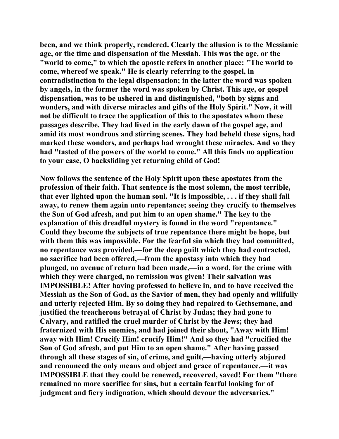**been, and we think properly, rendered. Clearly the allusion is to the Messianic age, or the time and dispensation of the Messiah. This was the age, or the "world to come," to which the apostle refers in another place: "The world to come, whereof we speak." He is clearly referring to the gospel, in contradistinction to the legal dispensation; in the latter the word was spoken by angels, in the former the word was spoken by Christ. This age, or gospel dispensation, was to be ushered in and distinguished, "both by signs and wonders, and with diverse miracles and gifts of the Holy Spirit." Now, it will not be difficult to trace the application of this to the apostates whom these passages describe. They had lived in the early dawn of the gospel age, and amid its most wondrous and stirring scenes. They had beheld these signs, had marked these wonders, and perhaps had wrought these miracles. And so they had "tasted of the powers of the world to come." All this finds no application to your case, O backsliding yet returning child of God!** 

**Now follows the sentence of the Holy Spirit upon these apostates from the profession of their faith. That sentence is the most solemn, the most terrible, that ever lighted upon the human soul. "It is impossible, . . . if they shall fall away, to renew them again unto repentance; seeing they crucify to themselves the Son of God afresh, and put him to an open shame." The key to the explanation of this dreadful mystery is found in the word "repentance." Could they become the subjects of true repentance there might be hope, but with them this was impossible. For the fearful sin which they had committed, no repentance was provided,—for the deep guilt which they had contracted, no sacrifice had been offered,—from the apostasy into which they had plunged, no avenue of return had been made,—in a word, for the crime with which they were charged, no remission was given! Their salvation was IMPOSSIBLE! After having professed to believe in, and to have received the Messiah as the Son of God, as the Savior of men, they had openly and willfully and utterly rejected Him. By so doing they had repaired to Gethsemane, and justified the treacherous betrayal of Christ by Judas; they had gone to Calvary, and ratified the cruel murder of Christ by the Jews; they had fraternized with His enemies, and had joined their shout, "Away with Him! away with Him! Crucify Him! crucify Him!" And so they had "crucified the Son of God afresh, and put Him to an open shame." After having passed through all these stages of sin, of crime, and guilt,—having utterly abjured and renounced the only means and object and grace of repentance,—it was IMPOSSIBLE that they could be renewed, recovered, saved! For them "there remained no more sacrifice for sins, but a certain fearful looking for of judgment and fiery indignation, which should devour the adversaries."**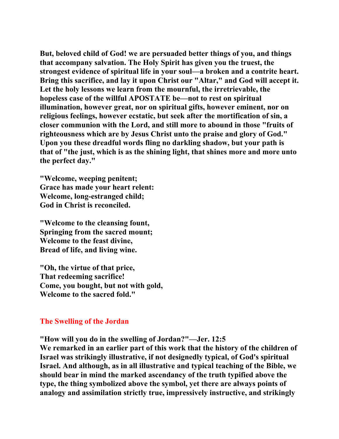**But, beloved child of God! we are persuaded better things of you, and things that accompany salvation. The Holy Spirit has given you the truest, the strongest evidence of spiritual life in your soul—a broken and a contrite heart. Bring this sacrifice, and lay it upon Christ our "Altar," and God will accept it. Let the holy lessons we learn from the mournful, the irretrievable, the hopeless case of the willful APOSTATE be—not to rest on spiritual illumination, however great, nor on spiritual gifts, however eminent, nor on religious feelings, however ecstatic, but seek after the mortification of sin, a closer communion with the Lord, and still more to abound in those "fruits of righteousness which are by Jesus Christ unto the praise and glory of God." Upon you these dreadful words fling no darkling shadow, but your path is that of "the just, which is as the shining light, that shines more and more unto the perfect day."** 

**"Welcome, weeping penitent; Grace has made your heart relent: Welcome, long-estranged child; God in Christ is reconciled.** 

**"Welcome to the cleansing fount, Springing from the sacred mount; Welcome to the feast divine, Bread of life, and living wine.** 

**"Oh, the virtue of that price, That redeeming sacrifice! Come, you bought, but not with gold, Welcome to the sacred fold."** 

## **The Swelling of the Jordan**

**"How will you do in the swelling of Jordan?"—Jer. 12:5** 

**We remarked in an earlier part of this work that the history of the children of Israel was strikingly illustrative, if not designedly typical, of God's spiritual Israel. And although, as in all illustrative and typical teaching of the Bible, we should bear in mind the marked ascendancy of the truth typified above the type, the thing symbolized above the symbol, yet there are always points of analogy and assimilation strictly true, impressively instructive, and strikingly**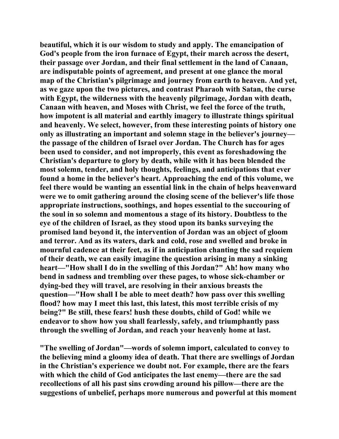**beautiful, which it is our wisdom to study and apply. The emancipation of God's people from the iron furnace of Egypt, their march across the desert, their passage over Jordan, and their final settlement in the land of Canaan, are indisputable points of agreement, and present at one glance the moral map of the Christian's pilgrimage and journey from earth to heaven. And yet, as we gaze upon the two pictures, and contrast Pharaoh with Satan, the curse with Egypt, the wilderness with the heavenly pilgrimage, Jordan with death, Canaan with heaven, and Moses with Christ, we feel the force of the truth, how impotent is all material and earthly imagery to illustrate things spiritual and heavenly. We select, however, from these interesting points of history one only as illustrating an important and solemn stage in the believer's journey the passage of the children of Israel over Jordan. The Church has for ages been used to consider, and not improperly, this event as foreshadowing the Christian's departure to glory by death, while with it has been blended the most solemn, tender, and holy thoughts, feelings, and anticipations that ever found a home in the believer's heart. Approaching the end of this volume, we feel there would be wanting an essential link in the chain of helps heavenward were we to omit gathering around the closing scene of the believer's life those appropriate instructions, soothings, and hopes essential to the succouring of the soul in so solemn and momentous a stage of its history. Doubtless to the eye of the children of Israel, as they stood upon its banks surveying the promised land beyond it, the intervention of Jordan was an object of gloom and terror. And as its waters, dark and cold, rose and swelled and broke in mournful cadence at their feet, as if in anticipation chanting the sad requiem of their death, we can easily imagine the question arising in many a sinking heart—"How shall I do in the swelling of this Jordan?" Ah! how many who bend in sadness and trembling over these pages, to whose sick-chamber or dying-bed they will travel, are resolving in their anxious breasts the question—"How shall I be able to meet death? how pass over this swelling flood? how may I meet this last, this latest, this most terrible crisis of my being?" Be still, these fears! hush these doubts, child of God! while we endeavor to show how you shall fearlessly, safely, and triumphantly pass through the swelling of Jordan, and reach your heavenly home at last.** 

**"The swelling of Jordan"—words of solemn import, calculated to convey to the believing mind a gloomy idea of death. That there are swellings of Jordan in the Christian's experience we doubt not. For example, there are the fears with which the child of God anticipates the last enemy—there are the sad recollections of all his past sins crowding around his pillow—there are the suggestions of unbelief, perhaps more numerous and powerful at this moment**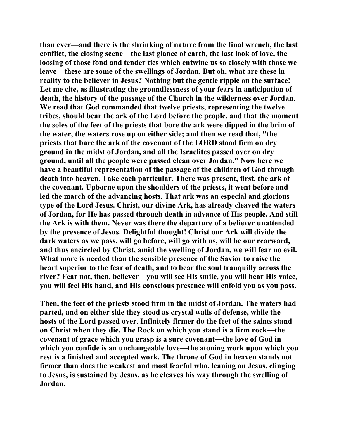**than ever—and there is the shrinking of nature from the final wrench, the last conflict, the closing scene—the last glance of earth, the last look of love, the loosing of those fond and tender ties which entwine us so closely with those we leave—these are some of the swellings of Jordan. But oh, what are these in reality to the believer in Jesus? Nothing but the gentle ripple on the surface! Let me cite, as illustrating the groundlessness of your fears in anticipation of death, the history of the passage of the Church in the wilderness over Jordan. We read that God commanded that twelve priests, representing the twelve tribes, should bear the ark of the Lord before the people, and that the moment the soles of the feet of the priests that bore the ark were dipped in the brim of the water, the waters rose up on either side; and then we read that, "the priests that bare the ark of the covenant of the LORD stood firm on dry ground in the midst of Jordan, and all the Israelites passed over on dry ground, until all the people were passed clean over Jordan." Now here we have a beautiful representation of the passage of the children of God through death into heaven. Take each particular. There was present, first, the ark of the covenant. Upborne upon the shoulders of the priests, it went before and led the march of the advancing hosts. That ark was an especial and glorious type of the Lord Jesus. Christ, our divine Ark, has already cleaved the waters of Jordan, for He has passed through death in advance of His people. And still the Ark is with them. Never was there the departure of a believer unattended by the presence of Jesus. Delightful thought! Christ our Ark will divide the dark waters as we pass, will go before, will go with us, will be our rearward, and thus encircled by Christ, amid the swelling of Jordan, we will fear no evil. What more is needed than the sensible presence of the Savior to raise the heart superior to the fear of death, and to bear the soul tranquilly across the river? Fear not, then, believer—you will see His smile, you will hear His voice, you will feel His hand, and His conscious presence will enfold you as you pass.** 

**Then, the feet of the priests stood firm in the midst of Jordan. The waters had parted, and on either side they stood as crystal walls of defense, while the hosts of the Lord passed over. Infinitely firmer do the feet of the saints stand on Christ when they die. The Rock on which you stand is a firm rock—the covenant of grace which you grasp is a sure covenant—the love of God in which you confide is an unchangeable love—the atoning work upon which you rest is a finished and accepted work. The throne of God in heaven stands not firmer than does the weakest and most fearful who, leaning on Jesus, clinging to Jesus, is sustained by Jesus, as he cleaves his way through the swelling of Jordan.**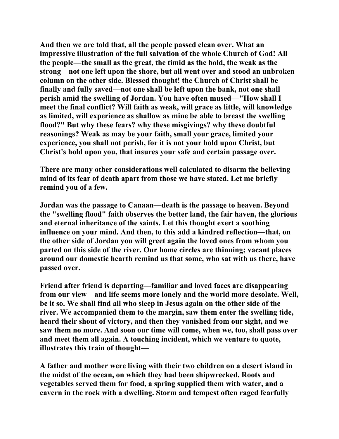**And then we are told that, all the people passed clean over. What an impressive illustration of the full salvation of the whole Church of God! All the people—the small as the great, the timid as the bold, the weak as the strong—not one left upon the shore, but all went over and stood an unbroken column on the other side. Blessed thought! the Church of Christ shall be finally and fully saved—not one shall be left upon the bank, not one shall perish amid the swelling of Jordan. You have often mused—"How shall I meet the final conflict? Will faith as weak, will grace as little, will knowledge as limited, will experience as shallow as mine be able to breast the swelling flood?" But why these fears? why these misgivings? why these doubtful reasonings? Weak as may be your faith, small your grace, limited your experience, you shall not perish, for it is not your hold upon Christ, but Christ's hold upon you, that insures your safe and certain passage over.** 

**There are many other considerations well calculated to disarm the believing mind of its fear of death apart from those we have stated. Let me briefly remind you of a few.** 

**Jordan was the passage to Canaan—death is the passage to heaven. Beyond the "swelling flood" faith observes the better land, the fair haven, the glorious and eternal inheritance of the saints. Let this thought exert a soothing influence on your mind. And then, to this add a kindred reflection—that, on the other side of Jordan you will greet again the loved ones from whom you parted on this side of the river. Our home circles are thinning; vacant places around our domestic hearth remind us that some, who sat with us there, have passed over.** 

**Friend after friend is departing—familiar and loved faces are disappearing from our view—and life seems more lonely and the world more desolate. Well, be it so. We shall find all who sleep in Jesus again on the other side of the river. We accompanied them to the margin, saw them enter the swelling tide, heard their shout of victory, and then they vanished from our sight, and we saw them no more. And soon our time will come, when we, too, shall pass over and meet them all again. A touching incident, which we venture to quote, illustrates this train of thought—** 

**A father and mother were living with their two children on a desert island in the midst of the ocean, on which they had been shipwrecked. Roots and vegetables served them for food, a spring supplied them with water, and a cavern in the rock with a dwelling. Storm and tempest often raged fearfully**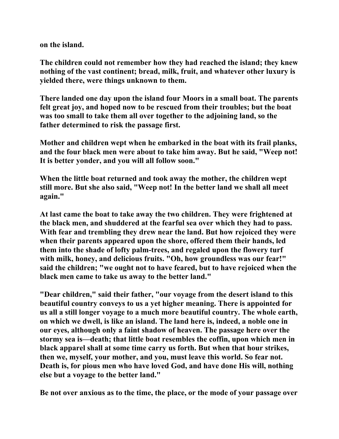**on the island.** 

**The children could not remember how they had reached the island; they knew nothing of the vast continent; bread, milk, fruit, and whatever other luxury is yielded there, were things unknown to them.** 

**There landed one day upon the island four Moors in a small boat. The parents felt great joy, and hoped now to be rescued from their troubles; but the boat was too small to take them all over together to the adjoining land, so the father determined to risk the passage first.** 

**Mother and children wept when he embarked in the boat with its frail planks, and the four black men were about to take him away. But he said, "Weep not! It is better yonder, and you will all follow soon."** 

**When the little boat returned and took away the mother, the children wept still more. But she also said, "Weep not! In the better land we shall all meet again."** 

**At last came the boat to take away the two children. They were frightened at the black men, and shuddered at the fearful sea over which they had to pass. With fear and trembling they drew near the land. But how rejoiced they were when their parents appeared upon the shore, offered them their hands, led them into the shade of lofty palm-trees, and regaled upon the flowery turf with milk, honey, and delicious fruits. "Oh, how groundless was our fear!" said the children; "we ought not to have feared, but to have rejoiced when the black men came to take us away to the better land."** 

**"Dear children," said their father, "our voyage from the desert island to this beautiful country conveys to us a yet higher meaning. There is appointed for us all a still longer voyage to a much more beautiful country. The whole earth, on which we dwell, is like an island. The land here is, indeed, a noble one in our eyes, although only a faint shadow of heaven. The passage here over the stormy sea is—death; that little boat resembles the coffin, upon which men in black apparel shall at some time carry us forth. But when that hour strikes, then we, myself, your mother, and you, must leave this world. So fear not. Death is, for pious men who have loved God, and have done His will, nothing else but a voyage to the better land."** 

**Be not over anxious as to the time, the place, or the mode of your passage over**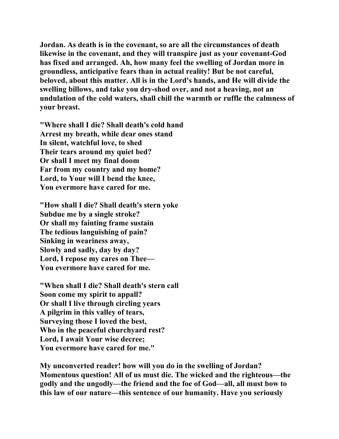**Jordan. As death is in the covenant, so are all the circumstances of death likewise in the covenant, and they will transpire just as your covenant-God has fixed and arranged. Ah, how many feel the swelling of Jordan more in groundless, anticipative fears than in actual reality! But be not careful, beloved, about this matter. All is in the Lord's hands, and He will divide the swelling billows, and take you dry-shod over, and not a heaving, not an undulation of the cold waters, shall chill the warmth or ruffle the calmness of your breast.** 

**"Where shall I die? Shall death's cold hand Arrest my breath, while dear ones stand In silent, watchful love, to shed Their tears around my quiet bed? Or shall I meet my final doom Far from my country and my home? Lord, to Your will I bend the knee, You evermore have cared for me.** 

**"How shall I die? Shall death's stern yoke Subdue me by a single stroke? Or shall my fainting frame sustain The tedious languishing of pain? Sinking in weariness away, Slowly and sadly, day by day? Lord, I repose my cares on Thee— You evermore have cared for me.** 

**"When shall I die? Shall death's stern call Soon come my spirit to appall? Or shall I live through circling years A pilgrim in this valley of tears, Surveying those I loved the best, Who in the peaceful churchyard rest? Lord, I await Your wise decree; You evermore have cared for me."** 

**My unconverted reader! how will you do in the swelling of Jordan? Momentous question! All of us must die. The wicked and the righteous—the godly and the ungodly—the friend and the foe of God—all, all must bow to this law of our nature—this sentence of our humanity. Have you seriously**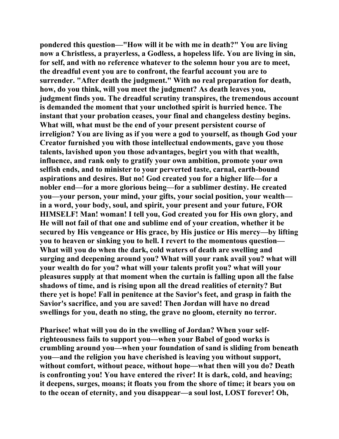**pondered this question—"How will it be with me in death?" You are living now a Christless, a prayerless, a Godless, a hopeless life. You are living in sin, for self, and with no reference whatever to the solemn hour you are to meet, the dreadful event you are to confront, the fearful account you are to surrender. "After death the judgment." With no real preparation for death, how, do you think, will you meet the judgment? As death leaves you, judgment finds you. The dreadful scrutiny transpires, the tremendous account is demanded the moment that your unclothed spirit is hurried hence. The instant that your probation ceases, your final and changeless destiny begins. What will, what must be the end of your present persistent course of irreligion? You are living as if you were a god to yourself, as though God your Creator furnished you with those intellectual endowments, gave you those talents, lavished upon you those advantages, begirt you with that wealth, influence, and rank only to gratify your own ambition, promote your own selfish ends, and to minister to your perverted taste, carnal, earth-bound aspirations and desires. But no! God created you for a higher life—for a nobler end—for a more glorious being—for a sublimer destiny. He created you—your person, your mind, your gifts, your social position, your wealth in a word, your body, soul, and spirit, your present and your future, FOR HIMSELF! Man! woman! I tell you, God created you for His own glory, and He will not fail of that one and sublime end of your creation, whether it be secured by His vengeance or His grace, by His justice or His mercy—by lifting you to heaven or sinking you to hell. I revert to the momentous question— What will you do when the dark, cold waters of death are swelling and surging and deepening around you? What will your rank avail you? what will your wealth do for you? what will your talents profit you? what will your pleasures supply at that moment when the curtain is falling upon all the false shadows of time, and is rising upon all the dread realities of eternity? But there yet is hope! Fall in penitence at the Savior's feet, and grasp in faith the Savior's sacrifice, and you are saved! Then Jordan will have no dread swellings for you, death no sting, the grave no gloom, eternity no terror.** 

**Pharisee! what will you do in the swelling of Jordan? When your selfrighteousness fails to support you—when your Babel of good works is crumbling around you—when your foundation of sand is sliding from beneath you—and the religion you have cherished is leaving you without support, without comfort, without peace, without hope—what then will you do? Death is confronting you! You have entered the river! It is dark, cold, and heaving; it deepens, surges, moans; it floats you from the shore of time; it bears you on to the ocean of eternity, and you disappear—a soul lost, LOST forever! Oh,**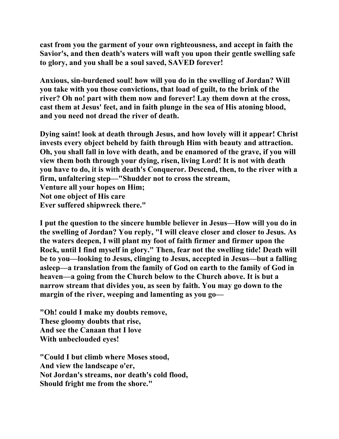**cast from you the garment of your own righteousness, and accept in faith the Savior's, and then death's waters will waft you upon their gentle swelling safe to glory, and you shall be a soul saved, SAVED forever!** 

**Anxious, sin-burdened soul! how will you do in the swelling of Jordan? Will you take with you those convictions, that load of guilt, to the brink of the river? Oh no! part with them now and forever! Lay them down at the cross, cast them at Jesus' feet, and in faith plunge in the sea of His atoning blood, and you need not dread the river of death.** 

**Dying saint! look at death through Jesus, and how lovely will it appear! Christ invests every object beheld by faith through Him with beauty and attraction. Oh, you shall fall in love with death, and be enamored of the grave, if you will view them both through your dying, risen, living Lord! It is not with death you have to do, it is with death's Conqueror. Descend, then, to the river with a firm, unfaltering step—"Shudder not to cross the stream, Venture all your hopes on Him; Not one object of His care Ever suffered shipwreck there."** 

**I put the question to the sincere humble believer in Jesus—How will you do in the swelling of Jordan? You reply, "I will cleave closer and closer to Jesus. As the waters deepen, I will plant my foot of faith firmer and firmer upon the Rock, until I find myself in glory." Then, fear not the swelling tide! Death will be to you—looking to Jesus, clinging to Jesus, accepted in Jesus—but a falling asleep—a translation from the family of God on earth to the family of God in heaven—a going from the Church below to the Church above. It is but a narrow stream that divides you, as seen by faith. You may go down to the margin of the river, weeping and lamenting as you go—** 

**"Oh! could I make my doubts remove, These gloomy doubts that rise, And see the Canaan that I love With unbeclouded eyes!** 

**"Could I but climb where Moses stood, And view the landscape o'er, Not Jordan's streams, nor death's cold flood, Should fright me from the shore."**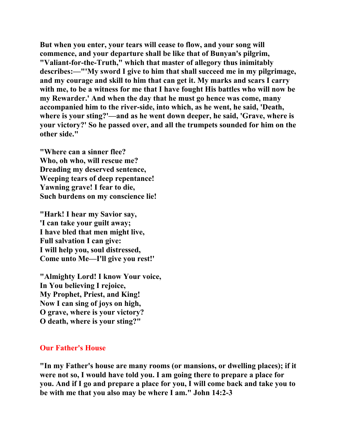**But when you enter, your tears will cease to flow, and your song will commence, and your departure shall be like that of Bunyan's pilgrim, "Valiant-for-the-Truth," which that master of allegory thus inimitably describes:—"'My sword I give to him that shall succeed me in my pilgrimage, and my courage and skill to him that can get it. My marks and scars I carry with me, to be a witness for me that I have fought His battles who will now be my Rewarder.' And when the day that he must go hence was come, many accompanied him to the river-side, into which, as he went, he said, 'Death, where is your sting?'—and as he went down deeper, he said, 'Grave, where is your victory?' So he passed over, and all the trumpets sounded for him on the other side."** 

**"Where can a sinner flee? Who, oh who, will rescue me? Dreading my deserved sentence, Weeping tears of deep repentance! Yawning grave! I fear to die, Such burdens on my conscience lie!** 

**"Hark! I hear my Savior say, 'I can take your guilt away; I have bled that men might live, Full salvation I can give: I will help you, soul distressed, Come unto Me—I'll give you rest!'** 

**"Almighty Lord! I know Your voice, In You believing I rejoice, My Prophet, Priest, and King! Now I can sing of joys on high, O grave, where is your victory? O death, where is your sting?"** 

## **Our Father's House**

**"In my Father's house are many rooms (or mansions, or dwelling places); if it were not so, I would have told you. I am going there to prepare a place for you. And if I go and prepare a place for you, I will come back and take you to be with me that you also may be where I am." John 14:2-3**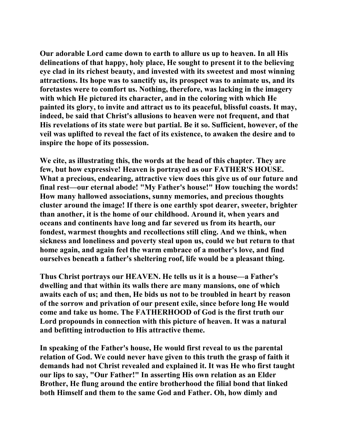**Our adorable Lord came down to earth to allure us up to heaven. In all His delineations of that happy, holy place, He sought to present it to the believing eye clad in its richest beauty, and invested with its sweetest and most winning attractions. Its hope was to sanctify us, its prospect was to animate us, and its foretastes were to comfort us. Nothing, therefore, was lacking in the imagery with which He pictured its character, and in the coloring with which He painted its glory, to invite and attract us to its peaceful, blissful coasts. It may, indeed, be said that Christ's allusions to heaven were not frequent, and that His revelations of its state were but partial. Be it so. Sufficient, however, of the veil was uplifted to reveal the fact of its existence, to awaken the desire and to inspire the hope of its possession.** 

**We cite, as illustrating this, the words at the head of this chapter. They are few, but how expressive! Heaven is portrayed as our FATHER'S HOUSE. What a precious, endearing, attractive view does this give us of our future and final rest—our eternal abode! "My Father's house!" How touching the words! How many hallowed associations, sunny memories, and precious thoughts cluster around the image! If there is one earthly spot dearer, sweeter, brighter than another, it is the home of our childhood. Around it, when years and oceans and continents have long and far severed us from its hearth, our fondest, warmest thoughts and recollections still cling. And we think, when sickness and loneliness and poverty steal upon us, could we but return to that home again, and again feel the warm embrace of a mother's love, and find ourselves beneath a father's sheltering roof, life would be a pleasant thing.** 

**Thus Christ portrays our HEAVEN. He tells us it is a house—a Father's dwelling and that within its walls there are many mansions, one of which awaits each of us; and then, He bids us not to be troubled in heart by reason of the sorrow and privation of our present exile, since before long He would come and take us home. The FATHERHOOD of God is the first truth our Lord propounds in connection with this picture of heaven. It was a natural and befitting introduction to His attractive theme.** 

**In speaking of the Father's house, He would first reveal to us the parental relation of God. We could never have given to this truth the grasp of faith it demands had not Christ revealed and explained it. It was He who first taught our lips to say, "Our Father!" In asserting His own relation as an Elder Brother, He flung around the entire brotherhood the filial bond that linked both Himself and them to the same God and Father. Oh, how dimly and**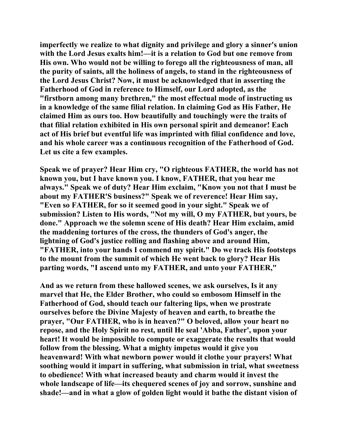**imperfectly we realize to what dignity and privilege and glory a sinner's union with the Lord Jesus exalts him!—it is a relation to God but one remove from His own. Who would not be willing to forego all the righteousness of man, all the purity of saints, all the holiness of angels, to stand in the righteousness of the Lord Jesus Christ? Now, it must be acknowledged that in asserting the Fatherhood of God in reference to Himself, our Lord adopted, as the "firstborn among many brethren," the most effectual mode of instructing us in a knowledge of the same filial relation. In claiming God as His Father, He claimed Him as ours too. How beautifully and touchingly were the traits of that filial relation exhibited in His own personal spirit and demeanor! Each act of His brief but eventful life was imprinted with filial confidence and love, and his whole career was a continuous recognition of the Fatherhood of God. Let us cite a few examples.** 

**Speak we of prayer? Hear Him cry, "O righteous FATHER, the world has not known you, but I have known you. I know, FATHER, that you hear me always." Speak we of duty? Hear Him exclaim, "Know you not that I must be about my FATHER'S business?" Speak we of reverence! Hear Him say, "Even so FATHER, for so it seemed good in your sight." Speak we of submission? Listen to His words, "Not my will, O my FATHER, but yours, be done." Approach we the solemn scene of His death? Hear Him exclaim, amid the maddening tortures of the cross, the thunders of God's anger, the lightning of God's justice rolling and flashing above and around Him, "FATHER, into your hands I commend my spirit." Do we track His footsteps to the mount from the summit of which He went back to glory? Hear His parting words, "I ascend unto my FATHER, and unto your FATHER,"** 

**And as we return from these hallowed scenes, we ask ourselves, Is it any marvel that He, the Elder Brother, who could so embosom Himself in the Fatherhood of God, should teach our faltering lips, when we prostrate ourselves before the Divine Majesty of heaven and earth, to breathe the prayer, "Our FATHER, who is in heaven?" O beloved, allow your heart no repose, and the Holy Spirit no rest, until He seal 'Abba, Father', upon your heart! It would be impossible to compute or exaggerate the results that would follow from the blessing. What a mighty impetus would it give you heavenward! With what newborn power would it clothe your prayers! What soothing would it impart in suffering, what submission in trial, what sweetness to obedience! With what increased beauty and charm would it invest the whole landscape of life—its chequered scenes of joy and sorrow, sunshine and shade!—and in what a glow of golden light would it bathe the distant vision of**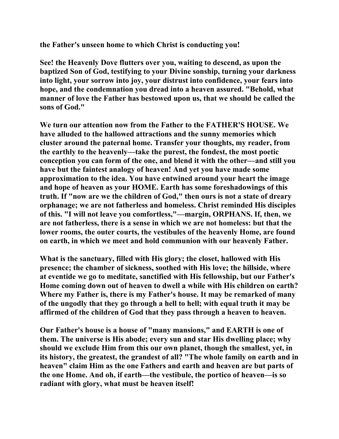**the Father's unseen home to which Christ is conducting you!** 

**See! the Heavenly Dove flutters over you, waiting to descend, as upon the baptized Son of God, testifying to your Divine sonship, turning your darkness into light, your sorrow into joy, your distrust into confidence, your fears into hope, and the condemnation you dread into a heaven assured. "Behold, what manner of love the Father has bestowed upon us, that we should be called the sons of God."** 

**We turn our attention now from the Father to the FATHER'S HOUSE. We have alluded to the hallowed attractions and the sunny memories which cluster around the paternal home. Transfer your thoughts, my reader, from the earthly to the heavenly—take the purest, the fondest, the most poetic conception you can form of the one, and blend it with the other—and still you have but the faintest analogy of heaven! And yet you have made some approximation to the idea. You have entwined around your heart the image and hope of heaven as your HOME. Earth has some foreshadowings of this truth. If "now are we the children of God," then ours is not a state of dreary orphanage; we are not fatherless and homeless. Christ reminded His disciples of this. "I will not leave you comfortless,"—margin, ORPHANS. If, then, we are not fatherless, there is a sense in which we are not homeless: but that the lower rooms, the outer courts, the vestibules of the heavenly Home, are found on earth, in which we meet and hold communion with our heavenly Father.** 

**What is the sanctuary, filled with His glory; the closet, hallowed with His presence; the chamber of sickness, soothed with His love; the hillside, where at eventide we go to meditate, sanctified with His fellowship, but our Father's Home coming down out of heaven to dwell a while with His children on earth? Where my Father is, there is my Father's house. It may be remarked of many of the ungodly that they go through a hell to hell; with equal truth it may be affirmed of the children of God that they pass through a heaven to heaven.** 

**Our Father's house is a house of "many mansions," and EARTH is one of them. The universe is His abode; every sun and star His dwelling place; why should we exclude Him from this our own planet, though the smallest, yet, in its history, the greatest, the grandest of all? "The whole family on earth and in heaven" claim Him as the one Fathers and earth and heaven are but parts of the one Home. And oh, if earth—the vestibule, the portico of heaven—is so radiant with glory, what must be heaven itself!**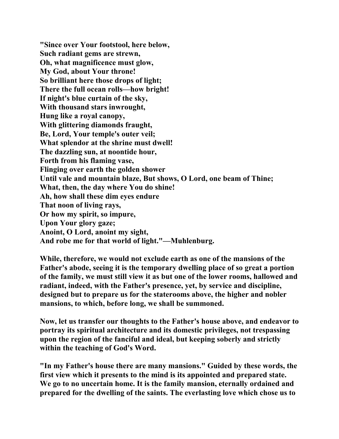**"Since over Your footstool, here below, Such radiant gems are strewn, Oh, what magnificence must glow, My God, about Your throne! So brilliant here those drops of light; There the full ocean rolls—how bright! If night's blue curtain of the sky, With thousand stars inwrought, Hung like a royal canopy, With glittering diamonds fraught, Be, Lord, Your temple's outer veil; What splendor at the shrine must dwell! The dazzling sun, at noontide hour, Forth from his flaming vase, Flinging over earth the golden shower Until vale and mountain blaze, But shows, O Lord, one beam of Thine; What, then, the day where You do shine! Ah, how shall these dim eyes endure That noon of living rays, Or how my spirit, so impure, Upon Your glory gaze; Anoint, O Lord, anoint my sight, And robe me for that world of light."—Muhlenburg.** 

**While, therefore, we would not exclude earth as one of the mansions of the Father's abode, seeing it is the temporary dwelling place of so great a portion of the family, we must still view it as but one of the lower rooms, hallowed and radiant, indeed, with the Father's presence, yet, by service and discipline, designed but to prepare us for the staterooms above, the higher and nobler mansions, to which, before long, we shall be summoned.** 

**Now, let us transfer our thoughts to the Father's house above, and endeavor to portray its spiritual architecture and its domestic privileges, not trespassing upon the region of the fanciful and ideal, but keeping soberly and strictly within the teaching of God's Word.** 

**"In my Father's house there are many mansions." Guided by these words, the first view which it presents to the mind is its appointed and prepared state. We go to no uncertain home. It is the family mansion, eternally ordained and prepared for the dwelling of the saints. The everlasting love which chose us to**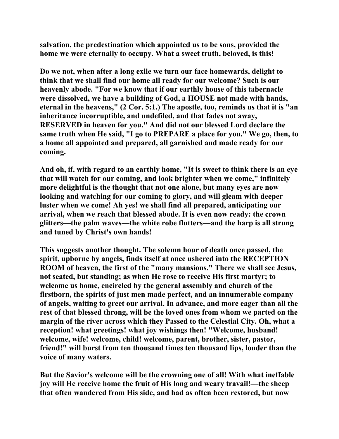**salvation, the predestination which appointed us to be sons, provided the home we were eternally to occupy. What a sweet truth, beloved, is this!** 

**Do we not, when after a long exile we turn our face homewards, delight to think that we shall find our home all ready for our welcome? Such is our heavenly abode. "For we know that if our earthly house of this tabernacle were dissolved, we have a building of God, a HOUSE not made with hands, eternal in the heavens," (2 Cor. 5:1.) The apostle, too, reminds us that it is "an inheritance incorruptible, and undefiled, and that fades not away, RESERVED in heaven for you." And did not our blessed Lord declare the same truth when He said, "I go to PREPARE a place for you." We go, then, to a home all appointed and prepared, all garnished and made ready for our coming.** 

**And oh, if, with regard to an earthly home, "It is sweet to think there is an eye that will watch for our coming, and look brighter when we come," infinitely more delightful is the thought that not one alone, but many eyes are now looking and watching for our coming to glory, and will gleam with deeper luster when we come! Ah yes! we shall find all prepared, anticipating our arrival, when we reach that blessed abode. It is even now ready: the crown glitters—the palm waves—the white robe flutters—and the harp is all strung and tuned by Christ's own hands!** 

**This suggests another thought. The solemn hour of death once passed, the spirit, upborne by angels, finds itself at once ushered into the RECEPTION ROOM of heaven, the first of the "many mansions." There we shall see Jesus, not seated, but standing; as when He rose to receive His first martyr; to welcome us home, encircled by the general assembly and church of the firstborn, the spirits of just men made perfect, and an innumerable company of angels, waiting to greet our arrival. In advance, and more eager than all the rest of that blessed throng, will be the loved ones from whom we parted on the margin of the river across which they Passed to the Celestial City. Oh, what a reception! what greetings! what joy wishings then! "Welcome, husband! welcome, wife! welcome, child! welcome, parent, brother, sister, pastor, friend!" will burst from ten thousand times ten thousand lips, louder than the voice of many waters.** 

**But the Savior's welcome will be the crowning one of all! With what ineffable joy will He receive home the fruit of His long and weary travail!—the sheep that often wandered from His side, and had as often been restored, but now**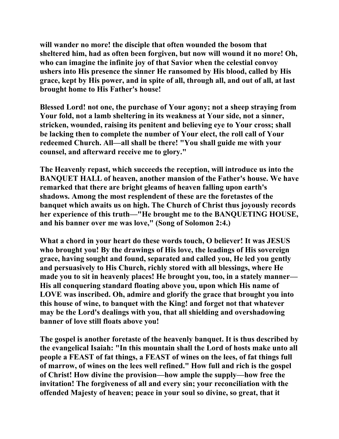**will wander no more! the disciple that often wounded the bosom that sheltered him, had as often been forgiven, but now will wound it no more! Oh, who can imagine the infinite joy of that Savior when the celestial convoy ushers into His presence the sinner He ransomed by His blood, called by His grace, kept by His power, and in spite of all, through all, and out of all, at last brought home to His Father's house!** 

**Blessed Lord! not one, the purchase of Your agony; not a sheep straying from Your fold, not a lamb sheltering in its weakness at Your side, not a sinner, stricken, wounded, raising its penitent and believing eye to Your cross; shall be lacking then to complete the number of Your elect, the roll call of Your redeemed Church. All—all shall be there! "You shall guide me with your counsel, and afterward receive me to glory."** 

**The Heavenly repast, which succeeds the reception, will introduce us into the BANQUET HALL of heaven, another mansion of the Father's house. We have remarked that there are bright gleams of heaven falling upon earth's shadows. Among the most resplendent of these are the foretastes of the banquet which awaits us on high. The Church of Christ thus joyously records her experience of this truth—"He brought me to the BANQUETING HOUSE, and his banner over me was love," (Song of Solomon 2:4.)** 

**What a chord in your heart do these words touch, O believer! It was JESUS who brought you! By the drawings of His love, the leadings of His sovereign grace, having sought and found, separated and called you, He led you gently and persuasively to His Church, richly stored with all blessings, where He made you to sit in heavenly places! He brought you, too, in a stately manner— His all conquering standard floating above you, upon which His name of LOVE was inscribed. Oh, admire and glorify the grace that brought you into this house of wine, to banquet with the King! and forget not that whatever may be the Lord's dealings with you, that all shielding and overshadowing banner of love still floats above you!** 

**The gospel is another foretaste of the heavenly banquet. It is thus described by the evangelical Isaiah: "In this mountain shall the Lord of hosts make unto all people a FEAST of fat things, a FEAST of wines on the lees, of fat things full of marrow, of wines on the lees well refined." How full and rich is the gospel of Christ! How divine the provision—how ample the supply—how free the invitation! The forgiveness of all and every sin; your reconciliation with the offended Majesty of heaven; peace in your soul so divine, so great, that it**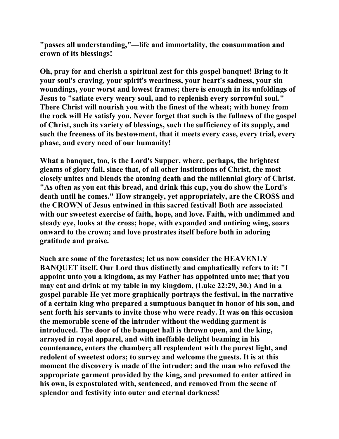**"passes all understanding,"—life and immortality, the consummation and crown of its blessings!** 

**Oh, pray for and cherish a spiritual zest for this gospel banquet! Bring to it your soul's craving, your spirit's weariness, your heart's sadness, your sin woundings, your worst and lowest frames; there is enough in its unfoldings of Jesus to "satiate every weary soul, and to replenish every sorrowful soul." There Christ will nourish you with the finest of the wheat; with honey from the rock will He satisfy you. Never forget that such is the fullness of the gospel of Christ, such its variety of blessings, such the sufficiency of its supply, and such the freeness of its bestowment, that it meets every case, every trial, every phase, and every need of our humanity!** 

**What a banquet, too, is the Lord's Supper, where, perhaps, the brightest gleams of glory fall, since that, of all other institutions of Christ, the most closely unites and blends the atoning death and the millennial glory of Christ. "As often as you eat this bread, and drink this cup, you do show the Lord's death until he comes." How strangely, yet appropriately, are the CROSS and the CROWN of Jesus entwined in this sacred festival! Both are associated with our sweetest exercise of faith, hope, and love. Faith, with undimmed and steady eye, looks at the cross; hope, with expanded and untiring wing, soars onward to the crown; and love prostrates itself before both in adoring gratitude and praise.** 

**Such are some of the foretastes; let us now consider the HEAVENLY BANQUET itself. Our Lord thus distinctly and emphatically refers to it: "I appoint unto you a kingdom, as my Father has appointed unto me; that you may eat and drink at my table in my kingdom, (Luke 22:29, 30.) And in a gospel parable He yet more graphically portrays the festival, in the narrative of a certain king who prepared a sumptuous banquet in honor of his son, and sent forth his servants to invite those who were ready. It was on this occasion the memorable scene of the intruder without the wedding garment is introduced. The door of the banquet hall is thrown open, and the king, arrayed in royal apparel, and with ineffable delight beaming in his countenance, enters the chamber; all resplendent with the purest light, and redolent of sweetest odors; to survey and welcome the guests. It is at this moment the discovery is made of the intruder; and the man who refused the appropriate garment provided by the king, and presumed to enter attired in his own, is expostulated with, sentenced, and removed from the scene of splendor and festivity into outer and eternal darkness!**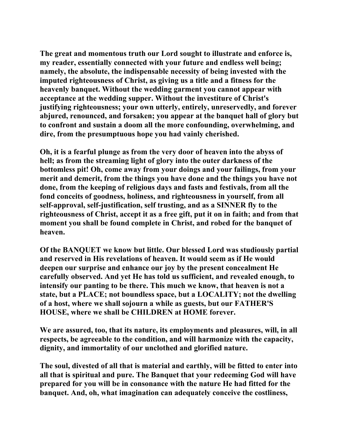**The great and momentous truth our Lord sought to illustrate and enforce is, my reader, essentially connected with your future and endless well being; namely, the absolute, the indispensable necessity of being invested with the imputed righteousness of Christ, as giving us a title and a fitness for the heavenly banquet. Without the wedding garment you cannot appear with acceptance at the wedding supper. Without the investiture of Christ's justifying righteousness; your own utterly, entirely, unreservedly, and forever abjured, renounced, and forsaken; you appear at the banquet hall of glory but to confront and sustain a doom all the more confounding, overwhelming, and dire, from the presumptuous hope you had vainly cherished.** 

**Oh, it is a fearful plunge as from the very door of heaven into the abyss of hell; as from the streaming light of glory into the outer darkness of the bottomless pit! Oh, come away from your doings and your failings, from your merit and demerit, from the things you have done and the things you have not done, from the keeping of religious days and fasts and festivals, from all the fond conceits of goodness, holiness, and righteousness in yourself, from all self-approval, self-justification, self trusting, and as a SINNER fly to the righteousness of Christ, accept it as a free gift, put it on in faith; and from that moment you shall be found complete in Christ, and robed for the banquet of heaven.** 

**Of the BANQUET we know but little. Our blessed Lord was studiously partial and reserved in His revelations of heaven. It would seem as if He would deepen our surprise and enhance our joy by the present concealment He carefully observed. And yet He has told us sufficient, and revealed enough, to intensify our panting to be there. This much we know, that heaven is not a state, but a PLACE; not boundless space, but a LOCALITY; not the dwelling of a host, where we shall sojourn a while as guests, but our FATHER'S HOUSE, where we shall be CHILDREN at HOME forever.** 

**We are assured, too, that its nature, its employments and pleasures, will, in all respects, be agreeable to the condition, and will harmonize with the capacity, dignity, and immortality of our unclothed and glorified nature.** 

**The soul, divested of all that is material and earthly, will be fitted to enter into all that is spiritual and pure. The Banquet that your redeeming God will have prepared for you will be in consonance with the nature He had fitted for the banquet. And, oh, what imagination can adequately conceive the costliness,**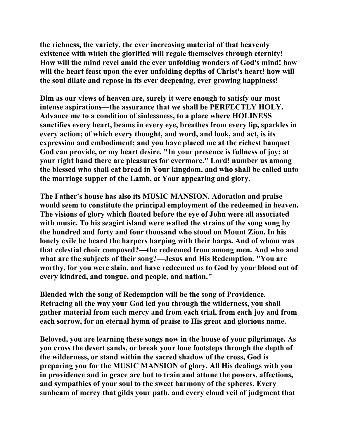**the richness, the variety, the ever increasing material of that heavenly existence with which the glorified will regale themselves through eternity! How will the mind revel amid the ever unfolding wonders of God's mind! how will the heart feast upon the ever unfolding depths of Christ's heart! how will the soul dilate and repose in its ever deepening, ever growing happiness!** 

**Dim as our views of heaven are, surely it were enough to satisfy our most intense aspirations—the assurance that we shall be PERFECTLY HOLY. Advance me to a condition of sinlessness, to a place where HOLINESS sanctifies every heart, beams in every eye, breathes from every lip, sparkles in every action; of which every thought, and word, and look, and act, is its expression and embodiment; and you have placed me at the richest banquet God can provide, or my heart desire. "In your presence is fullness of joy; at your right hand there are pleasures for evermore." Lord! number us among the blessed who shall eat bread in Your kingdom, and who shall be called unto the marriage supper of the Lamb, at Your appearing and glory.** 

**The Father's house has also its MUSIC MANSION. Adoration and praise would seem to constitute the principal employment of the redeemed in heaven. The visions of glory which floated before the eye of John were all associated with music. To his seagirt island were wafted the strains of the song sung by the hundred and forty and four thousand who stood on Mount Zion. In his lonely exile he heard the harpers harping with their harps. And of whom was that celestial choir composed?—the redeemed from among men. And who and what are the subjects of their song?—Jesus and His Redemption. "You are worthy, for you were slain, and have redeemed us to God by your blood out of every kindred, and tongue, and people, and nation."** 

**Blended with the song of Redemption will be the song of Providence. Retracing all the way your God led you through the wilderness, you shall gather material from each mercy and from each trial, from each joy and from each sorrow, for an eternal hymn of praise to His great and glorious name.** 

**Beloved, you are learning these songs now in the house of your pilgrimage. As you cross the desert sands, or break your lone footsteps through the depth of the wilderness, or stand within the sacred shadow of the cross, God is preparing you for the MUSIC MANSION of glory. All His dealings with you in providence and in grace are but to train and attune the powers, affections, and sympathies of your soul to the sweet harmony of the spheres. Every sunbeam of mercy that gilds your path, and every cloud veil of judgment that**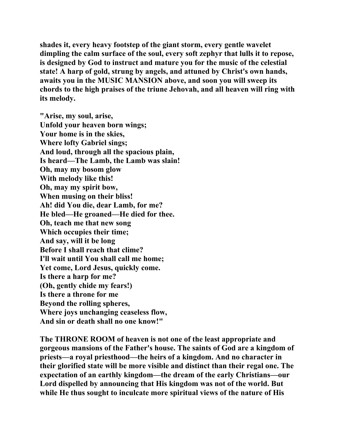**shades it, every heavy footstep of the giant storm, every gentle wavelet dimpling the calm surface of the soul, every soft zephyr that lulls it to repose, is designed by God to instruct and mature you for the music of the celestial state! A harp of gold, strung by angels, and attuned by Christ's own hands, awaits you in the MUSIC MANSION above, and soon you will sweep its chords to the high praises of the triune Jehovah, and all heaven will ring with its melody.** 

**"Arise, my soul, arise, Unfold your heaven born wings; Your home is in the skies, Where lofty Gabriel sings; And loud, through all the spacious plain, Is heard—The Lamb, the Lamb was slain! Oh, may my bosom glow With melody like this! Oh, may my spirit bow, When musing on their bliss! Ah! did You die, dear Lamb, for me? He bled—He groaned—He died for thee. Oh, teach me that new song Which occupies their time; And say, will it be long Before I shall reach that clime? I'll wait until You shall call me home; Yet come, Lord Jesus, quickly come. Is there a harp for me? (Oh, gently chide my fears!) Is there a throne for me Beyond the rolling spheres, Where joys unchanging ceaseless flow, And sin or death shall no one know!"** 

**The THRONE ROOM of heaven is not one of the least appropriate and gorgeous mansions of the Father's house. The saints of God are a kingdom of priests—a royal priesthood—the heirs of a kingdom. And no character in their glorified state will be more visible and distinct than their regal one. The expectation of an earthly kingdom—the dream of the early Christians—our Lord dispelled by announcing that His kingdom was not of the world. But while He thus sought to inculcate more spiritual views of the nature of His**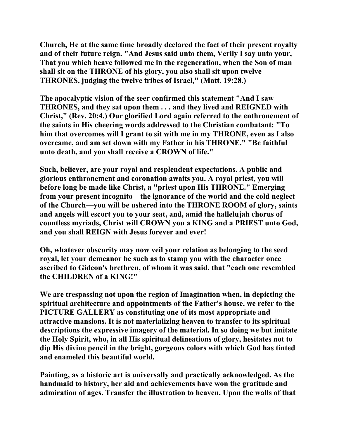**Church, He at the same time broadly declared the fact of their present royalty and of their future reign. "And Jesus said unto them, Verily I say unto your, That you which heave followed me in the regeneration, when the Son of man shall sit on the THRONE of his glory, you also shall sit upon twelve THRONES, judging the twelve tribes of Israel," (Matt. 19:28.)** 

**The apocalyptic vision of the seer confirmed this statement "And I saw THRONES, and they sat upon them . . . and they lived and REIGNED with Christ," (Rev. 20:4.) Our glorified Lord again referred to the enthronement of the saints in His cheering words addressed to the Christian combatant: "To him that overcomes will I grant to sit with me in my THRONE, even as I also overcame, and am set down with my Father in his THRONE." "Be faithful unto death, and you shall receive a CROWN of life."** 

**Such, believer, are your royal and resplendent expectations. A public and glorious enthronement and coronation awaits you. A royal priest, you will before long be made like Christ, a "priest upon His THRONE." Emerging from your present incognito—the ignorance of the world and the cold neglect of the Church—you will be ushered into the THRONE ROOM of glory, saints and angels will escort you to your seat, and, amid the hallelujah chorus of countless myriads, Christ will CROWN you a KING and a PRIEST unto God, and you shall REIGN with Jesus forever and ever!** 

**Oh, whatever obscurity may now veil your relation as belonging to the seed royal, let your demeanor be such as to stamp you with the character once ascribed to Gideon's brethren, of whom it was said, that "each one resembled the CHILDREN of a KING!"** 

**We are trespassing not upon the region of Imagination when, in depicting the spiritual architecture and appointments of the Father's house, we refer to the PICTURE GALLERY as constituting one of its most appropriate and attractive mansions. It is not materializing heaven to transfer to its spiritual descriptions the expressive imagery of the material. In so doing we but imitate the Holy Spirit, who, in all His spiritual delineations of glory, hesitates not to dip His divine pencil in the bright, gorgeous colors with which God has tinted and enameled this beautiful world.** 

**Painting, as a historic art is universally and practically acknowledged. As the handmaid to history, her aid and achievements have won the gratitude and admiration of ages. Transfer the illustration to heaven. Upon the walls of that**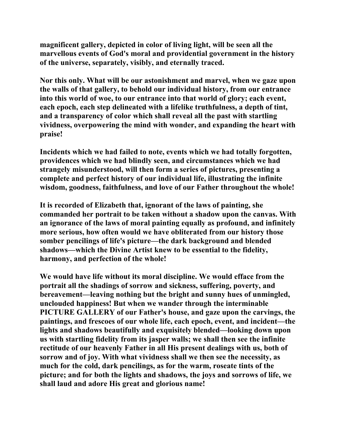**magnificent gallery, depicted in color of living light, will be seen all the marvellous events of God's moral and providential government in the history of the universe, separately, visibly, and eternally traced.** 

**Nor this only. What will be our astonishment and marvel, when we gaze upon the walls of that gallery, to behold our individual history, from our entrance into this world of woe, to our entrance into that world of glory; each event, each epoch, each step delineated with a lifelike truthfulness, a depth of tint, and a transparency of color which shall reveal all the past with startling vividness, overpowering the mind with wonder, and expanding the heart with praise!** 

**Incidents which we had failed to note, events which we had totally forgotten, providences which we had blindly seen, and circumstances which we had strangely misunderstood, will then form a series of pictures, presenting a complete and perfect history of our individual life, illustrating the infinite wisdom, goodness, faithfulness, and love of our Father throughout the whole!** 

**It is recorded of Elizabeth that, ignorant of the laws of painting, she commanded her portrait to be taken without a shadow upon the canvas. With an ignorance of the laws of moral painting equally as profound, and infinitely more serious, how often would we have obliterated from our history those somber pencilings of life's picture—the dark background and blended shadows—which the Divine Artist knew to be essential to the fidelity, harmony, and perfection of the whole!** 

**We would have life without its moral discipline. We would efface from the portrait all the shadings of sorrow and sickness, suffering, poverty, and bereavement—leaving nothing but the bright and sunny hues of unmingled, unclouded happiness! But when we wander through the interminable PICTURE GALLERY of our Father's house, and gaze upon the carvings, the paintings, and frescoes of our whole life, each epoch, event, and incident—the lights and shadows beautifully and exquisitely blended—looking down upon us with startling fidelity from its jasper walls; we shall then see the infinite rectitude of our heavenly Father in all His present dealings with us, both of sorrow and of joy. With what vividness shall we then see the necessity, as much for the cold, dark pencilings, as for the warm, roseate tints of the picture; and for both the lights and shadows, the joys and sorrows of life, we shall laud and adore His great and glorious name!**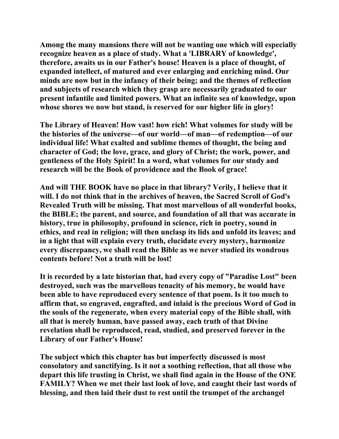**Among the many mansions there will not be wanting one which will especially recognize heaven as a place of study. What a 'LIBRARY of knowledge', therefore, awaits us in our Father's house! Heaven is a place of thought, of expanded intellect, of matured and ever enlarging and enriching mind. Our minds are now but in the infancy of their being; and the themes of reflection and subjects of research which they grasp are necessarily graduated to our present infantile and limited powers. What an infinite sea of knowledge, upon whose shores we now but stand, is reserved for our higher life in glory!** 

**The Library of Heaven! How vast! how rich! What volumes for study will be the histories of the universe—of our world—of man—of redemption—of our individual life! What exalted and sublime themes of thought, the being and character of God; the love, grace, and glory of Christ; the work, power, and gentleness of the Holy Spirit! In a word, what volumes for our study and research will be the Book of providence and the Book of grace!** 

**And will THE BOOK have no place in that library? Verily, I believe that it will. I do not think that in the archives of heaven, the Sacred Scroll of God's Revealed Truth will be missing. That most marvellous of all wonderful books, the BIBLE; the parent, and source, and foundation of all that was accurate in history, true in philosophy, profound in science, rich in poetry, sound in ethics, and real in religion; will then unclasp its lids and unfold its leaves; and in a light that will explain every truth, elucidate every mystery, harmonize every discrepancy, we shall read the Bible as we never studied its wondrous contents before! Not a truth will be lost!** 

**It is recorded by a late historian that, had every copy of "Paradise Lost" been destroyed, such was the marvellous tenacity of his memory, he would have been able to have reproduced every sentence of that poem. Is it too much to affirm that, so engraved, engrafted, and inlaid is the precious Word of God in the souls of the regenerate, when every material copy of the Bible shall, with all that is merely human, have passed away, each truth of that Divine revelation shall be reproduced, read, studied, and preserved forever in the Library of our Father's House!** 

**The subject which this chapter has but imperfectly discussed is most consolatory and sanctifying. Is it not a soothing reflection, that all those who depart this life trusting in Christ, we shall find again in the House of the ONE FAMILY? When we met their last look of love, and caught their last words of blessing, and then laid their dust to rest until the trumpet of the archangel**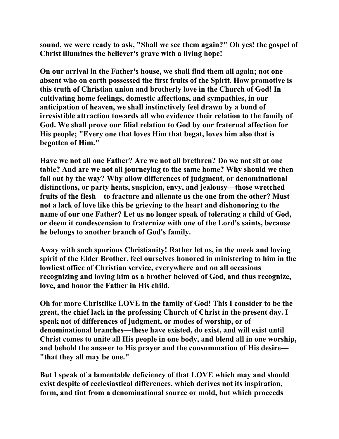**sound, we were ready to ask, "Shall we see them again?" Oh yes! the gospel of Christ illumines the believer's grave with a living hope!** 

**On our arrival in the Father's house, we shall find them all again; not one absent who on earth possessed the first fruits of the Spirit. How promotive is this truth of Christian union and brotherly love in the Church of God! In cultivating home feelings, domestic affections, and sympathies, in our anticipation of heaven, we shall instinctively feel drawn by a bond of irresistible attraction towards all who evidence their relation to the family of God. We shall prove our filial relation to God by our fraternal affection for His people; "Every one that loves Him that begat, loves him also that is begotten of Him."** 

**Have we not all one Father? Are we not all brethren? Do we not sit at one table? And are we not all journeying to the same home? Why should we then fall out by the way? Why allow differences of judgment, or denominational distinctions, or party heats, suspicion, envy, and jealousy—those wretched fruits of the flesh—to fracture and alienate us the one from the other? Must not a lack of love like this be grieving to the heart and dishonoring to the name of our one Father? Let us no longer speak of tolerating a child of God, or deem it condescension to fraternize with one of the Lord's saints, because he belongs to another branch of God's family.** 

**Away with such spurious Christianity! Rather let us, in the meek and loving spirit of the Elder Brother, feel ourselves honored in ministering to him in the lowliest office of Christian service, everywhere and on all occasions recognizing and loving him as a brother beloved of God, and thus recognize, love, and honor the Father in His child.** 

**Oh for more Christlike LOVE in the family of God! This I consider to be the great, the chief lack in the professing Church of Christ in the present day. I speak not of differences of judgment, or modes of worship, or of denominational branches—these have existed, do exist, and will exist until Christ comes to unite all His people in one body, and blend all in one worship, and behold the answer to His prayer and the consummation of His desire— "that they all may be one."** 

**But I speak of a lamentable deficiency of that LOVE which may and should exist despite of ecclesiastical differences, which derives not its inspiration, form, and tint from a denominational source or mold, but which proceeds**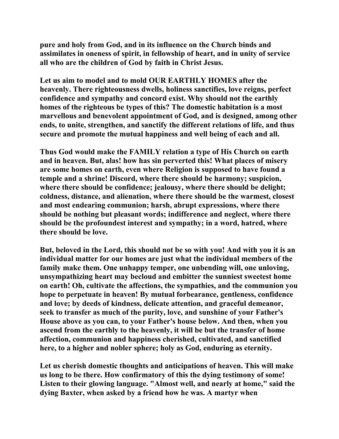**pure and holy from God, and in its influence on the Church binds and assimilates in oneness of spirit, in fellowship of heart, and in unity of service all who are the children of God by faith in Christ Jesus.** 

**Let us aim to model and to mold OUR EARTHLY HOMES after the heavenly. There righteousness dwells, holiness sanctifies, love reigns, perfect confidence and sympathy and concord exist. Why should not the earthly homes of the righteous be types of this? The domestic habitation is a most marvellous and benevolent appointment of God, and is designed, among other ends, to unite, strengthen, and sanctify the different relations of life, and thus secure and promote the mutual happiness and well being of each and all.** 

**Thus God would make the FAMILY relation a type of His Church on earth and in heaven. But, alas! how has sin perverted this! What places of misery are some homes on earth, even where Religion is supposed to have found a temple and a shrine! Discord, where there should be harmony; suspicion, where there should be confidence; jealousy, where there should be delight; coldness, distance, and alienation, where there should be the warmest, closest and most endearing communion; harsh, abrupt expressions, where there should be nothing but pleasant words; indifference and neglect, where there should be the profoundest interest and sympathy; in a word, hatred, where there should be love.** 

**But, beloved in the Lord, this should not be so with you! And with you it is an individual matter for our homes are just what the individual members of the family make them. One unhappy temper, one unbending will, one unloving, unsympathizing heart may becloud and embitter the sunniest sweetest home on earth! Oh, cultivate the affections, the sympathies, and the communion you hope to perpetuate in heaven! By mutual forbearance, gentleness, confidence and love; by deeds of kindness, delicate attention, and graceful demeanor, seek to transfer as much of the purity, love, and sunshine of your Father's House above as you can, to your Father's house below. And then, when you ascend from the earthly to the heavenly, it will be but the transfer of home affection, communion and happiness cherished, cultivated, and sanctified here, to a higher and nobler sphere; holy as God, enduring as eternity.** 

**Let us cherish domestic thoughts and anticipations of heaven. This will make us long to be there. How confirmatory of this the dying testimony of some! Listen to their glowing language. "Almost well, and nearly at home," said the dying Baxter, when asked by a friend how he was. A martyr when**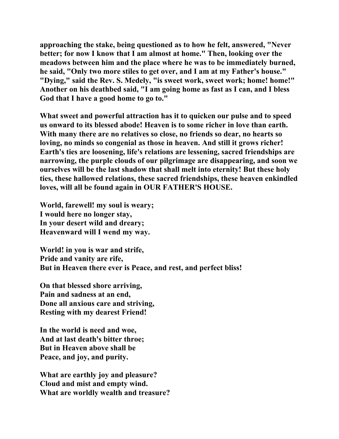**approaching the stake, being questioned as to how he felt, answered, "Never better; for now I know that I am almost at home." Then, looking over the meadows between him and the place where he was to be immediately burned, he said, "Only two more stiles to get over, and I am at my Father's house." "Dying," said the Rev. S. Medely, "is sweet work, sweet work; home! home!" Another on his deathbed said, "I am going home as fast as I can, and I bless God that I have a good home to go to."** 

**What sweet and powerful attraction has it to quicken our pulse and to speed us onward to its blessed abode! Heaven is to some richer in love than earth. With many there are no relatives so close, no friends so dear, no hearts so loving, no minds so congenial as those in heaven. And still it grows richer! Earth's ties are loosening, life's relations are lessening, sacred friendships are narrowing, the purple clouds of our pilgrimage are disappearing, and soon we ourselves will be the last shadow that shall melt into eternity! But these holy ties, these hallowed relations, these sacred friendships, these heaven enkindled loves, will all be found again in OUR FATHER'S HOUSE.** 

**World, farewell! my soul is weary; I would here no longer stay, In your desert wild and dreary; Heavenward will I wend my way.** 

**World! in you is war and strife, Pride and vanity are rife, But in Heaven there ever is Peace, and rest, and perfect bliss!** 

**On that blessed shore arriving, Pain and sadness at an end, Done all anxious care and striving, Resting with my dearest Friend!** 

**In the world is need and woe, And at last death's bitter throe; But in Heaven above shall be Peace, and joy, and purity.** 

**What are earthly joy and pleasure? Cloud and mist and empty wind. What are worldly wealth and treasure?**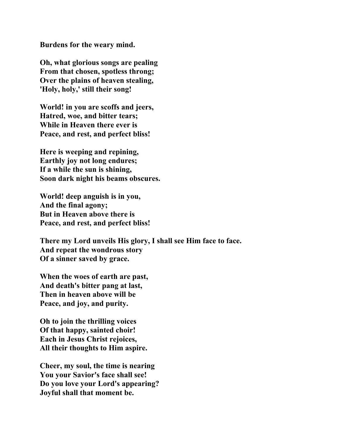**Burdens for the weary mind.** 

**Oh, what glorious songs are pealing From that chosen, spotless throng; Over the plains of heaven stealing, 'Holy, holy,' still their song!** 

**World! in you are scoffs and jeers, Hatred, woe, and bitter tears; While in Heaven there ever is Peace, and rest, and perfect bliss!** 

**Here is weeping and repining, Earthly joy not long endures; If a while the sun is shining, Soon dark night his beams obscures.** 

**World! deep anguish is in you, And the final agony; But in Heaven above there is Peace, and rest, and perfect bliss!** 

**There my Lord unveils His glory, I shall see Him face to face. And repeat the wondrous story Of a sinner saved by grace.** 

**When the woes of earth are past, And death's bitter pang at last, Then in heaven above will be Peace, and joy, and purity.** 

**Oh to join the thrilling voices Of that happy, sainted choir! Each in Jesus Christ rejoices, All their thoughts to Him aspire.** 

**Cheer, my soul, the time is nearing You your Savior's face shall see! Do you love your Lord's appearing? Joyful shall that moment be.**